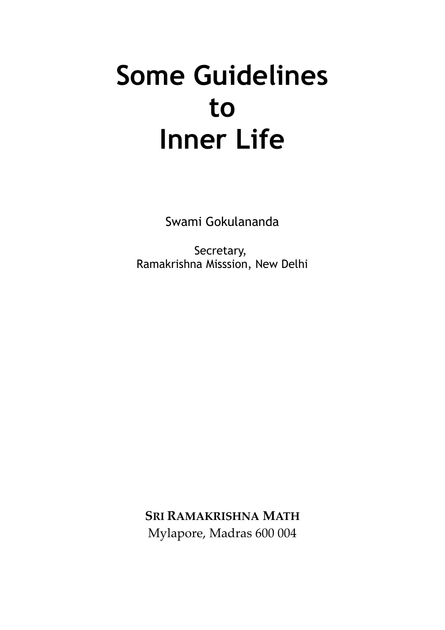# **Some Guidelines to Inner Life**

Swami Gokulananda

Secretary, Ramakrishna Misssion, New Delhi

**SRI RAMAKRISHNA MATH** Mylapore, Madras 600 004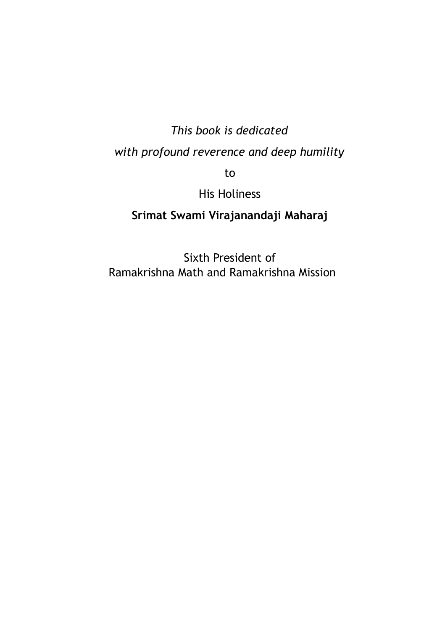# *This book is dedicated with profound reverence and deep humility*

to

His Holiness

#### **Srimat Swami Virajanandaji Maharaj**

Sixth President of Ramakrishna Math and Ramakrishna Mission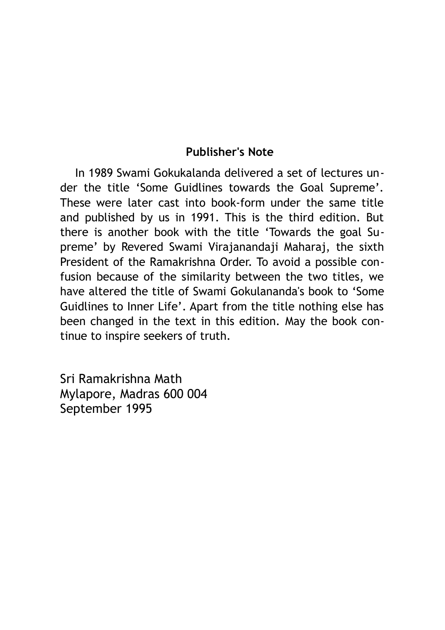#### **Publisher's Note**

In 1989 Swami Gokukalanda delivered a set of lectures under the title 'Some Guidlines towards the Goal Supreme'. These were later cast into book-form under the same title and published by us in 1991. This is the third edition. But there is another book with the title 'Towards the goal Supreme' by Revered Swami Virajanandaji Maharaj, the sixth President of the Ramakrishna Order. To avoid a possible confusion because of the similarity between the two titles, we have altered the title of Swami Gokulananda's book to 'Some Guidlines to Inner Life'. Apart from the title nothing else has been changed in the text in this edition. May the book continue to inspire seekers of truth.

Sri Ramakrishna Math Mylapore, Madras 600 004 September 1995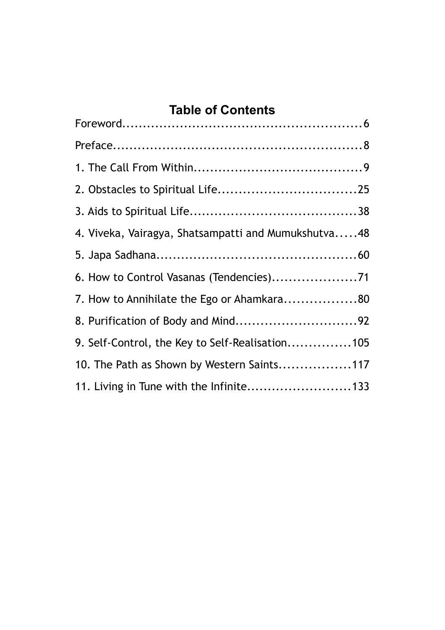#### **Table of Contents**

| 4. Viveka, Vairagya, Shatsampatti and Mumukshutva48 |  |
|-----------------------------------------------------|--|
|                                                     |  |
|                                                     |  |
| 7. How to Annihilate the Ego or Ahamkara80          |  |
| 8. Purification of Body and Mind92                  |  |
| 9. Self-Control, the Key to Self-Realisation105     |  |
| 10. The Path as Shown by Western Saints117          |  |
| 11. Living in Tune with the Infinite133             |  |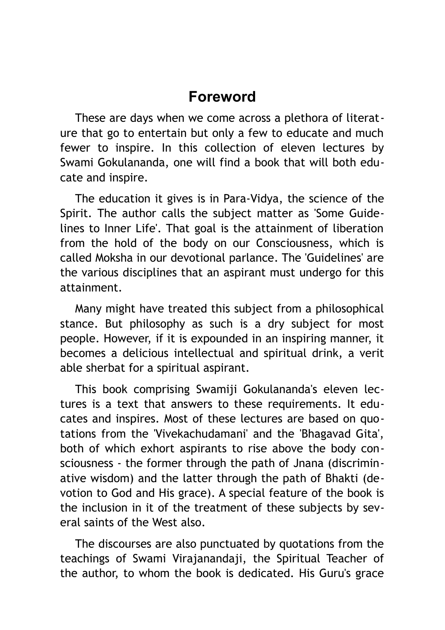## <span id="page-5-0"></span>**Foreword**

These are days when we come across a plethora of literature that go to entertain but only a few to educate and much fewer to inspire. In this collection of eleven lectures by Swami Gokulananda, one will find a book that will both educate and inspire.

The education it gives is in Para-Vidya, the science of the Spirit. The author calls the subject matter as 'Some Guidelines to Inner Life'. That goal is the attainment of liberation from the hold of the body on our Consciousness, which is called Moksha in our devotional parlance. The 'Guidelines' are the various disciplines that an aspirant must undergo for this attainment.

Many might have treated this subject from a philosophical stance. But philosophy as such is a dry subject for most people. However, if it is expounded in an inspiring manner, it becomes a delicious intellectual and spiritual drink, a verit able sherbat for a spiritual aspirant.

This book comprising Swamiji Gokulananda's eleven lectures is a text that answers to these requirements. It educates and inspires. Most of these lectures are based on quotations from the 'Vivekachudamani' and the 'Bhagavad Gita', both of which exhort aspirants to rise above the body consciousness - the former through the path of Jnana (discriminative wisdom) and the latter through the path of Bhakti (devotion to God and His grace). A special feature of the book is the inclusion in it of the treatment of these subjects by several saints of the West also.

The discourses are also punctuated by quotations from the teachings of Swami Virajanandaji, the Spiritual Teacher of the author, to whom the book is dedicated. His Guru's grace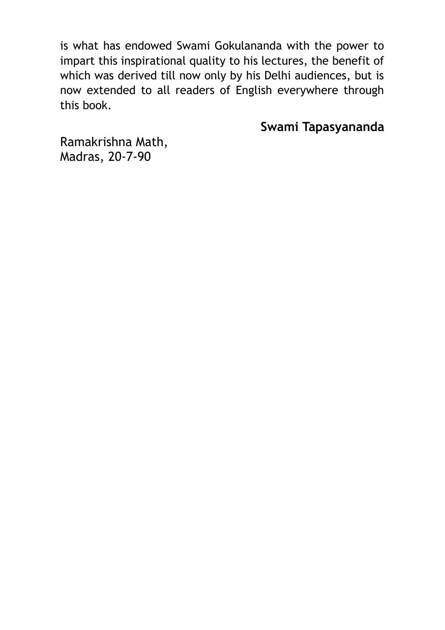is what has endowed Swami Gokulananda with the power to impart this inspirational quality to his lectures, the benefit of which was derived till now only by his Delhi audiences, but is now extended to all readers of English everywhere through this book.

**Swami Tapasyananda**

Ramakrishna Math, Madras, 20-7-90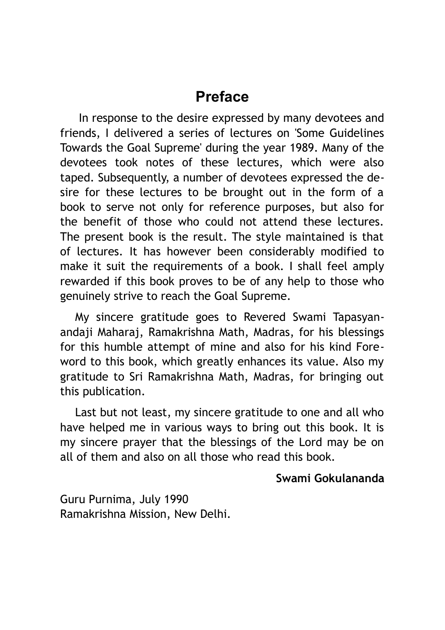## <span id="page-7-0"></span>**Preface**

 In response to the desire expressed by many devotees and friends, I delivered a series of lectures on 'Some Guidelines Towards the Goal Supreme' during the year 1989. Many of the devotees took notes of these lectures, which were also taped. Subsequently, a number of devotees expressed the desire for these lectures to be brought out in the form of a book to serve not only for reference purposes, but also for the benefit of those who could not attend these lectures. The present book is the result. The style maintained is that of lectures. It has however been considerably modified to make it suit the requirements of a book. I shall feel amply rewarded if this book proves to be of any help to those who genuinely strive to reach the Goal Supreme.

My sincere gratitude goes to Revered Swami Tapasyanandaji Maharaj, Ramakrishna Math, Madras, for his blessings for this humble attempt of mine and also for his kind Foreword to this book, which greatly enhances its value. Also my gratitude to Sri Ramakrishna Math, Madras, for bringing out this publication.

Last but not least, my sincere gratitude to one and all who have helped me in various ways to bring out this book. It is my sincere prayer that the blessings of the Lord may be on all of them and also on all those who read this book.

#### **Swami Gokulananda**

Guru Purnima, July 1990 Ramakrishna Mission, New Delhi.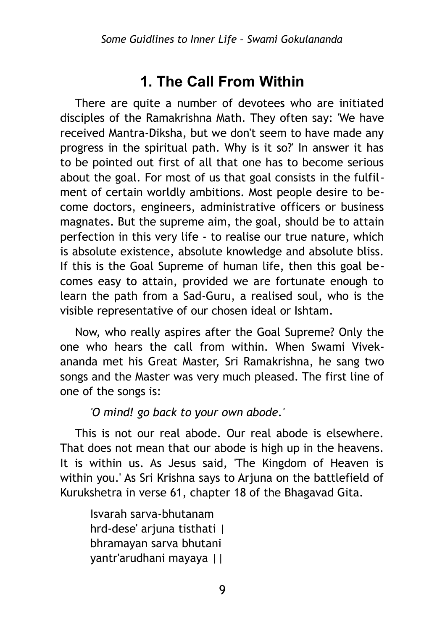## <span id="page-8-0"></span>**1. The Call From Within**

There are quite a number of devotees who are initiated disciples of the Ramakrishna Math. They often say: 'We have received Mantra-Diksha, but we don't seem to have made any progress in the spiritual path. Why is it so?' In answer it has to be pointed out first of all that one has to become serious about the goal. For most of us that goal consists in the fulfilment of certain worldly ambitions. Most people desire to become doctors, engineers, administrative officers or business magnates. But the supreme aim, the goal, should be to attain perfection in this very life - to realise our true nature, which is absolute existence, absolute knowledge and absolute bliss. If this is the Goal Supreme of human life, then this goal becomes easy to attain, provided we are fortunate enough to learn the path from a Sad-Guru, a realised soul, who is the visible representative of our chosen ideal or Ishtam.

Now, who really aspires after the Goal Supreme? Only the one who hears the call from within. When Swami Vivekananda met his Great Master, Sri Ramakrishna, he sang two songs and the Master was very much pleased. The first line of one of the songs is:

*'O mind! go back to your own abode.'* 

This is not our real abode. Our real abode is elsewhere. That does not mean that our abode is high up in the heavens. It is within us. As Jesus said, 'The Kingdom of Heaven is within you.' As Sri Krishna says to Arjuna on the battlefield of Kurukshetra in verse 61, chapter 18 of the Bhagavad Gita.

Isvarah sarva-bhutanam hrd-dese' arjuna tisthati | bhramayan sarva bhutani yantr'arudhani mayaya ||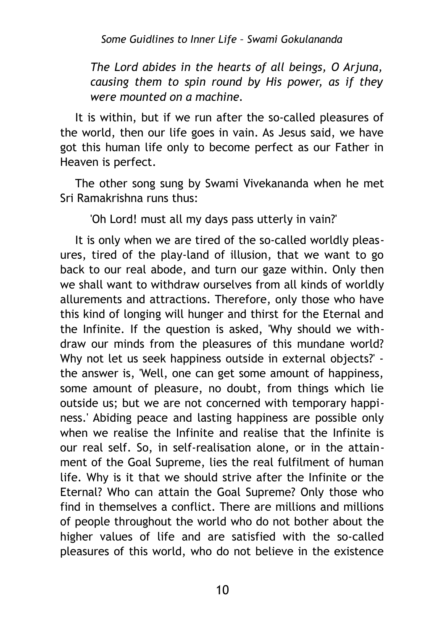*Some Guidlines to Inner Life – Swami Gokulananda*

*The Lord abides in the hearts of all beings, О Arjuna, causing them to spin round by His power, as if they were mounted on a machine.*

It is within, but if we run after the so-called pleasures of the world, then our life goes in vain. As Jesus said, we have got this human life only to become perfect as our Father in Heaven is perfect.

The other song sung by Swami Vivekananda when he met Sri Ramakrishna runs thus:

'Oh Lord! must all my days pass utterly in vain?'

It is only when we are tired of the so-called worldly pleasures, tired of the play-land of illusion, that we want to go back to our real abode, and turn our gaze within. Only then we shall want to withdraw ourselves from all kinds of worldly allurements and attractions. Therefore, only those who have this kind of longing will hunger and thirst for the Eternal and the Infinite. If the question is asked, 'Why should we withdraw our minds from the pleasures of this mundane world? Why not let us seek happiness outside in external objects?' the answer is, 'Well, one can get some amount of happiness, some amount of pleasure, no doubt, from things which lie outside us; but we are not concerned with temporary happiness.' Abiding peace and lasting happiness are possible only when we realise the Infinite and realise that the Infinite is our real self. So, in self-realisation alone, or in the attainment of the Goal Supreme, lies the real fulfilment of human life. Why is it that we should strive after the Infinite or the Eternal? Who can attain the Goal Supreme? Only those who find in themselves a conflict. There are millions and millions of people throughout the world who do not bother about the higher values of life and are satisfied with the so-called pleasures of this world, who do not believe in the existence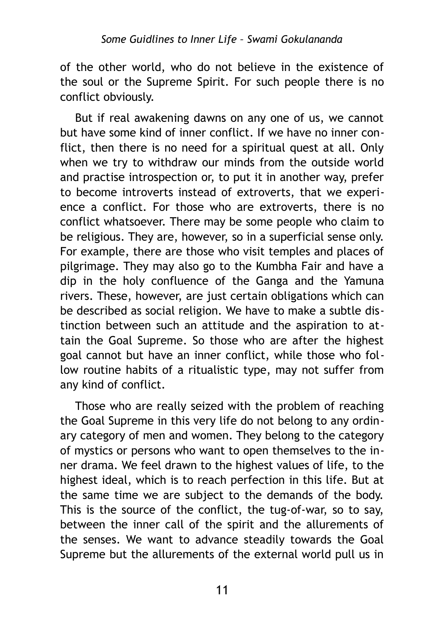of the other world, who do not believe in the existence of the soul or the Supreme Spirit. For such people there is no conflict obviously.

But if real awakening dawns on any one of us, we cannot but have some kind of inner conflict. If we have no inner conflict, then there is no need for a spiritual quest at all. Only when we try to withdraw our minds from the outside world and practise introspection or, to put it in another way, prefer to become introverts instead of extroverts, that we experience a conflict. For those who are extroverts, there is no conflict whatsoever. There may be some people who claim to be religious. They are, however, so in a superficial sense only. For example, there are those who visit temples and places of pilgrimage. They may also go to the Kumbha Fair and have a dip in the holy confluence of the Ganga and the Yamuna rivers. These, however, are just certain obligations which can be described as social religion. We have to make a subtle distinction between such an attitude and the aspiration to attain the Goal Supreme. So those who are after the highest goal cannot but have an inner conflict, while those who follow routine habits of a ritualistic type, may not suffer from any kind of conflict.

Those who are really seized with the problem of reaching the Goal Supreme in this very life do not belong to any ordinary category of men and women. They belong to the category of mystics or persons who want to open themselves to the inner drama. We feel drawn to the highest values of life, to the highest ideal, which is to reach perfection in this life. But at the same time we are subject to the demands of the body. This is the source of the conflict, the tug-of-war, so to say, between the inner call of the spirit and the allurements of the senses. We want to advance steadily towards the Goal Supreme but the allurements of the external world pull us in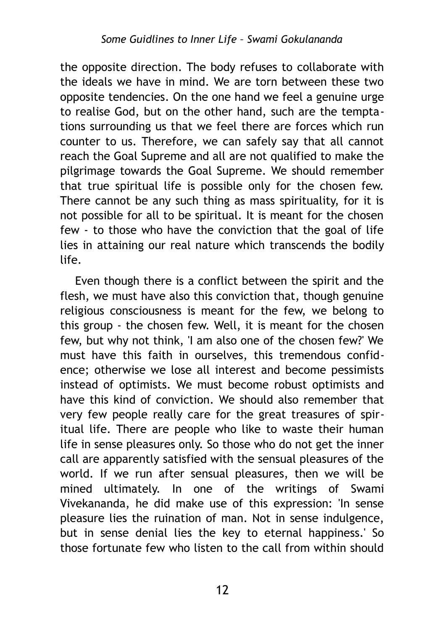the opposite direction. The body refuses to collaborate with the ideals we have in mind. We are torn between these two opposite tendencies. On the one hand we feel a genuine urge to realise God, but on the other hand, such are the temptations surrounding us that we feel there are forces which run counter to us. Therefore, we can safely say that all cannot reach the Goal Supreme and all are not qualified to make the pilgrimage towards the Goal Supreme. We should remember that true spiritual life is possible only for the chosen few. There cannot be any such thing as mass spirituality, for it is not possible for all to be spiritual. It is meant for the chosen few - to those who have the conviction that the goal of life lies in attaining our real nature which transcends the bodily life.

Even though there is a conflict between the spirit and the flesh, we must have also this conviction that, though genuine religious consciousness is meant for the few, we belong to this group - the chosen few. Well, it is meant for the chosen few, but why not think, 'I am also one of the chosen few?' We must have this faith in ourselves, this tremendous confidence; otherwise we lose all interest and become pessimists instead of optimists. We must become robust optimists and have this kind of conviction. We should also remember that very few people really care for the great treasures of spiritual life. There are people who like to waste their human life in sense pleasures only. So those who do not get the inner call are apparently satisfied with the sensual pleasures of the world. If we run after sensual pleasures, then we will be mined ultimately. In one of the writings of Swami Vivekananda, he did make use of this expression: 'In sense pleasure lies the ruination of man. Not in sense indulgence, but in sense denial lies the key to eternal happiness.' So those fortunate few who listen to the call from within should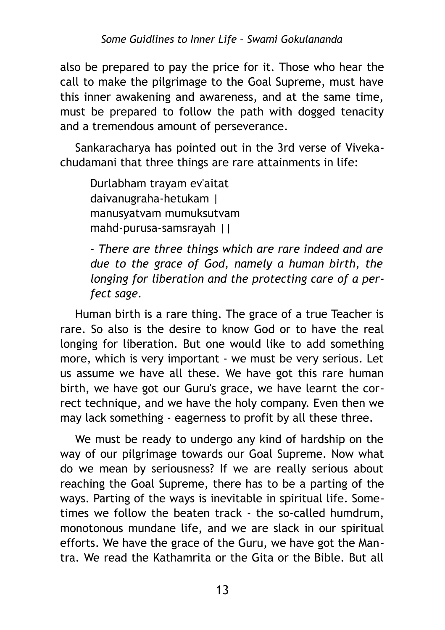also be prepared to pay the price for it. Those who hear the call to make the pilgrimage to the Goal Supreme, must have this inner awakening and awareness, and at the same time, must be prepared to follow the path with dogged tenacity and a tremendous amount of perseverance.

Sankaracharya has pointed out in the 3rd verse of Vivekachudamani that three things are rare attainments in life:

Durlabham trayam ev'aitat daivanugraha-hetukam | manusyatvam mumuksutvam mahd-purusa-samsrayah ||

*- There are three things which are rare indeed and are due to the grace of God, namely a human birth, the longing for liberation and the protecting care of a perfect sage.*

Human birth is a rare thing. The grace of a true Teacher is rare. So also is the desire to know God or to have the real longing for liberation. But one would like to add something more, which is very important - we must be very serious. Let us assume we have all these. We have got this rare human birth, we have got our Guru's grace, we have learnt the correct technique, and we have the holy company. Even then we may lack something - eagerness to profit by all these three.

We must be ready to undergo any kind of hardship on the way of our pilgrimage towards our Goal Supreme. Now what do we mean by seriousness? If we are really serious about reaching the Goal Supreme, there has to be a parting of the ways. Parting of the ways is inevitable in spiritual life. Sometimes we follow the beaten track - the so-called humdrum, monotonous mundane life, and we are slack in our spiritual efforts. We have the grace of the Guru, we have got the Mantra. We read the Kathamrita or the Gita or the Bible. But all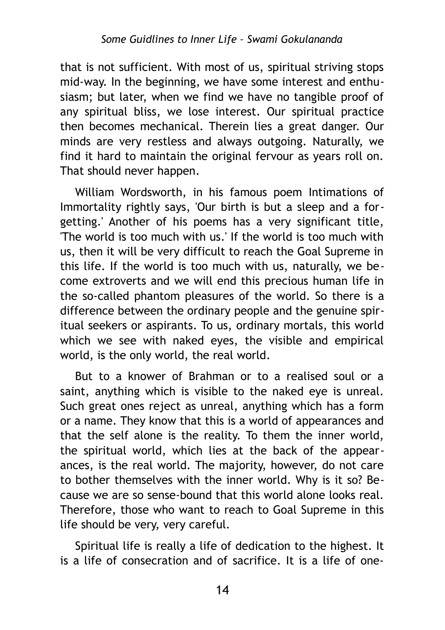that is not sufficient. With most of us, spiritual striving stops mid-way. In the beginning, we have some interest and enthusiasm; but later, when we find we have no tangible proof of any spiritual bliss, we lose interest. Our spiritual practice then becomes mechanical. Therein lies a great danger. Our minds are very restless and always outgoing. Naturally, we find it hard to maintain the original fervour as years roll on. That should never happen.

William Wordsworth, in his famous poem Intimations of Immortality rightly says, 'Our birth is but a sleep and a forgetting.' Another of his poems has a very significant title, 'The world is too much with us.' If the world is too much with us, then it will be very difficult to reach the Goal Supreme in this life. If the world is too much with us, naturally, we become extroverts and we will end this precious human life in the so-called phantom pleasures of the world. So there is a difference between the ordinary people and the genuine spiritual seekers or aspirants. To us, ordinary mortals, this world which we see with naked eyes, the visible and empirical world, is the only world, the real world.

But to a knower of Brahman or to a realised soul or a saint, anything which is visible to the naked eye is unreal. Such great ones reject as unreal, anything which has a form or a name. They know that this is a world of appearances and that the self alone is the reality. To them the inner world, the spiritual world, which lies at the back of the appearances, is the real world. The majority, however, do not care to bother themselves with the inner world. Why is it so? Because we are so sense-bound that this world alone looks real. Therefore, those who want to reach to Goal Supreme in this life should be very, very careful.

Spiritual life is really a life of dedication to the highest. It is a life of consecration and of sacrifice. It is a life of one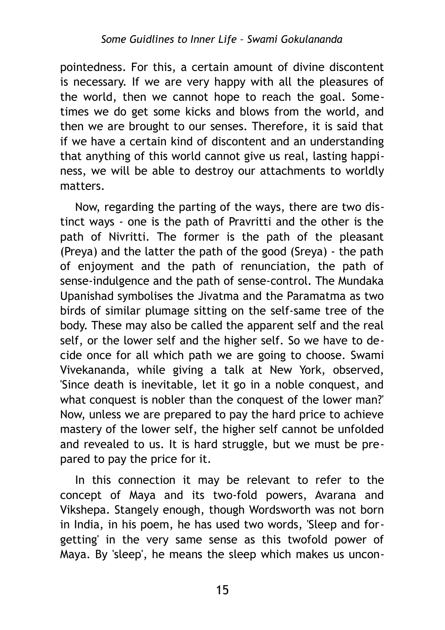pointedness. For this, a certain amount of divine discontent is necessary. If we are very happy with all the pleasures of the world, then we cannot hope to reach the goal. Sometimes we do get some kicks and blows from the world, and then we are brought to our senses. Therefore, it is said that if we have a certain kind of discontent and an understanding that anything of this world cannot give us real, lasting happiness, we will be able to destroy our attachments to worldly matters.

Now, regarding the parting of the ways, there are two distinct ways - one is the path of Pravritti and the other is the path of Nivritti. The former is the path of the pleasant (Preya) and the latter the path of the good (Sreya) - the path of enjoyment and the path of renunciation, the path of sense-indulgence and the path of sense-control. The Mundaka Upanishad symbolises the Jivatma and the Paramatma as two birds of similar plumage sitting on the self-same tree of the body. These may also be called the apparent self and the real self, or the lower self and the higher self. So we have to decide once for all which path we are going to choose. Swami Vivekananda, while giving a talk at New York, observed, 'Since death is inevitable, let it go in a noble conquest, and what conquest is nobler than the conquest of the lower man?' Now, unless we are prepared to pay the hard price to achieve mastery of the lower self, the higher self cannot be unfolded and revealed to us. It is hard struggle, but we must be prepared to pay the price for it.

In this connection it may be relevant to refer to the concept of Maya and its two-fold powers, Avarana and Vikshepa. Stangely enough, though Wordsworth was not born in India, in his poem, he has used two words, 'Sleep and forgetting' in the very same sense as this twofold power of Maya. By 'sleep', he means the sleep which makes us uncon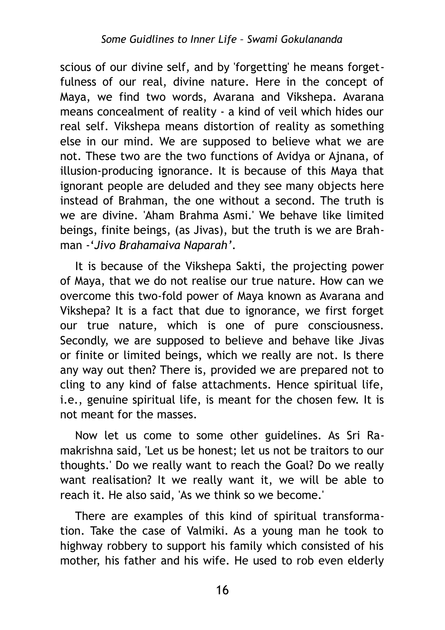scious of our divine self, and by 'forgetting' he means forgetfulness of our real, divine nature. Here in the concept of Maya, we find two words, Avarana and Vikshepa. Avarana means concealment of reality - a kind of veil which hides our real self. Vikshepa means distortion of reality as something else in our mind. We are supposed to believe what we are not. These two are the two functions of Avidya or Ajnana, of illusion-producing ignorance. It is because of this Maya that ignorant people are deluded and they see many objects here instead of Brahman, the one without a second. The truth is we are divine. 'Aham Brahma Asmi.' We behave like limited beings, finite beings, (as Jivas), but the truth is we are Brahman -'*Jivo Brahamaiva Naparah'*.

It is because of the Vikshepa Sakti, the projecting power of Maya, that we do not realise our true nature. How can we overcome this two-fold power of Maya known as Avarana and Vikshepa? It is a fact that due to ignorance, we first forget our true nature, which is one of pure consciousness. Secondly, we are supposed to believe and behave like Jivas or finite or limited beings, which we really are not. Is there any way out then? There is, provided we are prepared not to cling to any kind of false attachments. Hence spiritual life, i.e., genuine spiritual life, is meant for the chosen few. It is not meant for the masses.

Now let us come to some other guidelines. As Sri Ramakrishna said, 'Let us be honest; let us not be traitors to our thoughts.' Do we really want to reach the Goal? Do we really want realisation? It we really want it, we will be able to reach it. He also said, 'As we think so we become.'

There are examples of this kind of spiritual transformation. Take the case of Valmiki. As a young man he took to highway robbery to support his family which consisted of his mother, his father and his wife. He used to rob even elderly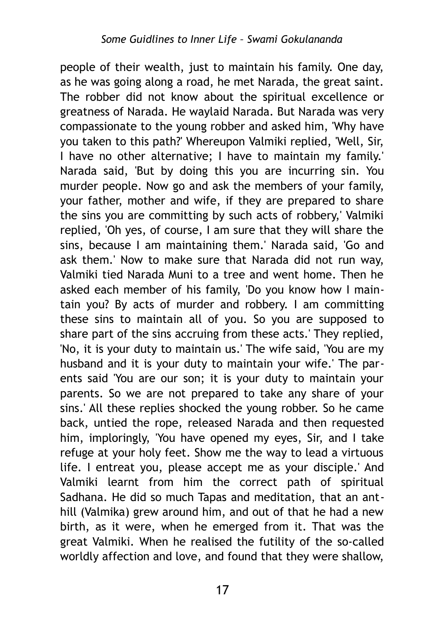people of their wealth, just to maintain his family. One day, as he was going along a road, he met Narada, the great saint. The robber did not know about the spiritual excellence or greatness of Narada. He waylaid Narada. But Narada was very compassionate to the young robber and asked him, 'Why have you taken to this path?' Whereupon Valmiki replied, 'Well, Sir, I have no other alternative; I have to maintain my family.' Narada said, 'But by doing this you are incurring sin. You murder people. Now go and ask the members of your family, your father, mother and wife, if they are prepared to share the sins you are committing by such acts of robbery,' Valmiki replied, 'Oh yes, of course, I am sure that they will share the sins, because I am maintaining them.' Narada said, 'Go and ask them.' Now to make sure that Narada did not run way, Valmiki tied Narada Muni to a tree and went home. Then he asked each member of his family, 'Do you know how I maintain you? By acts of murder and robbery. I am committing these sins to maintain all of you. So you are supposed to share part of the sins accruing from these acts.' They replied, 'No, it is your duty to maintain us.' The wife said, 'You are my husband and it is your duty to maintain your wife.' The parents said 'You are our son; it is your duty to maintain your parents. So we are not prepared to take any share of your sins.' All these replies shocked the young robber. So he came back, untied the rope, released Narada and then requested him, imploringly, 'You have opened my eyes, Sir, and I take refuge at your holy feet. Show me the way to lead a virtuous life. I entreat you, please accept me as your disciple.' And Valmiki learnt from him the correct path of spiritual Sadhana. He did so much Tapas and meditation, that an anthill (Valmika) grew around him, and out of that he had a new birth, as it were, when he emerged from it. That was the great Valmiki. When he realised the futility of the so-called worldly affection and love, and found that they were shallow,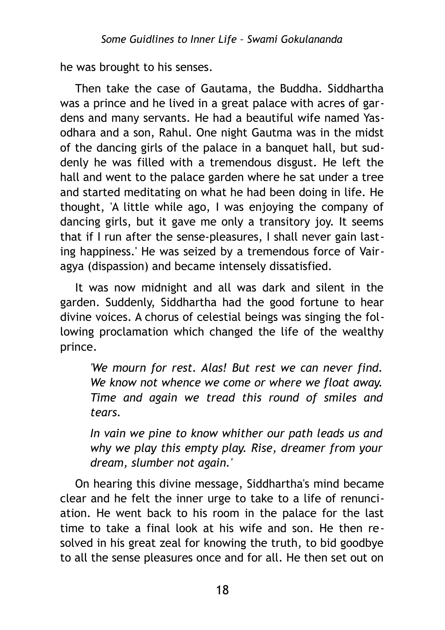he was brought to his senses.

Then take the case of Gautama, the Buddha. Siddhartha was a prince and he lived in a great palace with acres of gardens and many servants. He had a beautiful wife named Yasodhara and a son, Rahul. One night Gautma was in the midst of the dancing girls of the palace in a banquet hall, but suddenly he was filled with a tremendous disgust. He left the hall and went to the palace garden where he sat under a tree and started meditating on what he had been doing in life. He thought, 'A little while ago, I was enjoying the company of dancing girls, but it gave me only a transitory joy. It seems that if I run after the sense-pleasures, I shall never gain lasting happiness.' He was seized by a tremendous force of Vairagya (dispassion) and became intensely dissatisfied.

It was now midnight and all was dark and silent in the garden. Suddenly, Siddhartha had the good fortune to hear divine voices. A chorus of celestial beings was singing the following proclamation which changed the life of the wealthy prince.

*'We mourn for rest. Alas! But rest we can never find. We know not whence we come or where we float away. Time and again we tread this round of smiles and tears.*

*In vain we pine to know whither our path leads us and why we play this empty play. Rise, dreamer from your dream, slumber not again.'*

On hearing this divine message, Siddhartha's mind became clear and he felt the inner urge to take to a life of renunciation. He went back to his room in the palace for the last time to take a final look at his wife and son. He then resolved in his great zeal for knowing the truth, to bid goodbye to all the sense pleasures once and for all. He then set out on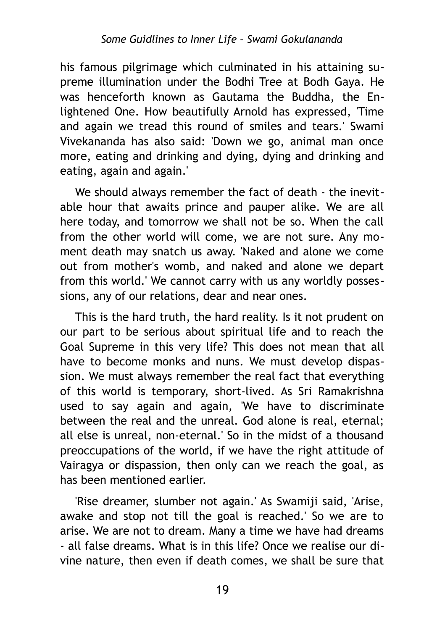his famous pilgrimage which culminated in his attaining supreme illumination under the Bodhi Tree at Bodh Gaya. He was henceforth known as Gautama the Buddha, the Enlightened One. How beautifully Arnold has expressed, 'Time and again we tread this round of smiles and tears.' Swami Vivekananda has also said: 'Down we go, animal man once more, eating and drinking and dying, dying and drinking and eating, again and again.'

We should always remember the fact of death - the inevitable hour that awaits prince and pauper alike. We are all here today, and tomorrow we shall not be so. When the call from the other world will come, we are not sure. Any moment death may snatch us away. 'Naked and alone we come out from mother's womb, and naked and alone we depart from this world.' We cannot carry with us any worldly possessions, any of our relations, dear and near ones.

This is the hard truth, the hard reality. Is it not prudent on our part to be serious about spiritual life and to reach the Goal Supreme in this very life? This does not mean that all have to become monks and nuns. We must develop dispassion. We must always remember the real fact that everything of this world is temporary, short-lived. As Sri Ramakrishna used to say again and again, 'We have to discriminate between the real and the unreal. God alone is real, eternal; all else is unreal, non-eternal.' So in the midst of a thousand preoccupations of the world, if we have the right attitude of Vairagya or dispassion, then only can we reach the goal, as has been mentioned earlier.

'Rise dreamer, slumber not again.' As Swamiji said, 'Arise, awake and stop not till the goal is reached.' So we are to arise. We are not to dream. Many a time we have had dreams - all false dreams. What is in this life? Once we realise our divine nature, then even if death comes, we shall be sure that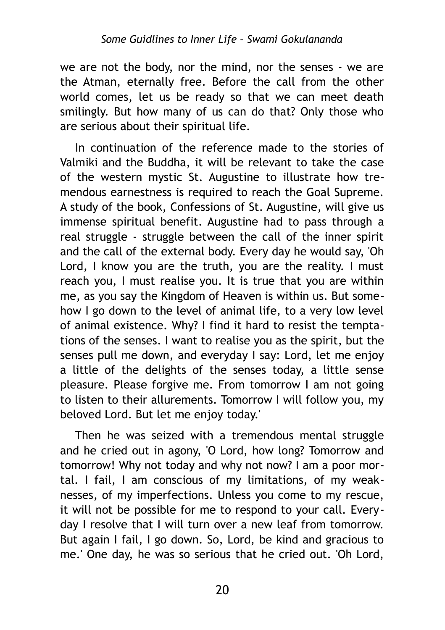we are not the body, nor the mind, nor the senses - we are the Atman, eternally free. Before the call from the other world comes, let us be ready so that we can meet death smilingly. But how many of us can do that? Only those who are serious about their spiritual life.

In continuation of the reference made to the stories of Valmiki and the Buddha, it will be relevant to take the case of the western mystic St. Augustine to illustrate how tremendous earnestness is required to reach the Goal Supreme. A study of the book, Confessions of St. Augustine, will give us immense spiritual benefit. Augustine had to pass through a real struggle - struggle between the call of the inner spirit and the call of the external body. Every day he would say, 'Oh Lord, I know you are the truth, you are the reality. I must reach you, I must realise you. It is true that you are within me, as you say the Kingdom of Heaven is within us. But somehow I go down to the level of animal life, to a very low level of animal existence. Why? I find it hard to resist the temptations of the senses. I want to realise you as the spirit, but the senses pull me down, and everyday I say: Lord, let me enjoy a little of the delights of the senses today, a little sense pleasure. Please forgive me. From tomorrow I am not going to listen to their allurements. Tomorrow I will follow you, my beloved Lord. But let me enjoy today.'

Then he was seized with a tremendous mental struggle and he cried out in agony, 'O Lord, how long? Tomorrow and tomorrow! Why not today and why not now? I am a poor mortal. I fail, I am conscious of my limitations, of my weaknesses, of my imperfections. Unless you come to my rescue, it will not be possible for me to respond to your call. Everyday I resolve that I will turn over a new leaf from tomorrow. But again I fail, I go down. So, Lord, be kind and gracious to me.' One day, he was so serious that he cried out. 'Oh Lord,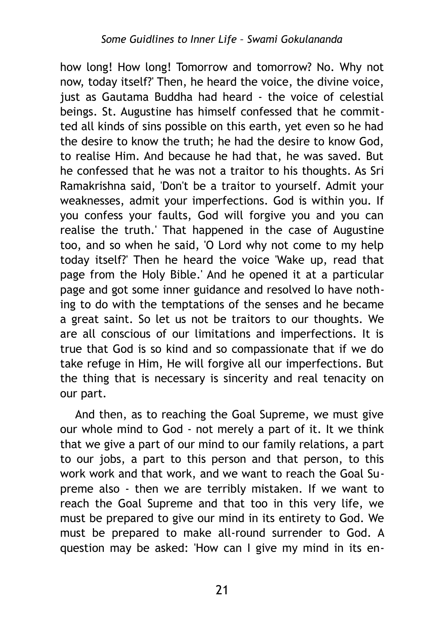how long! How long! Tomorrow and tomorrow? No. Why not now, today itself?' Then, he heard the voice, the divine voice, just as Gautama Buddha had heard - the voice of celestial beings. St. Augustine has himself confessed that he committed all kinds of sins possible on this earth, yet even so he had the desire to know the truth; he had the desire to know God, to realise Him. And because he had that, he was saved. But he confessed that he was not a traitor to his thoughts. As Sri Ramakrishna said, 'Don't be a traitor to yourself. Admit your weaknesses, admit your imperfections. God is within you. If you confess your faults, God will forgive you and you can realise the truth.' That happened in the case of Augustine too, and so when he said, 'O Lord why not come to my help today itself?' Then he heard the voice 'Wake up, read that page from the Holy Bible.' And he opened it at a particular page and got some inner guidance and resolved lo have nothing to do with the temptations of the senses and he became a great saint. So let us not be traitors to our thoughts. We are all conscious of our limitations and imperfections. It is true that God is so kind and so compassionate that if we do take refuge in Him, He will forgive all our imperfections. But the thing that is necessary is sincerity and real tenacity on our part.

And then, as to reaching the Goal Supreme, we must give our whole mind to God - not merely a part of it. It we think that we give a part of our mind to our family relations, a part to our jobs, a part to this person and that person, to this work work and that work, and we want to reach the Goal Supreme also - then we are terribly mistaken. If we want to reach the Goal Supreme and that too in this very life, we must be prepared to give our mind in its entirety to God. We must be prepared to make all-round surrender to God. A question may be asked: 'How can I give my mind in its en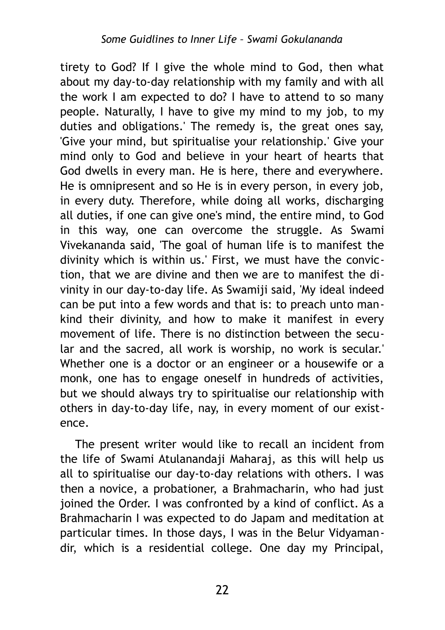tirety to God? If I give the whole mind to God, then what about my day-to-day relationship with my family and with all the work I am expected to do? I have to attend to so many people. Naturally, I have to give my mind to my job, to my duties and obligations.' The remedy is, the great ones say, 'Give your mind, but spiritualise your relationship.' Give your mind only to God and believe in your heart of hearts that God dwells in every man. He is here, there and everywhere. He is omnipresent and so He is in every person, in every job, in every duty. Therefore, while doing all works, discharging all duties, if one can give one's mind, the entire mind, to God in this way, one can overcome the struggle. As Swami Vivekananda said, 'The goal of human life is to manifest the divinity which is within us.' First, we must have the conviction, that we are divine and then we are to manifest the divinity in our day-to-day life. As Swamiji said, 'My ideal indeed can be put into a few words and that is: to preach unto mankind their divinity, and how to make it manifest in every movement of life. There is no distinction between the secular and the sacred, all work is worship, no work is secular.' Whether one is a doctor or an engineer or a housewife or a monk, one has to engage oneself in hundreds of activities, but we should always try to spiritualise our relationship with others in day-to-day life, nay, in every moment of our existence.

The present writer would like to recall an incident from the life of Swami Atulanandaji Maharaj, as this will help us all to spiritualise our day-to-day relations with others. I was then a novice, a probationer, a Brahmacharin, who had just joined the Order. I was confronted by a kind of conflict. As a Brahmacharin I was expected to do Japam and meditation at particular times. In those days, I was in the Belur Vidyamandir, which is a residential college. One day my Principal,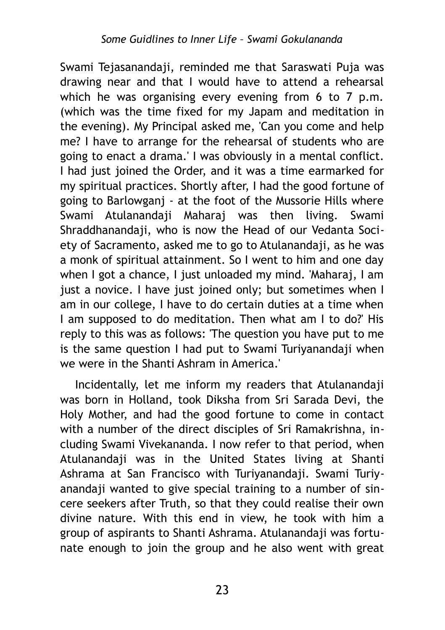Swami Tejasanandaji, reminded me that Saraswati Puja was drawing near and that I would have to attend a rehearsal which he was organising every evening from 6 to 7 p.m. (which was the time fixed for my Japam and meditation in the evening). My Principal asked me, 'Can you come and help me? I have to arrange for the rehearsal of students who are going to enact a drama.' I was obviously in a mental conflict. I had just joined the Order, and it was a time earmarked for my spiritual practices. Shortly after, I had the good fortune of going to Barlowganj - at the foot of the Mussorie Hills where Swami Atulanandaji Maharaj was then living. Swami Shraddhanandaji, who is now the Head of our Vedanta Society of Sacramento, asked me to go to Atulanandaji, as he was a monk of spiritual attainment. So I went to him and one day when I got a chance, I just unloaded my mind. 'Maharaj, I am just a novice. I have just joined only; but sometimes when I am in our college, I have to do certain duties at a time when I am supposed to do meditation. Then what am I to do?' His reply to this was as follows: 'The question you have put to me is the same question I had put to Swami Turiyanandaji when we were in the Shanti Ashram in America.'

Incidentally, let me inform my readers that Atulanandaji was born in Holland, took Diksha from Sri Sarada Devi, the Holy Mother, and had the good fortune to come in contact with a number of the direct disciples of Sri Ramakrishna, including Swami Vivekananda. I now refer to that period, when Atulanandaji was in the United States living at Shanti Ashrama at San Francisco with Turiyanandaji. Swami Turiyanandaji wanted to give special training to a number of sincere seekers after Truth, so that they could realise their own divine nature. With this end in view, he took with him a group of aspirants to Shanti Ashrama. Atulanandaji was fortunate enough to join the group and he also went with great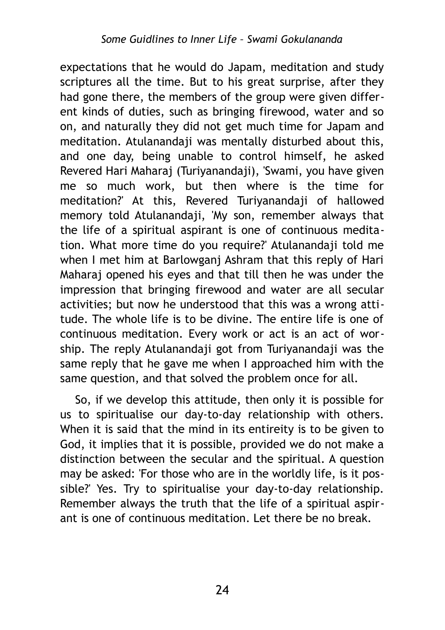expectations that he would do Japam, meditation and study scriptures all the time. But to his great surprise, after they had gone there, the members of the group were given different kinds of duties, such as bringing firewood, water and so on, and naturally they did not get much time for Japam and meditation. Atulanandaji was mentally disturbed about this, and one day, being unable to control himself, he asked Revered Hari Maharaj (Turiyanandaji), 'Swami, you have given me so much work, but then where is the time for meditation?' At this, Revered Turiyanandaji of hallowed memory told Atulanandaji, 'My son, remember always that the life of a spiritual aspirant is one of continuous meditation. What more time do you require?' Atulanandaji told me when I met him at Barlowganj Ashram that this reply of Hari Maharaj opened his eyes and that till then he was under the impression that bringing firewood and water are all secular activities; but now he understood that this was a wrong attitude. The whole life is to be divine. The entire life is one of continuous meditation. Every work or act is an act of worship. The reply Atulanandaji got from Turivanandaji was the same reply that he gave me when I approached him with the same question, and that solved the problem once for all.

So, if we develop this attitude, then only it is possible for us to spiritualise our day-to-day relationship with others. When it is said that the mind in its entireity is to be given to God, it implies that it is possible, provided we do not make a distinction between the secular and the spiritual. A question may be asked: 'For those who are in the worldly life, is it possible?' Yes. Try to spiritualise your day-to-day relationship. Remember always the truth that the life of a spiritual aspirant is one of continuous meditation. Let there be no break.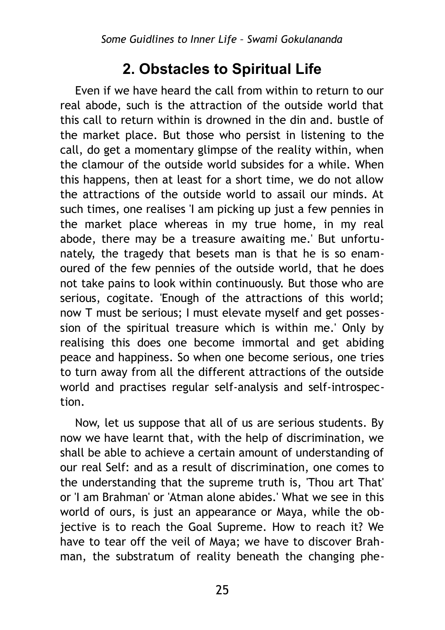# <span id="page-24-0"></span>**2. Obstacles to Spiritual Life**

Even if we have heard the call from within to return to our real abode, such is the attraction of the outside world that this call to return within is drowned in the din and. bustle of the market place. But those who persist in listening to the call, do get a momentary glimpse of the reality within, when the clamour of the outside world subsides for a while. When this happens, then at least for a short time, we do not allow the attractions of the outside world to assail our minds. At such times, one realises 'I am picking up just a few pennies in the market place whereas in my true home, in my real abode, there may be a treasure awaiting me.' But unfortunately, the tragedy that besets man is that he is so enamoured of the few pennies of the outside world, that he does not take pains to look within continuously. But those who are serious, cogitate. 'Enough of the attractions of this world; now Т must be serious; I must elevate myself and get possession of the spiritual treasure which is within me.' Only by realising this does one become immortal and get abiding peace and happiness. So when one become serious, one tries to turn away from all the different attractions of the outside world and practises regular self-analysis and self-introspection.

Now, let us suppose that all of us are serious students. By now we have learnt that, with the help of discrimination, we shall be able to achieve a certain amount of understanding of our real Self: and as a result of discrimination, one comes to the understanding that the supreme truth is, 'Thou art That' or 'I am Brahman' or 'Atman alone abides.' What we see in this world of ours, is just an appearance or Maya, while the objective is to reach the Goal Supreme. How to reach it? We have to tear off the veil of Maya; we have to discover Brahman, the substratum of reality beneath the changing phe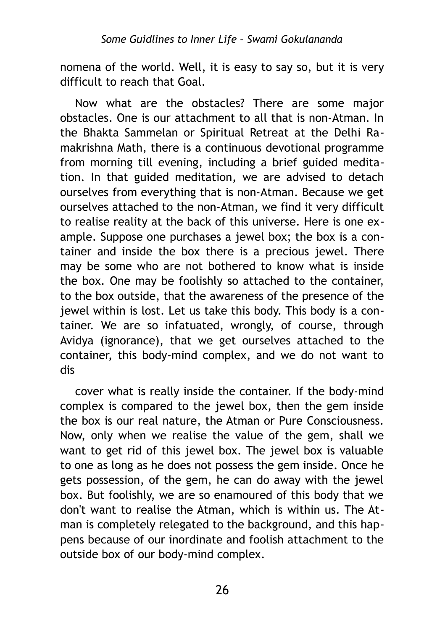nomena of the world. Well, it is easy to say so, but it is very difficult to reach that Goal.

Now what are the obstacles? There are some major obstacles. One is our attachment to all that is non-Atman. In the Bhakta Sammelan or Spiritual Retreat at the Delhi Ramakrishna Math, there is a continuous devotional programme from morning till evening, including a brief guided meditation. In that guided meditation, we are advised to detach ourselves from everything that is non-Atman. Because we get ourselves attached to the non-Atman, we find it very difficult to realise reality at the back of this universe. Here is one example. Suppose one purchases a jewel box; the box is a container and inside the box there is a precious jewel. There may be some who are not bothered to know what is inside the box. One may be foolishly so attached to the container, to the box outside, that the awareness of the presence of the jewel within is lost. Let us take this body. This body is a container. We are so infatuated, wrongly, of course, through Avidya (ignorance), that we get ourselves attached to the container, this body-mind complex, and we do not want to dis

cover what is really inside the container. If the body-mind complex is compared to the jewel box, then the gem inside the box is our real nature, the Atman or Pure Consciousness. Now, only when we realise the value of the gem, shall we want to get rid of this jewel box. The jewel box is valuable to one as long as he does not possess the gem inside. Once he gets possession, of the gem, he can do away with the jewel box. But foolishly, we are so enamoured of this body that we don't want to realise the Atman, which is within us. The Atman is completely relegated to the background, and this happens because of our inordinate and foolish attachment to the outside box of our body-mind complex.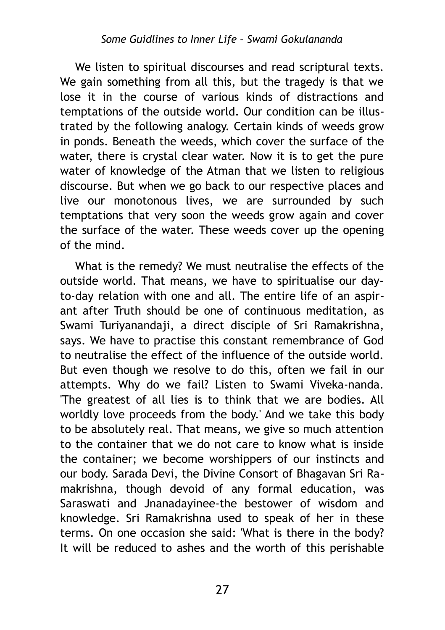We listen to spiritual discourses and read scriptural texts. We gain something from all this, but the tragedy is that we lose it in the course of various kinds of distractions and temptations of the outside world. Our condition can be illustrated by the following analogy. Certain kinds of weeds grow in ponds. Beneath the weeds, which cover the surface of the water, there is crystal clear water. Now it is to get the pure water of knowledge of the Atman that we listen to religious discourse. But when we go back to our respective places and live our monotonous lives, we are surrounded by such temptations that very soon the weeds grow again and cover the surface of the water. These weeds cover up the opening of the mind.

What is the remedy? We must neutralise the effects of the outside world. That means, we have to spiritualise our dayto-day relation with one and all. The entire life of an aspirant after Truth should be one of continuous meditation, as Swami Turiyanandaji, a direct disciple of Sri Ramakrishna, says. We have to practise this constant remembrance of God to neutralise the effect of the influence of the outside world. But even though we resolve to do this, often we fail in our attempts. Why do we fail? Listen to Swami Viveka-nanda. 'The greatest of all lies is to think that we are bodies. All worldly love proceeds from the body.' And we take this body to be absolutely real. That means, we give so much attention to the container that we do not care to know what is inside the container; we become worshippers of our instincts and our body. Sarada Devi, the Divine Consort of Bhagavan Sri Ramakrishna, though devoid of any formal education, was Saraswati and Jnanadayinee-the bestower of wisdom and knowledge. Sri Ramakrishna used to speak of her in these terms. On one occasion she said: 'What is there in the body? It will be reduced to ashes and the worth of this perishable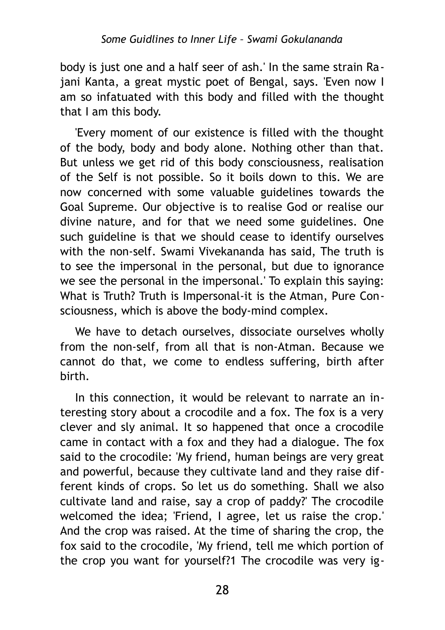body is just one and a half seer of ash.' In the same strain Rajani Kanta, a great mystic poet of Bengal, says. 'Even now I am so infatuated with this body and filled with the thought that I am this body.

'Every moment of our existence is filled with the thought of the body, body and body alone. Nothing other than that. But unless we get rid of this body consciousness, realisation of the Self is not possible. So it boils down to this. We are now concerned with some valuable guidelines towards the Goal Supreme. Our objective is to realise God or realise our divine nature, and for that we need some guidelines. One such guideline is that we should cease to identify ourselves with the non-self. Swami Vivekananda has said, The truth is to see the impersonal in the personal, but due to ignorance we see the personal in the impersonal.' To explain this saying: What is Truth? Truth is Impersonal-it is the Atman, Pure Consciousness, which is above the body-mind complex.

We have to detach ourselves, dissociate ourselves wholly from the non-self, from all that is non-Atman. Because we cannot do that, we come to endless suffering, birth after birth.

In this connection, it would be relevant to narrate an interesting story about a crocodile and a fox. The fox is a very clever and sly animal. It so happened that once a crocodile came in contact with a fox and they had a dialogue. The fox said to the crocodile: 'My friend, human beings are very great and powerful, because they cultivate land and they raise different kinds of crops. So let us do something. Shall we also cultivate land and raise, say a crop of paddy?' The crocodile welcomed the idea; 'Friend, I agree, let us raise the crop.' And the crop was raised. At the time of sharing the crop, the fox said to the crocodile, 'My friend, tell me which portion of the crop you want for yourself?1 The crocodile was very ig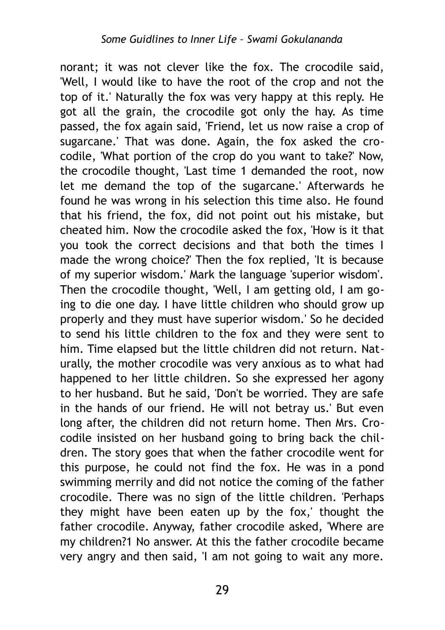norant; it was not clever like the fox. The crocodile said, 'Well, I would like to have the root of the crop and not the top of it.' Naturally the fox was very happy at this reply. He got all the grain, the crocodile got only the hay. As time passed, the fox again said, 'Friend, let us now raise a crop of sugarcane.' That was done. Again, the fox asked the crocodile, 'What portion of the crop do you want to take?' Now, the crocodile thought, 'Last time 1 demanded the root, now let me demand the top of the sugarcane.' Afterwards he found he was wrong in his selection this time also. He found that his friend, the fox, did not point out his mistake, but cheated him. Now the crocodile asked the fox, 'How is it that you took the correct decisions and that both the times I made the wrong choice?' Then the fox replied, 'It is because of my superior wisdom.' Mark the language 'superior wisdom'. Then the crocodile thought, 'Well, I am getting old, I am going to die one day. I have little children who should grow up properly and they must have superior wisdom.' So he decided to send his little children to the fox and they were sent to him. Time elapsed but the little children did not return. Naturally, the mother crocodile was very anxious as to what had happened to her little children. So she expressed her agony to her husband. But he said, 'Don't be worried. They are safe in the hands of our friend. He will not betray us.' But even long after, the children did not return home. Then Mrs. Crocodile insisted on her husband going to bring back the children. The story goes that when the father crocodile went for this purpose, he could not find the fox. He was in a pond swimming merrily and did not notice the coming of the father crocodile. There was no sign of the little children. 'Perhaps they might have been eaten up by the fox,' thought the father crocodile. Anyway, father crocodile asked, 'Where are my children?1 No answer. At this the father crocodile became very angry and then said, 'I am not going to wait any more.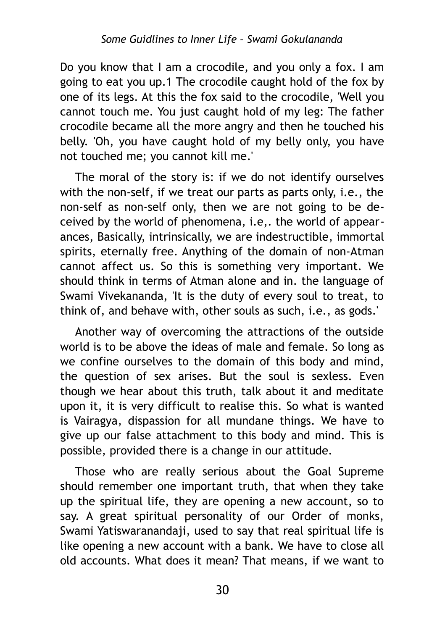Do you know that I am a crocodile, and you only a fox. I am going to eat you up.1 The crocodile caught hold of the fox by one of its legs. At this the fox said to the crocodile, 'Well you cannot touch me. You just caught hold of my leg: The father crocodile became all the more angry and then he touched his belly. 'Oh, you have caught hold of my belly only, you have not touched me; you cannot kill me.'

The moral of the story is: if we do not identify ourselves with the non-self, if we treat our parts as parts only, i.e., the non-self as non-self only, then we are not going to be deceived by the world of phenomena, i.e,. the world of appearances, Basically, intrinsically, we are indestructible, immortal spirits, eternally free. Anything of the domain of non-Atman cannot affect us. So this is something very important. We should think in terms of Atman alone and in. the language of Swami Vivekananda, 'It is the duty of every soul to treat, to think of, and behave with, other souls as such, i.e., as gods.'

Another way of overcoming the attractions of the outside world is to be above the ideas of male and female. So long as we confine ourselves to the domain of this body and mind, the question of sex arises. But the soul is sexless. Even though we hear about this truth, talk about it and meditate upon it, it is very difficult to realise this. So what is wanted is Vairagya, dispassion for all mundane things. We have to give up our false attachment to this body and mind. This is possible, provided there is a change in our attitude.

Those who are really serious about the Goal Supreme should remember one important truth, that when they take up the spiritual life, they are opening a new account, so to say. A great spiritual personality of our Order of monks, Swami Yatiswaranandaji, used to say that real spiritual life is like opening a new account with a bank. We have to close all old accounts. What does it mean? That means, if we want to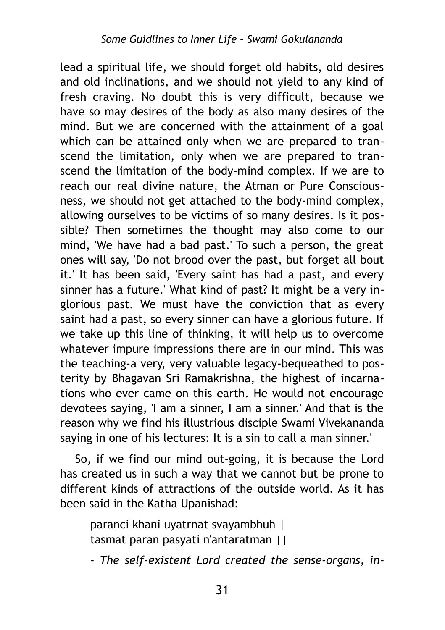lead a spiritual life, we should forget old habits, old desires and old inclinations, and we should not yield to any kind of fresh craving. No doubt this is very difficult, because we have so may desires of the body as also many desires of the mind. But we are concerned with the attainment of a goal which can be attained only when we are prepared to transcend the limitation, only when we are prepared to transcend the limitation of the body-mind complex. If we are to reach our real divine nature, the Atman or Pure Consciousness, we should not get attached to the body-mind complex, allowing ourselves to be victims of so many desires. Is it possible? Then sometimes the thought may also come to our mind, 'We have had a bad past.' To such a person, the great ones will say, 'Do not brood over the past, but forget all bout it.' It has been said, 'Every saint has had a past, and every sinner has a future.' What kind of past? It might be a very inglorious past. We must have the conviction that as every saint had a past, so every sinner can have a glorious future. If we take up this line of thinking, it will help us to overcome whatever impure impressions there are in our mind. This was the teaching-a very, very valuable legacy-bequeathed to posterity by Bhagavan Sri Ramakrishna, the highest of incarnations who ever came on this earth. He would not encourage devotees saying, 'I am a sinner, I am a sinner.' And that is the reason why we find his illustrious disciple Swami Vivekananda saying in one of his lectures: It is a sin to call a man sinner.'

So, if we find our mind out-going, it is because the Lord has created us in such a way that we cannot but be prone to different kinds of attractions of the outside world. As it has been said in the Katha Upanishad:

paranci khani uyatrnat svayambhuh | tasmat paran pasyati n'antaratman ||

*- The self-existent Lord created the sense-organs, in-*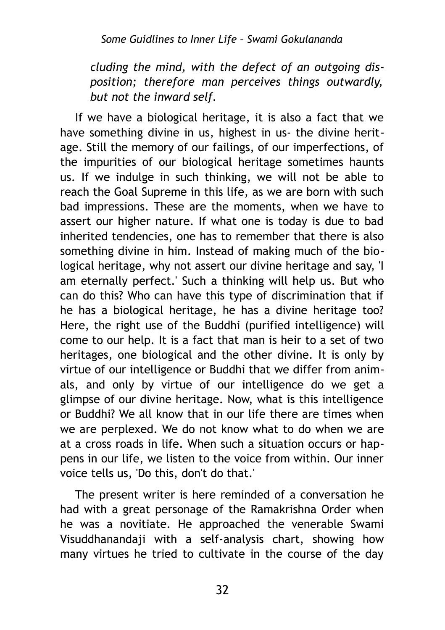*cluding the mind, with the defect of an outgoing disposition; therefore man perceives things outwardly, but not the inward self.*

If we have a biological heritage, it is also a fact that we have something divine in us, highest in us- the divine heritage. Still the memory of our failings, of our imperfections, of the impurities of our biological heritage sometimes haunts us. If we indulge in such thinking, we will not be able to reach the Goal Supreme in this life, as we are born with such bad impressions. These are the moments, when we have to assert our higher nature. If what one is today is due to bad inherited tendencies, one has to remember that there is also something divine in him. Instead of making much of the biological heritage, why not assert our divine heritage and say, 'I am eternally perfect.' Such a thinking will help us. But who can do this? Who can have this type of discrimination that if he has a biological heritage, he has a divine heritage too? Here, the right use of the Buddhi (purified intelligence) will come to our help. It is a fact that man is heir to a set of two heritages, one biological and the other divine. It is only by virtue of our intelligence or Buddhi that we differ from animals, and only by virtue of our intelligence do we get a glimpse of our divine heritage. Now, what is this intelligence or Buddhi? We all know that in our life there are times when we are perplexed. We do not know what to do when we are at a cross roads in life. When such a situation occurs or happens in our life, we listen to the voice from within. Our inner voice tells us, 'Do this, don't do that.'

The present writer is here reminded of a conversation he had with a great personage of the Ramakrishna Order when he was a novitiate. He approached the venerable Swami Visuddhanandaji with a self-analysis chart, showing how many virtues he tried to cultivate in the course of the day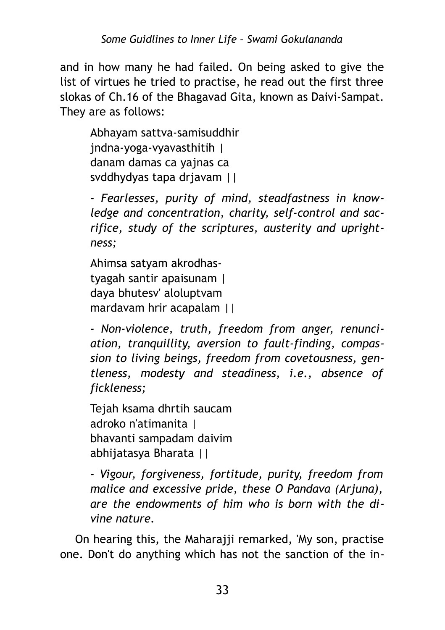and in how many he had failed. On being asked to give the list of virtues he tried to practise, he read out the first three slokas of Ch.16 of the Bhagavad Gita, known as Daivi-Sampat. They are as follows:

Abhayam sattva-samisuddhir jndna-yoga-vyavasthitih | danam damas ca yajnas ca svddhydyas tapa drjavam ||

*- Fearlesses, purity of mind, steadfastness in knowledge and concentration, charity, self-control and sacrifice, study of the scriptures, austerity and uprightness;*

Ahimsa satyam akrodhastyagah santir apaisunam | daya bhutesv' aloluptvam mardavam hrir acapalam ||

*- Non-violence, truth, freedom from anger, renunciation, tranquillity, aversion to fault-finding, compassion to living beings, freedom from covetousness, gentleness, modesty and steadiness, i.e., absence of fickleness;*

Tejah ksama dhrtih saucam adroko n'atimanita | bhavanti sampadam daivim abhijatasya Bharata ||

*- Vigour, forgiveness, fortitude, purity, freedom from malice and excessive pride, these О Pandava (Arjuna), are the endowments of him who is born with the divine nature.*

On hearing this, the Maharajji remarked, 'My son, practise one. Don't do anything which has not the sanction of the in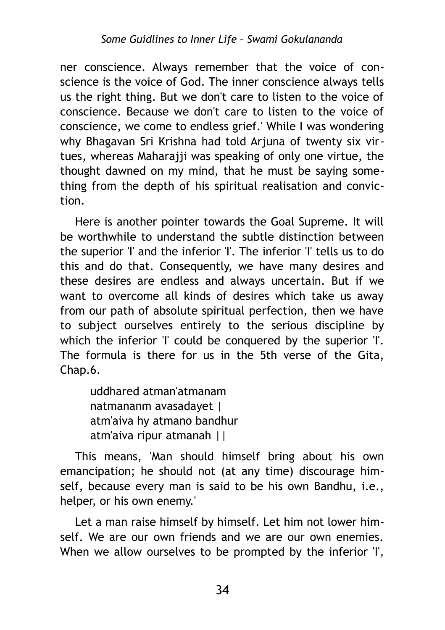ner conscience. Always remember that the voice of conscience is the voice of God. The inner conscience always tells us the right thing. But we don't care to listen to the voice of conscience. Because we don't care to listen to the voice of conscience, we come to endless grief.' While I was wondering why Bhagavan Sri Krishna had told Arjuna of twenty six virtues, whereas Maharajji was speaking of only one virtue, the thought dawned on my mind, that he must be saying something from the depth of his spiritual realisation and conviction.

Here is another pointer towards the Goal Supreme. It will be worthwhile to understand the subtle distinction between the superior 'I' and the inferior 'I'. The inferior 'I' tells us to do this and do that. Consequently, we have many desires and these desires are endless and always uncertain. But if we want to overcome all kinds of desires which take us away from our path of absolute spiritual perfection, then we have to subject ourselves entirely to the serious discipline by which the inferior 'I' could be conquered by the superior 'I'. The formula is there for us in the 5th verse of the Gita, Chap.6.

uddhared atman'atmanam natmananm avasadayet | atm'aiva hy atmano bandhur atm'aiva ripur atmanah ||

This means, 'Man should himself bring about his own emancipation; he should not (at any time) discourage himself, because every man is said to be his own Bandhu, i.e., helper, or his own enemy.'

Let a man raise himself by himself. Let him not lower himself. We are our own friends and we are our own enemies. When we allow ourselves to be prompted by the inferior 'I',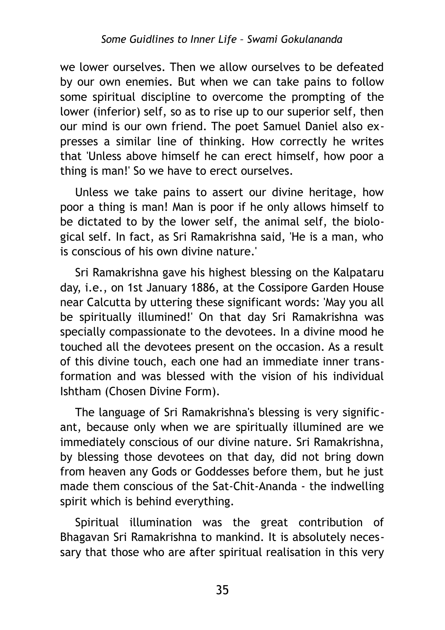we lower ourselves. Then we allow ourselves to be defeated by our own enemies. But when we can take pains to follow some spiritual discipline to overcome the prompting of the lower (inferior) self, so as to rise up to our superior self, then our mind is our own friend. The poet Samuel Daniel also expresses a similar line of thinking. How correctly he writes that 'Unless above himself he can erect himself, how poor a thing is man!' So we have to erect ourselves.

Unless we take pains to assert our divine heritage, how poor a thing is man! Man is poor if he only allows himself to be dictated to by the lower self, the animal self, the biological self. In fact, as Sri Ramakrishna said, 'He is a man, who is conscious of his own divine nature.'

Sri Ramakrishna gave his highest blessing on the Kalpataru day, i.e., on 1st January 1886, at the Cossipore Garden House near Calcutta by uttering these significant words: 'May you all be spiritually illumined!' On that day Sri Ramakrishna was specially compassionate to the devotees. In a divine mood he touched all the devotees present on the occasion. As a result of this divine touch, each one had an immediate inner transformation and was blessed with the vision of his individual Ishtham (Chosen Divine Form).

The language of Sri Ramakrishna's blessing is very significant, because only when we are spiritually illumined are we immediately conscious of our divine nature. Sri Ramakrishna, by blessing those devotees on that day, did not bring down from heaven any Gods or Goddesses before them, but he just made them conscious of the Sat-Chit-Ananda - the indwelling spirit which is behind everything.

Spiritual illumination was the great contribution of Bhagavan Sri Ramakrishna to mankind. It is absolutely necessary that those who are after spiritual realisation in this very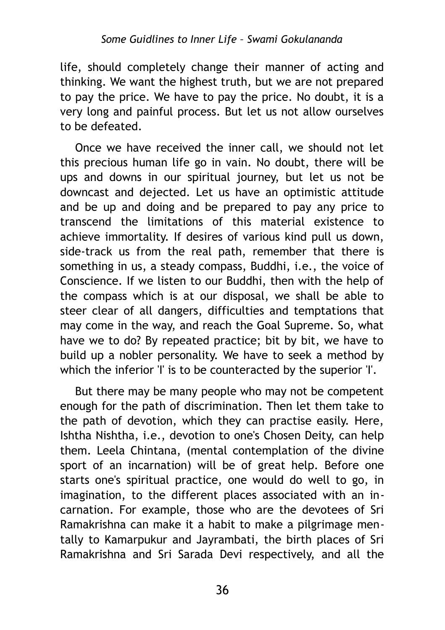life, should completely change their manner of acting and thinking. We want the highest truth, but we are not prepared to pay the price. We have to pay the price. No doubt, it is a very long and painful process. But let us not allow ourselves to be defeated.

Once we have received the inner call, we should not let this precious human life go in vain. No doubt, there will be ups and downs in our spiritual journey, but let us not be downcast and dejected. Let us have an optimistic attitude and be up and doing and be prepared to pay any price to transcend the limitations of this material existence to achieve immortality. If desires of various kind pull us down, side-track us from the real path, remember that there is something in us, a steady compass, Buddhi, i.e., the voice of Conscience. If we listen to our Buddhi, then with the help of the compass which is at our disposal, we shall be able to steer clear of all dangers, difficulties and temptations that may come in the way, and reach the Goal Supreme. So, what have we to do? By repeated practice; bit by bit, we have to build up a nobler personality. We have to seek a method by which the inferior 'I' is to be counteracted by the superior 'I'.

But there may be many people who may not be competent enough for the path of discrimination. Then let them take to the path of devotion, which they can practise easily. Here, Ishtha Nishtha, i.e., devotion to one's Chosen Deity, can help them. Leela Chintana, (mental contemplation of the divine sport of an incarnation) will be of great help. Before one starts one's spiritual practice, one would do well to go, in imagination, to the different places associated with an incarnation. For example, those who are the devotees of Sri Ramakrishna can make it a habit to make a pilgrimage mentally to Kamarpukur and Jayrambati, the birth places of Sri Ramakrishna and Sri Sarada Devi respectively, and all the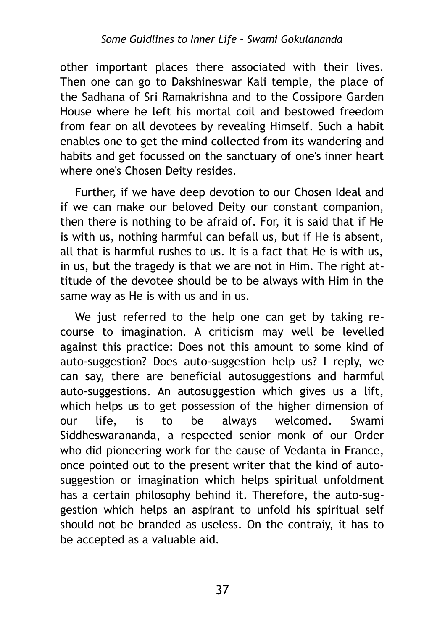other important places there associated with their lives. Then one can go to Dakshineswar Kali temple, the place of the Sadhana of Sri Ramakrishna and to the Cossipore Garden House where he left his mortal coil and bestowed freedom from fear on all devotees by revealing Himself. Such a habit enables one to get the mind collected from its wandering and habits and get focussed on the sanctuary of one's inner heart where one's Chosen Deity resides.

Further, if we have deep devotion to our Chosen Ideal and if we can make our beloved Deity our constant companion, then there is nothing to be afraid of. For, it is said that if He is with us, nothing harmful can befall us, but if He is absent, all that is harmful rushes to us. It is a fact that He is with us, in us, but the tragedy is that we are not in Him. The right attitude of the devotee should be to be always with Him in the same way as He is with us and in us.

We just referred to the help one can get by taking recourse to imagination. A criticism may well be levelled against this practice: Does not this amount to some kind of auto-suggestion? Does auto-suggestion help us? I reply, we can say, there are beneficial autosuggestions and harmful auto-suggestions. An autosuggestion which gives us a lift, which helps us to get possession of the higher dimension of our life, is to be always welcomed. Swami Siddheswarananda, a respected senior monk of our Order who did pioneering work for the cause of Vedanta in France, once pointed out to the present writer that the kind of autosuggestion or imagination which helps spiritual unfoldment has a certain philosophy behind it. Therefore, the auto-suggestion which helps an aspirant to unfold his spiritual self should not be branded as useless. On the contraiy, it has to be accepted as a valuable aid.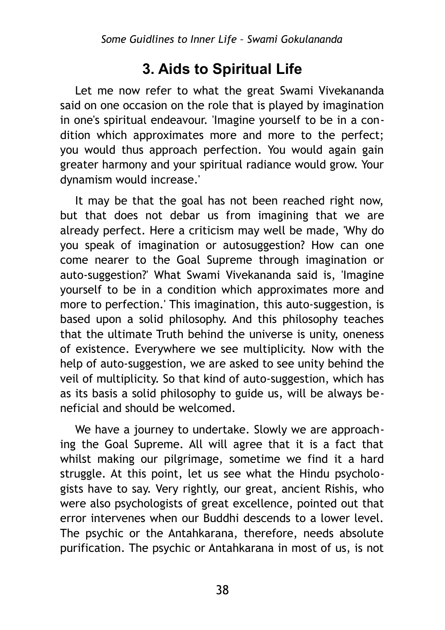## **3. Aids to Spiritual Life**

Let me now refer to what the great Swami Vivekananda said on one occasion on the role that is played by imagination in one's spiritual endeavour. 'Imagine yourself to be in a condition which approximates more and more to the perfect; you would thus approach perfection. You would again gain greater harmony and your spiritual radiance would grow. Your dynamism would increase.'

It may be that the goal has not been reached right now, but that does not debar us from imagining that we are already perfect. Here a criticism may well be made, 'Why do you speak of imagination or autosuggestion? How can one come nearer to the Goal Supreme through imagination or auto-suggestion?' What Swami Vivekananda said is, 'Imagine yourself to be in a condition which approximates more and more to perfection.' This imagination, this auto-suggestion, is based upon a solid philosophy. And this philosophy teaches that the ultimate Truth behind the universe is unity, oneness of existence. Everywhere we see multiplicity. Now with the help of auto-suggestion, we are asked to see unity behind the veil of multiplicity. So that kind of auto-suggestion, which has as its basis a solid philosophy to guide us, will be always beneficial and should be welcomed.

We have a journey to undertake. Slowly we are approaching the Goal Supreme. All will agree that it is a fact that whilst making our pilgrimage, sometime we find it a hard struggle. At this point, let us see what the Hindu psychologists have to say. Very rightly, our great, ancient Rishis, who were also psychologists of great excellence, pointed out that error intervenes when our Buddhi descends to a lower level. The psychic or the Antahkarana, therefore, needs absolute purification. The psychic or Antahkarana in most of us, is not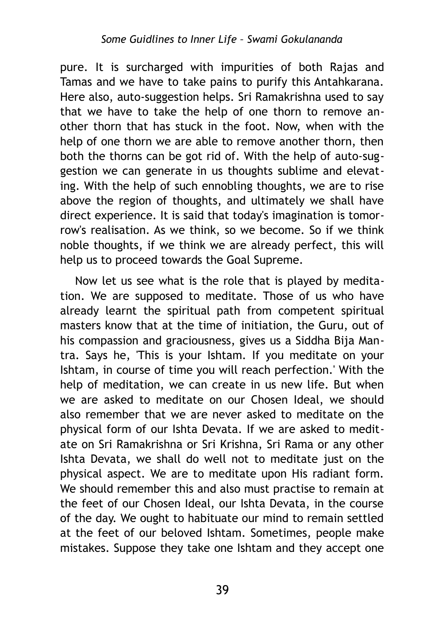pure. It is surcharged with impurities of both Rajas and Tamas and we have to take pains to purify this Antahkarana. Here also, auto-suggestion helps. Sri Ramakrishna used to say that we have to take the help of one thorn to remove another thorn that has stuck in the foot. Now, when with the help of one thorn we are able to remove another thorn, then both the thorns can be got rid of. With the help of auto-suggestion we can generate in us thoughts sublime and elevating. With the help of such ennobling thoughts, we are to rise above the region of thoughts, and ultimately we shall have direct experience. It is said that today's imagination is tomorrow's realisation. As we think, so we become. So if we think noble thoughts, if we think we are already perfect, this will help us to proceed towards the Goal Supreme.

Now let us see what is the role that is played by meditation. We are supposed to meditate. Those of us who have already learnt the spiritual path from competent spiritual masters know that at the time of initiation, the Guru, out of his compassion and graciousness, gives us a Siddha Bija Mantra. Says he, 'This is your Ishtam. If you meditate on your Ishtam, in course of time you will reach perfection.' With the help of meditation, we can create in us new life. But when we are asked to meditate on our Chosen Ideal, we should also remember that we are never asked to meditate on the physical form of our Ishta Devata. If we are asked to meditate on Sri Ramakrishna or Sri Krishna, Sri Rama or any other Ishta Devata, we shall do well not to meditate just on the physical aspect. We are to meditate upon His radiant form. We should remember this and also must practise to remain at the feet of our Chosen Ideal, our Ishta Devata, in the course of the day. We ought to habituate our mind to remain settled at the feet of our beloved Ishtam. Sometimes, people make mistakes. Suppose they take one Ishtam and they accept one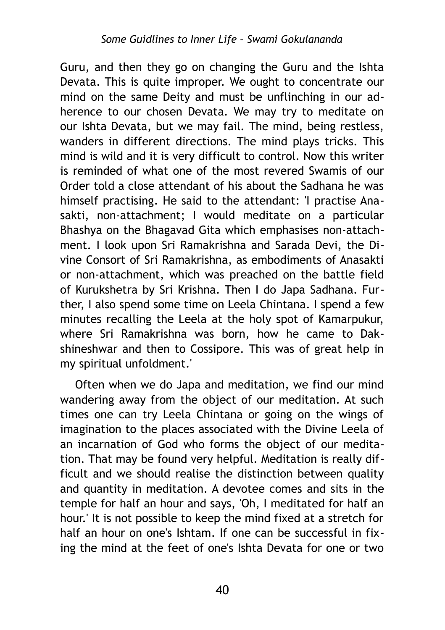Guru, and then they go on changing the Guru and the Ishta Devata. This is quite improper. We ought to concentrate our mind on the same Deity and must be unflinching in our adherence to our chosen Devata. We may try to meditate on our Ishta Devata, but we may fail. The mind, being restless, wanders in different directions. The mind plays tricks. This mind is wild and it is very difficult to control. Now this writer is reminded of what one of the most revered Swamis of our Order told a close attendant of his about the Sadhana he was himself practising. He said to the attendant: 'I practise Anasakti, non-attachment; I would meditate on a particular Bhashya on the Bhagavad Gita which emphasises non-attachment. I look upon Sri Ramakrishna and Sarada Devi, the Divine Consort of Sri Ramakrishna, as embodiments of Anasakti or non-attachment, which was preached on the battle field of Kurukshetra by Sri Krishna. Then I do Japa Sadhana. Further, I also spend some time on Leela Chintana. I spend a few minutes recalling the Leela at the holy spot of Kamarpukur, where Sri Ramakrishna was born, how he came to Dakshineshwar and then to Cossipore. This was of great help in my spiritual unfoldment.'

Often when we do Japa and meditation, we find our mind wandering away from the object of our meditation. At such times one can try Leela Chintana or going on the wings of imagination to the places associated with the Divine Leela of an incarnation of God who forms the object of our meditation. That may be found very helpful. Meditation is really difficult and we should realise the distinction between quality and quantity in meditation. A devotee comes and sits in the temple for half an hour and says, 'Oh, I meditated for half an hour.' It is not possible to keep the mind fixed at a stretch for half an hour on one's Ishtam. If one can be successful in fixing the mind at the feet of one's Ishta Devata for one or two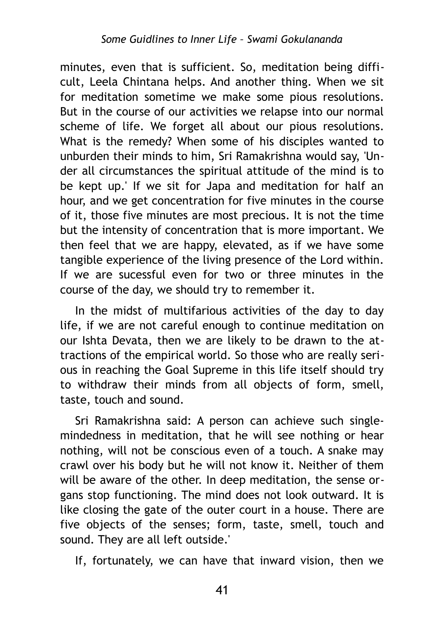minutes, even that is sufficient. So, meditation being difficult, Leela Chintana helps. And another thing. When we sit for meditation sometime we make some pious resolutions. But in the course of our activities we relapse into our normal scheme of life. We forget all about our pious resolutions. What is the remedy? When some of his disciples wanted to unburden their minds to him, Sri Ramakrishna would say, 'Under all circumstances the spiritual attitude of the mind is to be kept up.' If we sit for Japa and meditation for half an hour, and we get concentration for five minutes in the course of it, those five minutes are most precious. It is not the time but the intensity of concentration that is more important. We then feel that we are happy, elevated, as if we have some tangible experience of the living presence of the Lord within. If we are sucessful even for two or three minutes in the course of the day, we should try to remember it.

In the midst of multifarious activities of the day to day life, if we are not careful enough to continue meditation on our Ishta Devata, then we are likely to be drawn to the attractions of the empirical world. So those who are really serious in reaching the Goal Supreme in this life itself should try to withdraw their minds from all objects of form, smell, taste, touch and sound.

Sri Ramakrishna said: A person can achieve such singlemindedness in meditation, that he will see nothing or hear nothing, will not be conscious even of a touch. A snake may crawl over his body but he will not know it. Neither of them will be aware of the other. In deep meditation, the sense organs stop functioning. The mind does not look outward. It is like closing the gate of the outer court in a house. There are five objects of the senses; form, taste, smell, touch and sound. They are all left outside.'

If, fortunately, we can have that inward vision, then we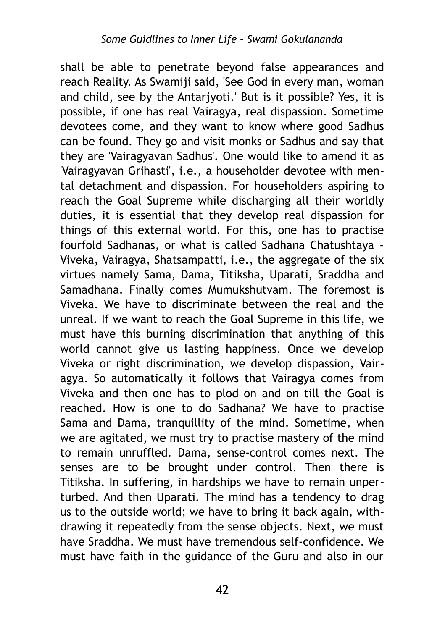shall be able to penetrate beyond false appearances and reach Reality. As Swamiji said, 'See God in every man, woman and child, see by the Antarjyoti.' But is it possible? Yes, it is possible, if one has real Vairagya, real dispassion. Sometime devotees come, and they want to know where good Sadhus can be found. They go and visit monks or Sadhus and say that they are 'Vairagyavan Sadhus'. One would like to amend it as 'Vairagyavan Grihasti', i.e., a householder devotee with mental detachment and dispassion. For householders aspiring to reach the Goal Supreme while discharging all their worldly duties, it is essential that they develop real dispassion for things of this external world. For this, one has to practise fourfold Sadhanas, or what is called Sadhana Chatushtaya - Viveka, Vairagya, Shatsampatti, i.e., the aggregate of the six virtues namely Sama, Dama, Titiksha, Uparati, Sraddha and Samadhana. Finally comes Mumukshutvam. The foremost is Viveka. We have to discriminate between the real and the unreal. If we want to reach the Goal Supreme in this life, we must have this burning discrimination that anything of this world cannot give us lasting happiness. Once we develop Viveka or right discrimination, we develop dispassion, Vairagya. So automatically it follows that Vairagya comes from Viveka and then one has to plod on and on till the Goal is reached. How is one to do Sadhana? We have to practise Sama and Dama, tranquillity of the mind. Sometime, when we are agitated, we must try to practise mastery of the mind to remain unruffled. Dama, sense-control comes next. The senses are to be brought under control. Then there is Titiksha. In suffering, in hardships we have to remain unperturbed. And then Uparati. The mind has a tendency to drag us to the outside world; we have to bring it back again, withdrawing it repeatedly from the sense objects. Next, we must have Sraddha. We must have tremendous self-confidence. We must have faith in the guidance of the Guru and also in our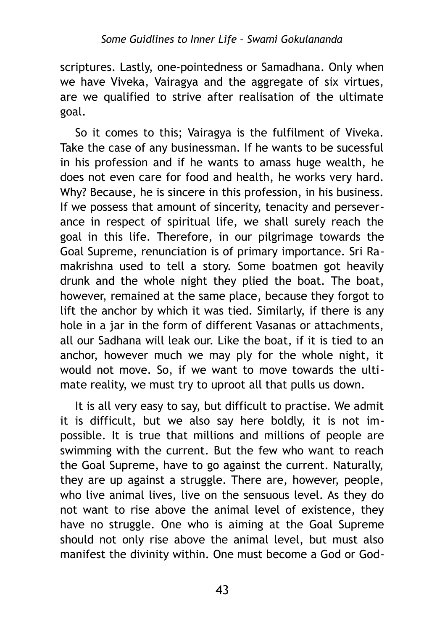scriptures. Lastly, one-pointedness or Samadhana. Only when we have Viveka, Vairagya and the aggregate of six virtues, are we qualified to strive after realisation of the ultimate goal.

So it comes to this; Vairagya is the fulfilment of Viveka. Take the case of any businessman. If he wants to be sucessful in his profession and if he wants to amass huge wealth, he does not even care for food and health, he works very hard. Why? Because, he is sincere in this profession, in his business. If we possess that amount of sincerity, tenacity and perseverance in respect of spiritual life, we shall surely reach the goal in this life. Therefore, in our pilgrimage towards the Goal Supreme, renunciation is of primary importance. Sri Ramakrishna used to tell a story. Some boatmen got heavily drunk and the whole night they plied the boat. The boat, however, remained at the same place, because they forgot to lift the anchor by which it was tied. Similarly, if there is any hole in a jar in the form of different Vasanas or attachments, all our Sadhana will leak our. Like the boat, if it is tied to an anchor, however much we may ply for the whole night, it would not move. So, if we want to move towards the ultimate reality, we must try to uproot all that pulls us down.

It is all very easy to say, but difficult to practise. We admit it is difficult, but we also say here boldly, it is not impossible. It is true that millions and millions of people are swimming with the current. But the few who want to reach the Goal Supreme, have to go against the current. Naturally, they are up against a struggle. There are, however, people, who live animal lives, live on the sensuous level. As they do not want to rise above the animal level of existence, they have no struggle. One who is aiming at the Goal Supreme should not only rise above the animal level, but must also manifest the divinity within. One must become a God or God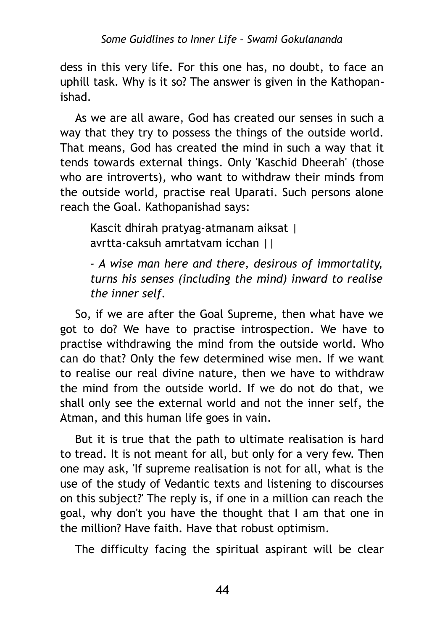dess in this very life. For this one has, no doubt, to face an uphill task. Why is it so? The answer is given in the Kathopanishad.

As we are all aware, God has created our senses in such a way that they try to possess the things of the outside world. That means, God has created the mind in such a way that it tends towards external things. Only 'Kaschid Dheerah' (those who are introverts), who want to withdraw their minds from the outside world, practise real Uparati. Such persons alone reach the Goal. Kathopanishad says:

Kascit dhirah pratyag-atmanam aiksat | avrtta-caksuh amrtatvam icchan ||

*- A wise man here and there, desirous of immortality, turns his senses (including the mind) inward to realise the inner self.*

So, if we are after the Goal Supreme, then what have we got to do? We have to practise introspection. We have to practise withdrawing the mind from the outside world. Who can do that? Only the few determined wise men. If we want to realise our real divine nature, then we have to withdraw the mind from the outside world. If we do not do that, we shall only see the external world and not the inner self, the Atman, and this human life goes in vain.

But it is true that the path to ultimate realisation is hard to tread. It is not meant for all, but only for a very few. Then one may ask, 'If supreme realisation is not for all, what is the use of the study of Vedantic texts and listening to discourses on this subject?' The reply is, if one in a million can reach the goal, why don't you have the thought that I am that one in the million? Have faith. Have that robust optimism.

The difficulty facing the spiritual aspirant will be clear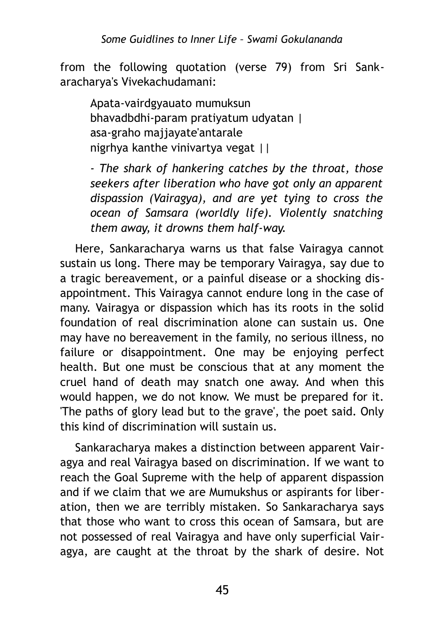from the following quotation (verse 79) from Sri Sankaracharya's Vivekachudamani:

Apata-vairdgyauato mumuksun bhavadbdhi-param pratiyatum udyatan | asa-graho majjayate'antarale nigrhya kanthe vinivartya vegat ||

*- The shark of hankering catches by the throat, those seekers after liberation who have got only an apparent dispassion (Vairagya), and are yet tying to cross the ocean of Samsara (worldly life). Violently snatching them away, it drowns them half-way.*

Here, Sankaracharya warns us that false Vairagya cannot sustain us long. There may be temporary Vairagya, say due to a tragic bereavement, or a painful disease or a shocking disappointment. This Vairagya cannot endure long in the case of many. Vairagya or dispassion which has its roots in the solid foundation of real discrimination alone can sustain us. One may have no bereavement in the family, no serious illness, no failure or disappointment. One may be enjoying perfect health. But one must be conscious that at any moment the cruel hand of death may snatch one away. And when this would happen, we do not know. We must be prepared for it. 'The paths of glory lead but to the grave', the poet said. Only this kind of discrimination will sustain us.

Sankaracharya makes a distinction between apparent Vairagya and real Vairagya based on discrimination. If we want to reach the Goal Supreme with the help of apparent dispassion and if we claim that we are Mumukshus or aspirants for liberation, then we are terribly mistaken. So Sankaracharya says that those who want to cross this ocean of Samsara, but are not possessed of real Vairagya and have only superficial Vairagya, are caught at the throat by the shark of desire. Not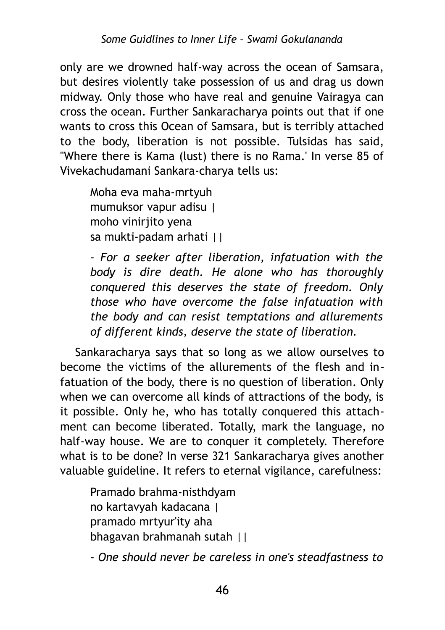only are we drowned half-way across the ocean of Samsara, but desires violently take possession of us and drag us down midway. Only those who have real and genuine Vairagya can cross the ocean. Further Sankaracharya points out that if one wants to cross this Ocean of Samsara, but is terribly attached to the body, liberation is not possible. Tulsidas has said, "Where there is Kama (lust) there is no Rama.' In verse 85 of Vivekachudamani Sankara-charya tells us:

Moha eva maha-mrtyuh mumuksor vapur adisu | moho viniriito vena sa mukti-padam arhati ||

*- For a seeker after liberation, infatuation with the body is dire death. He alone who has thoroughly conquered this deserves the state of freedom. Only those who have overcome the false infatuation with the body and can resist temptations and allurements of different kinds, deserve the state of liberation.*

Sankaracharya says that so long as we allow ourselves to become the victims of the allurements of the flesh and infatuation of the body, there is no question of liberation. Only when we can overcome all kinds of attractions of the body, is it possible. Only he, who has totally conquered this attachment can become liberated. Totally, mark the language, no half-way house. We are to conquer it completely. Therefore what is to be done? In verse 321 Sankaracharya gives another valuable guideline. It refers to eternal vigilance, carefulness:

Pramado brahma-nisthdyam no kartavyah kadacana | pramado mrtyur'ity aha bhagavan brahmanah sutah ||

*- One should never be careless in one's steadfastness to*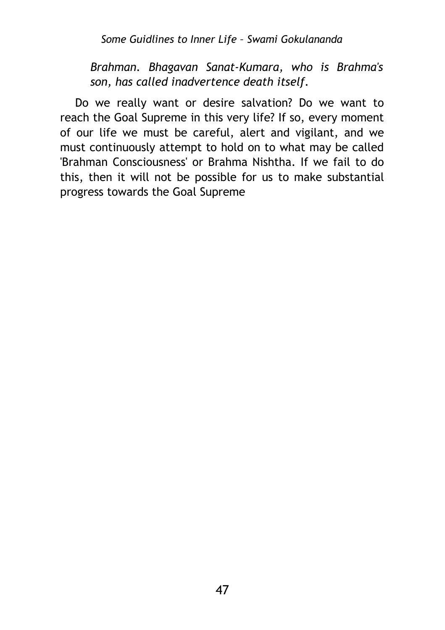*Some Guidlines to Inner Life – Swami Gokulananda*

*Brahman. Bhagavan Sanat-Kumara, who is Brahma's son, has called inadvertence death itself.*

Do we really want or desire salvation? Do we want to reach the Goal Supreme in this very life? If so, every moment of our life we must be careful, alert and vigilant, and we must continuously attempt to hold on to what may be called 'Brahman Consciousness' or Brahma Nishtha. If we fail to do this, then it will not be possible for us to make substantial progress towards the Goal Supreme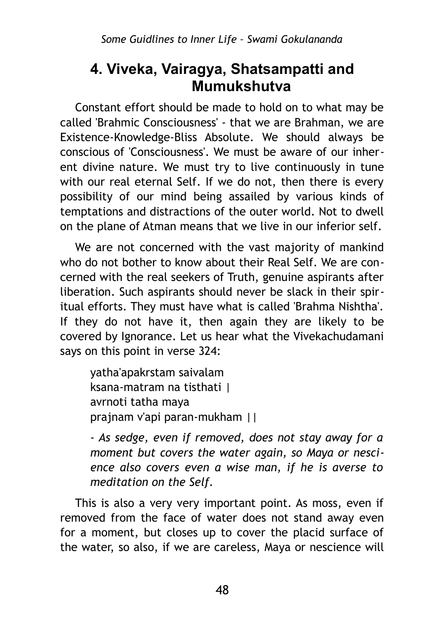### **4. Viveka, Vairagya, Shatsampatti and Mumukshutva**

Constant effort should be made to hold on to what may be called 'Brahmic Consciousness' - that we are Brahman, we are Existence-Knowledge-Bliss Absolute. We should always be conscious of 'Consciousness'. We must be aware of our inherent divine nature. We must try to live continuously in tune with our real eternal Self. If we do not, then there is every possibility of our mind being assailed by various kinds of temptations and distractions of the outer world. Not to dwell on the plane of Atman means that we live in our inferior self.

We are not concerned with the vast majority of mankind who do not bother to know about their Real Self. We are concerned with the real seekers of Truth, genuine aspirants after liberation. Such aspirants should never be slack in their spiritual efforts. They must have what is called 'Brahma Nishtha'. If they do not have it, then again they are likely to be covered by Ignorance. Let us hear what the Vivekachudamani says on this point in verse 324:

yatha'apakrstam saivalam ksana-matram na tisthati | avrnoti tatha maya prajnam v'api paran-mukham ||

*- As sedge, even if removed, does not stay away for a moment but covers the water again, so Maya or nescience also covers even a wise man, if he is averse to meditation on the Self.*

This is also a very very important point. As moss, even if removed from the face of water does not stand away even for a moment, but closes up to cover the placid surface of the water, so also, if we are careless, Maya or nescience will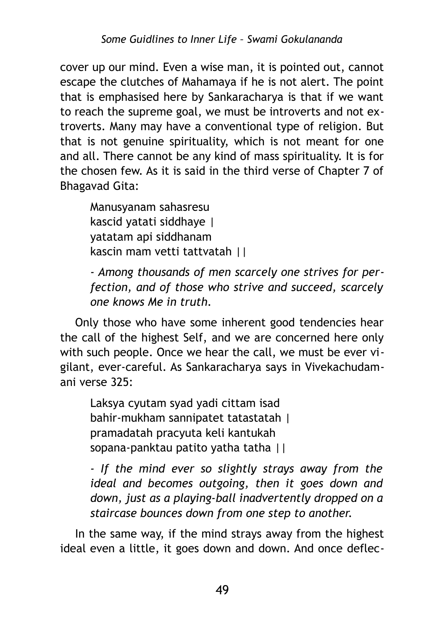cover up our mind. Even a wise man, it is pointed out, cannot escape the clutches of Mahamaya if he is not alert. The point that is emphasised here by Sankaracharya is that if we want to reach the supreme goal, we must be introverts and not extroverts. Many may have a conventional type of religion. But that is not genuine spirituality, which is not meant for one and all. There cannot be any kind of mass spirituality. It is for the chosen few. As it is said in the third verse of Chapter 7 of Bhagavad Gita:

Manusyanam sahasresu kascid yatati siddhaye | yatatam api siddhanam kascin mam vetti tattvatah ||

*- Among thousands of men scarcely one strives for perfection, and of those who strive and succeed, scarcely one knows Me in truth.*

Only those who have some inherent good tendencies hear the call of the highest Self, and we are concerned here only with such people. Once we hear the call, we must be ever vigilant, ever-careful. As Sankaracharya says in Vivekachudamani verse 325:

Laksya cyutam syad yadi cittam isad bahir-mukham sannipatet tatastatah | pramadatah pracyuta keli kantukah sopana-panktau patito yatha tatha ||

*- If the mind ever so slightly strays away from the ideal and becomes outgoing, then it goes down and down, just as a playing-ball inadvertently dropped on a staircase bounces down from one step to another.*

In the same way, if the mind strays away from the highest ideal even a little, it goes down and down. And once deflec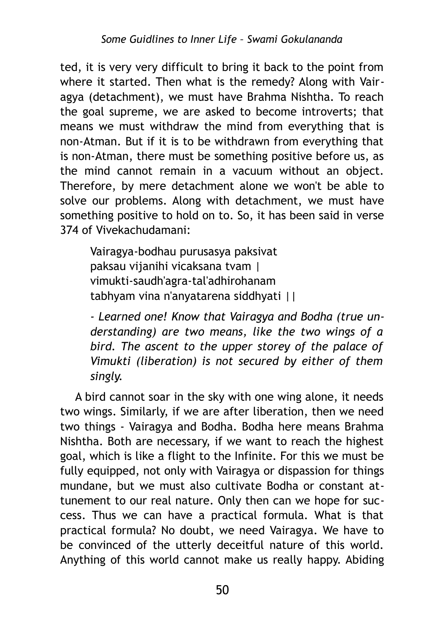ted, it is very very difficult to bring it back to the point from where it started. Then what is the remedy? Along with Vairagya (detachment), we must have Brahma Nishtha. To reach the goal supreme, we are asked to become introverts; that means we must withdraw the mind from everything that is non-Atman. But if it is to be withdrawn from everything that is non-Atman, there must be something positive before us, as the mind cannot remain in a vacuum without an object. Therefore, by mere detachment alone we won't be able to solve our problems. Along with detachment, we must have something positive to hold on to. So, it has been said in verse 374 of Vivekachudamani:

Vairagya-bodhau purusasya paksivat paksau vijanihi vicaksana tvam | vimukti-saudh'agra-tal'adhirohanam tabhyam vina n'anyatarena siddhyati ||

*- Learned one! Know that Vairagya and Bodha (true understanding) are two means, like the two wings of a bird. The ascent to the upper storey of the palace of Vimukti (liberation) is not secured by either of them singly.*

A bird cannot soar in the sky with one wing alone, it needs two wings. Similarly, if we are after liberation, then we need two things - Vairagya and Bodha. Bodha here means Brahma Nishtha. Both are necessary, if we want to reach the highest goal, which is like a flight to the Infinite. For this we must be fully equipped, not only with Vairagya or dispassion for things mundane, but we must also cultivate Bodha or constant attunement to our real nature. Only then can we hope for success. Thus we can have a practical formula. What is that practical formula? No doubt, we need Vairagya. We have to be convinced of the utterly deceitful nature of this world. Anything of this world cannot make us really happy. Abiding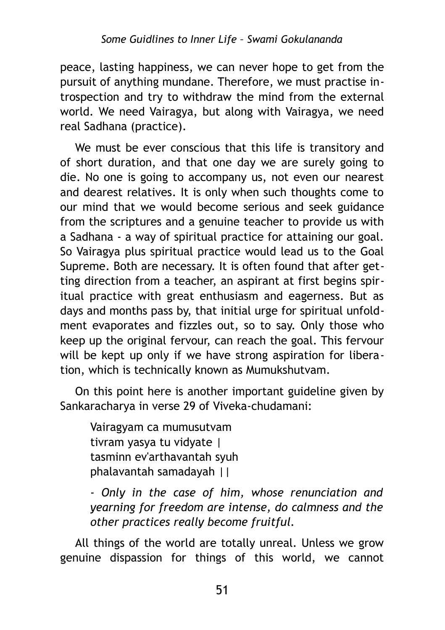peace, lasting happiness, we can never hope to get from the pursuit of anything mundane. Therefore, we must practise introspection and try to withdraw the mind from the external world. We need Vairagya, but along with Vairagya, we need real Sadhana (practice).

We must be ever conscious that this life is transitory and of short duration, and that one day we are surely going to die. No one is going to accompany us, not even our nearest and dearest relatives. It is only when such thoughts come to our mind that we would become serious and seek guidance from the scriptures and a genuine teacher to provide us with a Sadhana - a way of spiritual practice for attaining our goal. So Vairagya plus spiritual practice would lead us to the Goal Supreme. Both are necessary. It is often found that after getting direction from a teacher, an aspirant at first begins spiritual practice with great enthusiasm and eagerness. But as days and months pass by, that initial urge for spiritual unfoldment evaporates and fizzles out, so to say. Only those who keep up the original fervour, can reach the goal. This fervour will be kept up only if we have strong aspiration for liberation, which is technically known as Mumukshutvam.

On this point here is another important guideline given by Sankaracharya in verse 29 of Viveka-chudamani:

Vairagyam ca mumusutvam tivram yasya tu vidyate | tasminn ev'arthavantah syuh phalavantah samadayah ||

*- Only in the case of him, whose renunciation and yearning for freedom are intense, do calmness and the other practices really become fruitful.*

All things of the world are totally unreal. Unless we grow genuine dispassion for things of this world, we cannot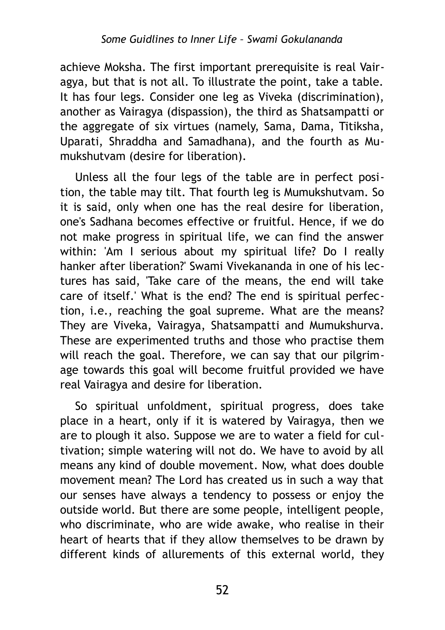achieve Moksha. The first important prerequisite is real Vairagya, but that is not all. To illustrate the point, take a table. It has four legs. Consider one leg as Viveka (discrimination), another as Vairagya (dispassion), the third as Shatsampatti or the aggregate of six virtues (namely, Sama, Dama, Titiksha, Uparati, Shraddha and Samadhana), and the fourth as Mumukshutvam (desire for liberation).

Unless all the four legs of the table are in perfect position, the table may tilt. That fourth leg is Mumukshutvam. So it is said, only when one has the real desire for liberation, one's Sadhana becomes effective or fruitful. Hence, if we do not make progress in spiritual life, we can find the answer within: 'Am I serious about my spiritual life? Do I really hanker after liberation?' Swami Vivekananda in one of his lectures has said, 'Take care of the means, the end will take care of itself.' What is the end? The end is spiritual perfection, i.e., reaching the goal supreme. What are the means? They are Viveka, Vairagya, Shatsampatti and Mumukshurva. These are experimented truths and those who practise them will reach the goal. Therefore, we can say that our pilgrimage towards this goal will become fruitful provided we have real Vairagya and desire for liberation.

So spiritual unfoldment, spiritual progress, does take place in a heart, only if it is watered by Vairagya, then we are to plough it also. Suppose we are to water a field for cultivation; simple watering will not do. We have to avoid by all means any kind of double movement. Now, what does double movement mean? The Lord has created us in such a way that our senses have always a tendency to possess or enjoy the outside world. But there are some people, intelligent people, who discriminate, who are wide awake, who realise in their heart of hearts that if they allow themselves to be drawn by different kinds of allurements of this external world, they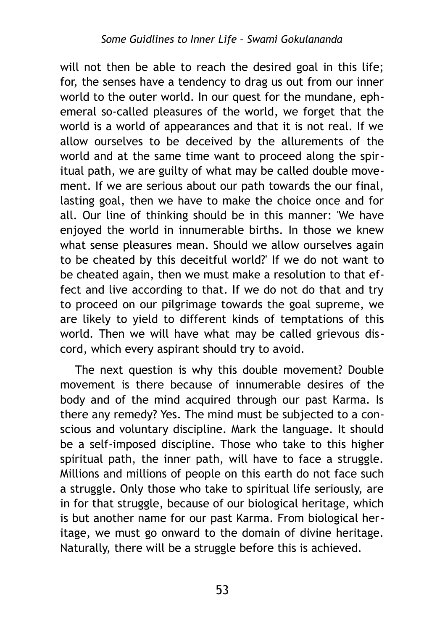will not then be able to reach the desired goal in this life; for, the senses have a tendency to drag us out from our inner world to the outer world. In our quest for the mundane, ephemeral so-called pleasures of the world, we forget that the world is a world of appearances and that it is not real. If we allow ourselves to be deceived by the allurements of the world and at the same time want to proceed along the spiritual path, we are guilty of what may be called double movement. If we are serious about our path towards the our final, lasting goal, then we have to make the choice once and for all. Our line of thinking should be in this manner: 'We have enjoyed the world in innumerable births. In those we knew what sense pleasures mean. Should we allow ourselves again to be cheated by this deceitful world?' If we do not want to be cheated again, then we must make a resolution to that effect and live according to that. If we do not do that and try to proceed on our pilgrimage towards the goal supreme, we are likely to yield to different kinds of temptations of this world. Then we will have what may be called grievous discord, which every aspirant should try to avoid.

The next question is why this double movement? Double movement is there because of innumerable desires of the body and of the mind acquired through our past Каrmа. Is there any remedy? Yes. The mind must be subjected to a conscious and voluntary discipline. Mark the language. It should be a self-imposed discipline. Those who take to this higher spiritual path, the inner path, will have to face a struggle. Millions and millions of people on this earth do not face such a struggle. Only those who take to spiritual life seriously, are in for that struggle, because of our biological heritage, which is but another name for our past Karma. From biological heritage, we must go onward to the domain of divine heritage. Naturally, there will be a struggle before this is achieved.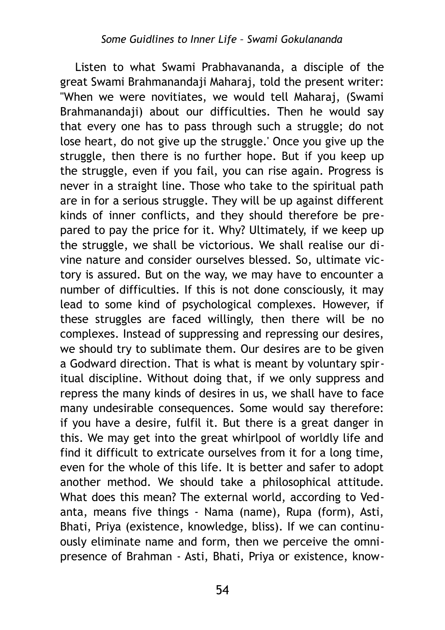Listen to what Swami Prabhavananda, a disciple of the great Swami Brahmanandaji Maharaj, told the present writer: "When we were novitiates, we would tell Maharaj, (Swami Brahmanandaji) about our difficulties. Then he would say that every one has to pass through such a struggle; do not lose heart, do not give up the struggle.' Once you give up the struggle, then there is no further hope. But if you keep up the struggle, even if you fail, you can rise again. Progress is never in a straight line. Those who take to the spiritual path are in for a serious struggle. They will be up against different kinds of inner conflicts, and they should therefore be prepared to pay the price for it. Why? Ultimately, if we keep up the struggle, we shall be victorious. We shall realise our divine nature and consider ourselves blessed. So, ultimate victory is assured. But on the way, we may have to encounter a number of difficulties. If this is not done consciously, it may lead to some kind of psychological complexes. However, if these struggles are faced willingly, then there will be no complexes. Instead of suppressing and repressing our desires, we should try to sublimate them. Our desires are to be given a Godward direction. That is what is meant by voluntary spiritual discipline. Without doing that, if we only suppress and repress the many kinds of desires in us, we shall have to face many undesirable consequences. Some would say therefore: if you have a desire, fulfil it. But there is a great danger in this. We may get into the great whirlpool of worldly life and find it difficult to extricate ourselves from it for a long time, even for the whole of this life. It is better and safer to adopt another method. We should take a philosophical attitude. What does this mean? The external world, according to Vedanta, means five things - Nama (name), Rupa (form), Asti, Bhati, Priya (existence, knowledge, bliss). If we can continuously eliminate name and form, then we perceive the omnipresence of Brahman - Asti, Bhati, Priya or existence, know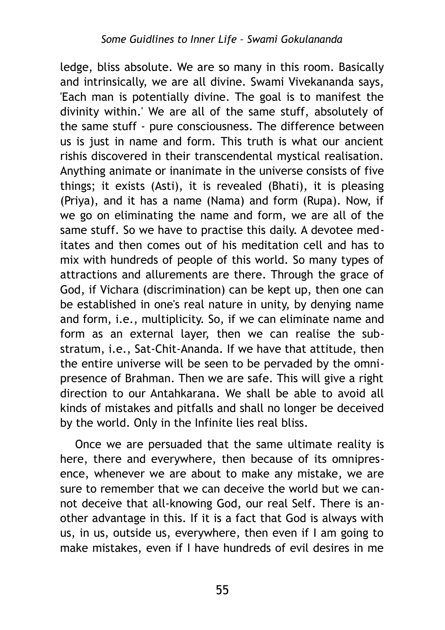ledge, bliss absolute. We are so many in this room. Basically and intrinsically, we are all divine. Swami Vivekananda says, 'Each man is potentially divine. The goal is to manifest the divinity within.' We are all of the same stuff, absolutely of the same stuff - pure consciousness. The difference between us is just in name and form. This truth is what our ancient rishis discovered in their transcendental mystical realisation. Anything animate or inanimate in the universe consists of five things; it exists (Asti), it is revealed (Bhati), it is pleasing (Priya), and it has a name (Nama) and form (Rupa). Now, if we go on eliminating the name and form, we are all of the same stuff. So we have to practise this daily. A devotee meditates and then comes out of his meditation cell and has to mix with hundreds of people of this world. So many types of attractions and allurements are there. Through the grace of God, if Vichara (discrimination) can be kept up, then one can be established in one's real nature in unity, by denying name and form, i.e., multiplicity. So, if we can eliminate name and form as an external layer, then we can realise the substratum, i.e., Sat-Chit-Ananda. If we have that attitude, then the entire universe will be seen to be pervaded by the omnipresence of Brahman. Then we are safe. This will give a right direction to our Antahkarana. We shall be able to avoid all kinds of mistakes and pitfalls and shall no longer be deceived by the world. Only in the Infinite lies real bliss.

Once we are persuaded that the same ultimate reality is here, there and everywhere, then because of its omnipresence, whenever we are about to make any mistake, we are sure to remember that we can deceive the world but we cannot deceive that all-knowing God, our real Self. There is another advantage in this. If it is a fact that God is always with us, in us, outside us, everywhere, then even if I am going to make mistakes, even if I have hundreds of evil desires in me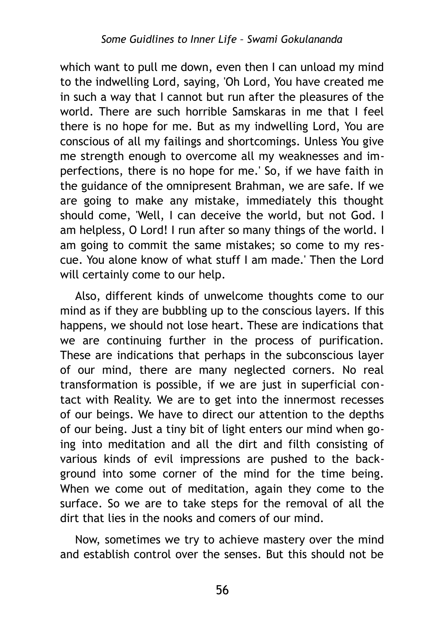which want to pull me down, even then I can unload my mind to the indwelling Lord, saying, 'Oh Lord, You have created me in such a way that I cannot but run after the pleasures of the world. There are such horrible Samskaras in me that I feel there is no hope for me. But as my indwelling Lord, You are conscious of all my failings and shortcomings. Unless You give me strength enough to overcome all my weaknesses and imperfections, there is no hope for me.' So, if we have faith in the guidance of the omnipresent Brahman, we are safe. If we are going to make any mistake, immediately this thought should come, 'Well, I can deceive the world, but not God. I am helpless, O Lord! I run after so many things of the world. I am going to commit the same mistakes; so come to my rescue. You alone know of what stuff I am made.' Then the Lord will certainly come to our help.

Also, different kinds of unwelcome thoughts come to our mind as if they are bubbling up to the conscious layers. If this happens, we should not lose heart. These are indications that we are continuing further in the process of purification. These are indications that perhaps in the subconscious layer of our mind, there are many neglected corners. No real transformation is possible, if we are just in superficial contact with Reality. We are to get into the innermost recesses of our beings. We have to direct our attention to the depths of our being. Just a tiny bit of light enters our mind when going into meditation and all the dirt and filth consisting of various kinds of evil impressions are pushed to the background into some corner of the mind for the time being. When we come out of meditation, again they come to the surface. So we are to take steps for the removal of all the dirt that lies in the nooks and comers of our mind.

Now, sometimes we try to achieve mastery over the mind and establish control over the senses. But this should not be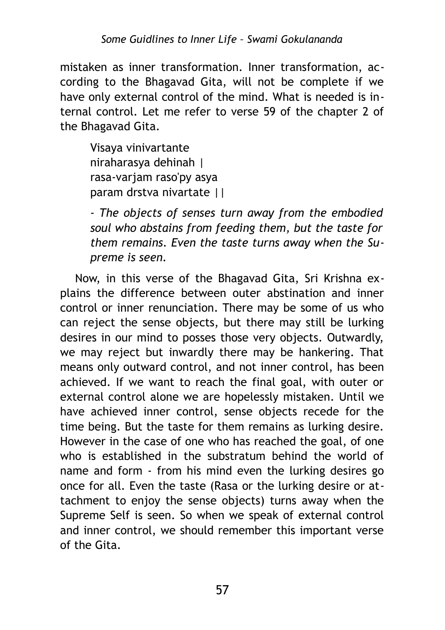mistaken as inner transformation. Inner transformation, according to the Bhagavad Gita, will not be complete if we have only external control of the mind. What is needed is internal control. Let me refer to verse 59 of the chapter 2 of the Bhagavad Gita.

Visaya vinivartante niraharasya dehinah | rasa-varjam raso'py asya param drstva nivartate ||

*- The objects of senses turn away from the embodied soul who abstains from feeding them, but the taste for them remains. Even the taste turns away when the Supreme is seen.*

Now, in this verse of the Bhagavad Gita, Sri Krishna explains the difference between outer abstination and inner control or inner renunciation. There may be some of us who can reject the sense objects, but there may still be lurking desires in our mind to posses those very objects. Outwardly, we may reject but inwardly there may be hankering. That means only outward control, and not inner control, has been achieved. If we want to reach the final goal, with outer or external control alone we are hopelessly mistaken. Until we have achieved inner control, sense objects recede for the time being. But the taste for them remains as lurking desire. However in the case of one who has reached the goal, of one who is established in the substratum behind the world of name and form - from his mind even the lurking desires go once for all. Even the taste (Rasa or the lurking desire or attachment to enjoy the sense objects) turns away when the Supreme Self is seen. So when we speak of external control and inner control, we should remember this important verse of the Gita.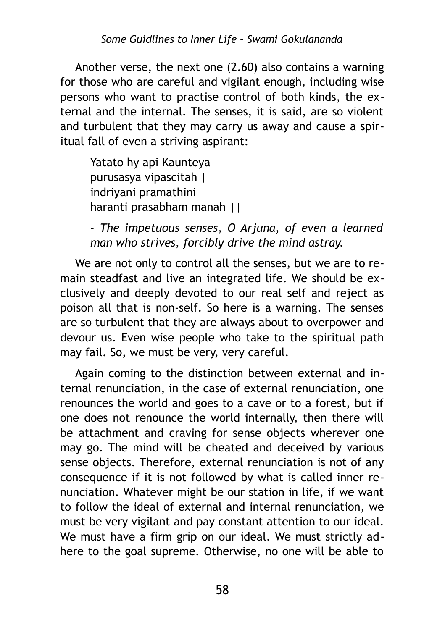Another verse, the next one (2.60) also contains a warning for those who are careful and vigilant enough, including wise persons who want to practise control of both kinds, the external and the internal. The senses, it is said, are so violent and turbulent that they may carry us away and cause a spiritual fall of even a striving aspirant:

Yatato hy api Kaunteya purusasya vipascitah | indriyani pramathini haranti prasabham manah ||

*- The impetuous senses, О Arjuna, of even a learned man who strives, forcibly drive the mind astray.*

We are not only to control all the senses, but we are to remain steadfast and live an integrated life. We should be exclusively and deeply devoted to our real self and reject as poison all that is non-self. So here is a warning. The senses are so turbulent that they are always about to overpower and devour us. Even wise people who take to the spiritual path may fail. So, we must be very, very careful.

Again coming to the distinction between external and internal renunciation, in the case of external renunciation, one renounces the world and goes to a cave or to a forest, but if one does not renounce the world internally, then there will be attachment and craving for sense objects wherever one may go. The mind will be cheated and deceived by various sense objects. Therefore, external renunciation is not of any consequence if it is not followed by what is called inner renunciation. Whatever might be our station in life, if we want to follow the ideal of external and internal renunciation, we must be very vigilant and pay constant attention to our ideal. We must have a firm grip on our ideal. We must strictly adhere to the goal supreme. Otherwise, no one will be able to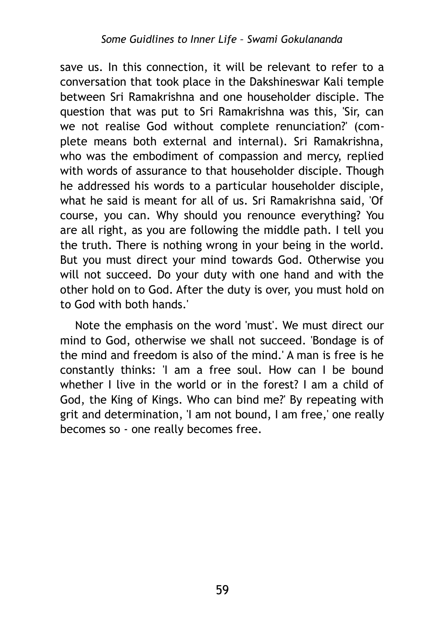save us. In this connection, it will be relevant to refer to a conversation that took place in the Dakshineswar Kali temple between Sri Ramakrishna and one householder disciple. The question that was put to Sri Ramakrishna was this, 'Sir, can we not realise God without complete renunciation?' (complete means both external and internal). Sri Ramakrishna, who was the embodiment of compassion and mercy, replied with words of assurance to that householder disciple. Though he addressed his words to a particular householder disciple, what he said is meant for all of us. Sri Ramakrishna said, 'Of course, you can. Why should you renounce everything? You are all right, as you are following the middle path. I tell you the truth. There is nothing wrong in your being in the world. But you must direct your mind towards God. Otherwise you will not succeed. Do your duty with one hand and with the other hold on to God. After the duty is over, you must hold on to God with both hands.'

Note the emphasis on the word 'must'. We must direct our mind to God, otherwise we shall not succeed. 'Bondage is of the mind and freedom is also of the mind.' A man is free is he constantly thinks: 'I am a free soul. How can I be bound whether I live in the world or in the forest? I am a child of God, the King of Kings. Who can bind me?' By repeating with grit and determination, 'I am not bound, I am free,' one really becomes so - one really becomes free.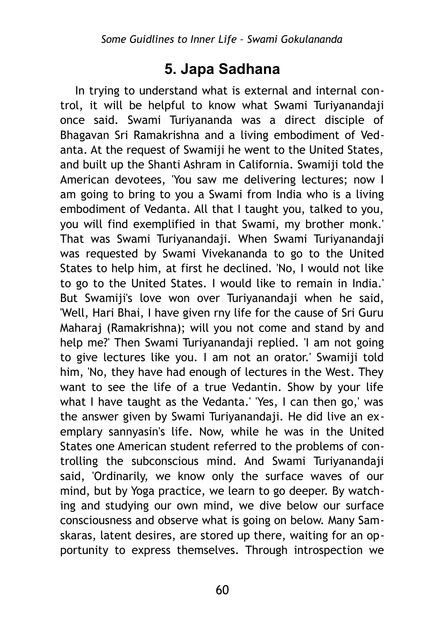### **5. Japa Sadhana**

In trying to understand what is external and internal control, it will be helpful to know what Swami Turiyanandaji once said. Swami Turiyananda was a direct disciple of Bhagavan Sri Ramakrishna and a living embodiment of Vedanta. At the request of Swamiji he went to the United States, and built up the Shanti Ashram in California. Swamiji told the American devotees, 'You saw me delivering lectures; now I am going to bring to you a Swami from India who is a living embodiment of Vedanta. All that I taught you, talked to you, you will find exemplified in that Swami, my brother monk.' That was Swami Turiyanandaji. When Swami Turiyanandaji was requested by Swami Vivekananda to go to the United States to help him, at first he declined. 'No, I would not like to go to the United States. I would like to remain in India.' But Swamiji's love won over Turiyanandaji when he said, 'Well, Hari Bhai, I have given rny life for the cause of Sri Guru Maharaj (Ramakrishna); will you not come and stand by and help me?' Then Swami Turiyanandaji replied. 'I am not going to give lectures like you. I am not an orator.' Swamiji told him, 'No, they have had enough of lectures in the West. They want to see the life of a true Vedantin. Show by your life what I have taught as the Vedanta.' 'Yes, I can then go,' was the answer given by Swami Turiyanandaji. He did live an exemplary sannyasin's life. Now, while he was in the United States one American student referred to the problems of controlling the subconscious mind. And Swami Turiyanandaji said, 'Ordinarily, we know only the surface waves of our mind, but by Yoga practice, we learn to go deeper. By watching and studying our own mind, we dive below our surface consciousness and observe what is going on below. Many Samskaras, latent desires, are stored up there, waiting for an opportunity to express themselves. Through introspection we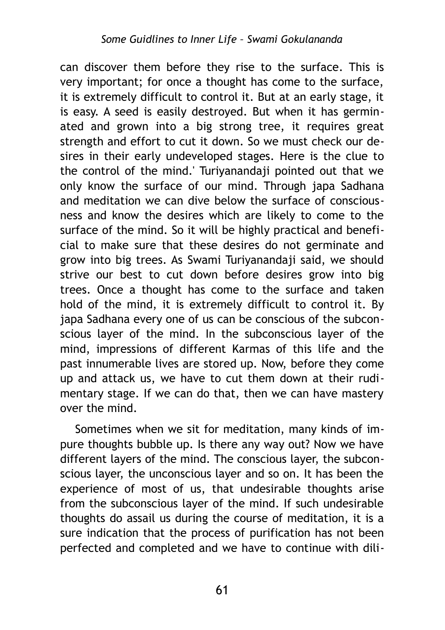can discover them before they rise to the surface. This is very important; for once a thought has come to the surface, it is extremely difficult to control it. But at an early stage, it is easy. A seed is easily destroyed. But when it has germinated and grown into a big strong tree, it requires great strength and effort to cut it down. So we must check our desires in their early undeveloped stages. Here is the clue to the control of the mind.' Turiyanandaji pointed out that we only know the surface of our mind. Through japa Sadhana and meditation we can dive below the surface of consciousness and know the desires which are likely to come to the surface of the mind. So it will be highly practical and beneficial to make sure that these desires do not germinate and grow into big trees. As Swami Turiyanandaji said, we should strive our best to cut down before desires grow into big trees. Once a thought has come to the surface and taken hold of the mind, it is extremely difficult to control it. By japa Sadhana every one of us can be conscious of the subconscious layer of the mind. In the subconscious layer of the mind, impressions of different Karmas of this life and the past innumerable lives are stored up. Now, before they come up and attack us, we have to cut them down at their rudimentary stage. If we can do that, then we can have mastery over the mind.

Sometimes when we sit for meditation, many kinds of impure thoughts bubble up. Is there any way out? Now we have different layers of the mind. The conscious layer, the subconscious layer, the unconscious layer and so on. It has been the experience of most of us, that undesirable thoughts arise from the subconscious layer of the mind. If such undesirable thoughts do assail us during the course of meditation, it is a sure indication that the process of purification has not been perfected and completed and we have to continue with dili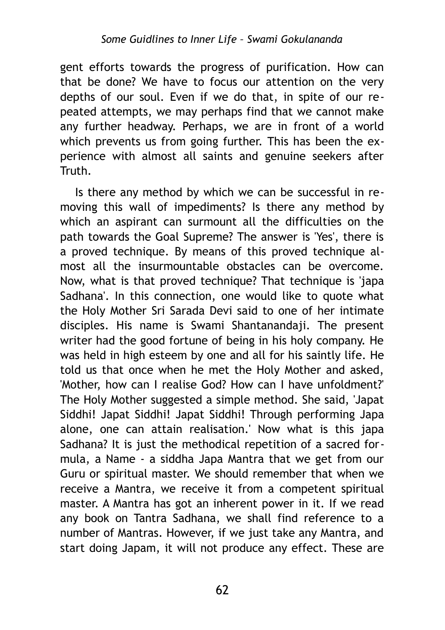gent efforts towards the progress of purification. How can that be done? We have to focus our attention on the very depths of our soul. Even if we do that, in spite of our repeated attempts, we may perhaps find that we cannot make any further headway. Perhaps, we are in front of a world which prevents us from going further. This has been the experience with almost all saints and genuine seekers after Truth.

Is there any method by which we can be successful in removing this wall of impediments? Is there any method by which an aspirant can surmount all the difficulties on the path towards the Goal Supreme? The answer is 'Yes', there is a proved technique. By means of this proved technique almost all the insurmountable obstacles can be overcome. Now, what is that proved technique? That technique is 'japa Sadhana'. In this connection, one would like to quote what the Holy Mother Sri Sarada Devi said to one of her intimate disciples. His name is Swami Shantanandaji. The present writer had the good fortune of being in his holy company. He was held in high esteem by one and all for his saintly life. He told us that once when he met the Holy Mother and asked, 'Mother, how can I realise God? How can I have unfoldment?' The Holy Mother suggested a simple method. She said, 'Japat Siddhi! Japat Siddhi! Japat Siddhi! Through performing Japa alone, one can attain realisation.' Now what is this japa Sadhana? It is just the methodical repetition of a sacred formula, a Name - a siddha Japa Mantra that we get from our Guru or spiritual master. We should remember that when we receive a Mantra, we receive it from a competent spiritual master. A Mantra has got an inherent power in it. If we read any book on Tantra Sadhana, we shall find reference to a number of Mantras. However, if we just take any Mantra, and start doing Japam, it will not produce any effect. These are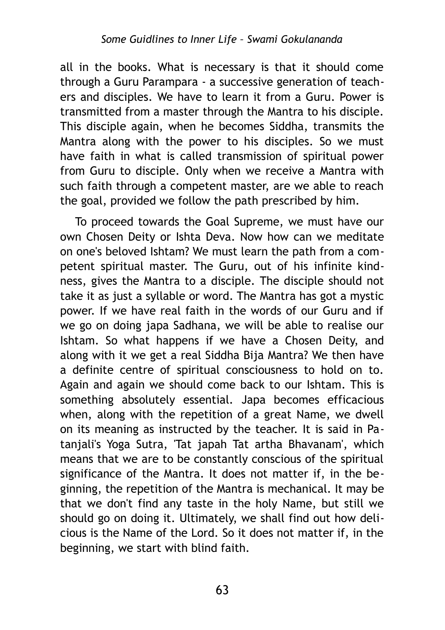all in the books. What is necessary is that it should come through a Guru Parampara - a successive generation of teachers and disciples. We have to learn it from a Guru. Power is transmitted from a master through the Mantra to his disciple. This disciple again, when he becomes Siddha, transmits the Mantra along with the power to his disciples. So we must have faith in what is called transmission of spiritual power from Guru to disciple. Only when we receive a Mantra with such faith through a competent master, are we able to reach the goal, provided we follow the path prescribed by him.

To proceed towards the Goal Supreme, we must have our own Chosen Deity or Ishta Deva. Now how can we meditate on one's beloved Ishtam? We must learn the path from a competent spiritual master. The Guru, out of his infinite kindness, gives the Mantra to a disciple. The disciple should not take it as just a syllable or word. The Mantra has got a mystic power. If we have real faith in the words of our Guru and if we go on doing japa Sadhana, we will be able to realise our Ishtam. So what happens if we have a Chosen Deity, and along with it we get a real Siddha Bija Mantra? We then have a definite centre of spiritual consciousness to hold on to. Again and again we should come back to our Ishtam. This is something absolutely essential. Japa becomes efficacious when, along with the repetition of a great Name, we dwell on its meaning as instructed by the teacher. It is said in Patanjali's Yoga Sutra, 'Tat japah Tat artha Bhavanam', which means that we are to be constantly conscious of the spiritual significance of the Mantra. It does not matter if, in the beginning, the repetition of the Mantra is mechanical. It may be that we don't find any taste in the holy Name, but still we should go on doing it. Ultimately, we shall find out how delicious is the Name of the Lord. So it does not matter if, in the beginning, we start with blind faith.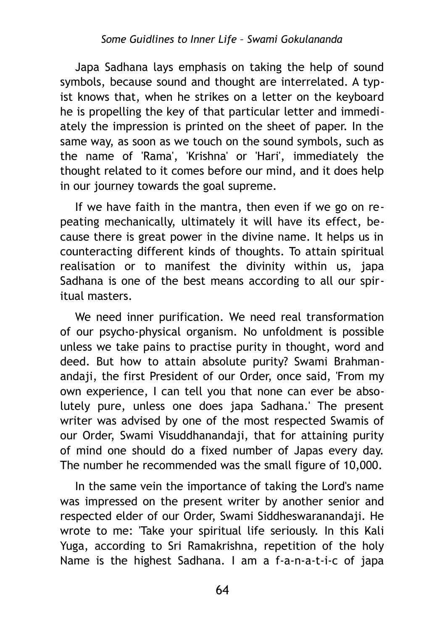Japa Sadhana lays emphasis on taking the help of sound symbols, because sound and thought are interrelated. A typist knows that, when he strikes on a letter on the keyboard he is propelling the key of that particular letter and immediately the impression is printed on the sheet of paper. In the same way, as soon as we touch on the sound symbols, such as the name of 'Rama', 'Krishna' or 'Hari', immediately the thought related to it comes before our mind, and it does help in our journey towards the goal supreme.

If we have faith in the mantra, then even if we go on repeating mechanically, ultimately it will have its effect, because there is great power in the divine name. It helps us in counteracting different kinds of thoughts. To attain spiritual realisation or to manifest the divinity within us, japa Sadhana is one of the best means according to all our spiritual masters.

We need inner purification. We need real transformation of our psycho-physical organism. No unfoldment is possible unless we take pains to practise purity in thought, word and deed. But how to attain absolute purity? Swami Brahmanandaji, the first President of our Order, once said, 'From my own experience, I can tell you that none can ever be absolutely pure, unless one does japa Sadhana.' The present writer was advised by one of the most respected Swamis of our Order, Swami Visuddhanandaji, that for attaining purity of mind one should do a fixed number of Japas every day. The number he recommended was the small figure of 10,000.

In the same vein the importance of taking the Lord's name was impressed on the present writer by another senior and respected elder of our Order, Swami Siddheswaranandaji. He wrote to me: 'Take your spiritual life seriously. In this Kali Yuga, according to Sri Ramakrishna, repetition of the holy Name is the highest Sadhana. I am a f-a-n-a-t-i-c of japa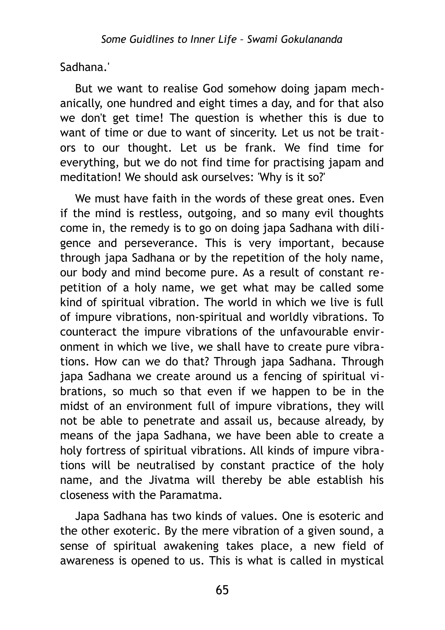Sadhana.'

But we want to realise God somehow doing japam mechanically, one hundred and eight times a day, and for that also we don't get time! The question is whether this is due to want of time or due to want of sincerity. Let us not be traitors to our thought. Let us be frank. We find time for everything, but we do not find time for practising japam and meditation! We should ask ourselves: 'Why is it so?'

We must have faith in the words of these great ones. Even if the mind is restless, outgoing, and so many evil thoughts come in, the remedy is to go on doing japa Sadhana with diligence and perseverance. This is very important, because through japa Sadhana or by the repetition of the holy name, our body and mind become pure. As a result of constant repetition of a holy name, we get what may be called some kind of spiritual vibration. The world in which we live is full of impure vibrations, non-spiritual and worldly vibrations. To counteract the impure vibrations of the unfavourable environment in which we live, we shall have to create pure vibrations. How can we do that? Through japa Sadhana. Through japa Sadhana we create around us a fencing of spiritual vibrations, so much so that even if we happen to be in the midst of an environment full of impure vibrations, they will not be able to penetrate and assail us, because already, by means of the japa Sadhana, we have been able to create a holy fortress of spiritual vibrations. All kinds of impure vibrations will be neutralised by constant practice of the holy name, and the Jivatma will thereby be able establish his closeness with the Paramatma.

Japa Sadhana has two kinds of values. One is esoteric and the other exoteric. By the mere vibration of a given sound, a sense of spiritual awakening takes place, a new field of awareness is opened to us. This is what is called in mystical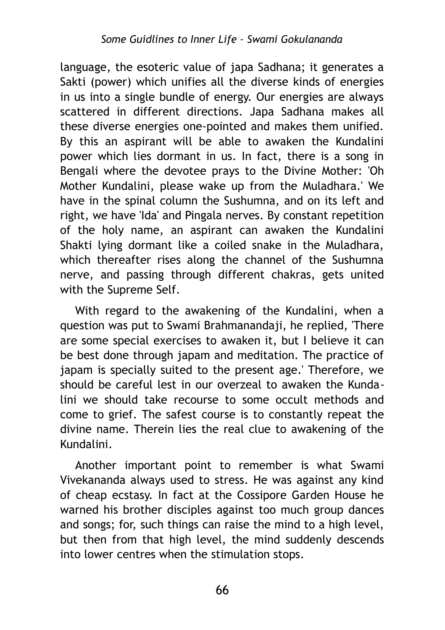language, the esoteric value of japa Sadhana; it generates a Sakti (power) which unifies all the diverse kinds of energies in us into a single bundle of energy. Our energies are always scattered in different directions. Japa Sadhana makes all these diverse energies one-pointed and makes them unified. By this an aspirant will be able to awaken the Kundalini power which lies dormant in us. In fact, there is a song in Bengali where the devotee prays to the Divine Mother: 'Oh Mother Kundalini, please wake up from the Muladhara.' We have in the spinal column the Sushumna, and on its left and right, we have 'Ida' and Pingala nerves. By constant repetition of the holy name, an aspirant can awaken the Kundalini Shakti lying dormant like a coiled snake in the Muladhara, which thereafter rises along the channel of the Sushumna nerve, and passing through different chakras, gets united with the Supreme Self.

With regard to the awakening of the Kundalini, when a question was put to Swami Brahmanandaji, he replied, 'There are some special exercises to awaken it, but I believe it can be best done through japam and meditation. The practice of japam is specially suited to the present age.' Therefore, we should be careful lest in our overzeal to awaken the Kundalini we should take recourse to some occult methods and come to grief. The safest course is to constantly repeat the divine name. Therein lies the real clue to awakening of the Kundalini.

Another important point to remember is what Swami Vivekananda always used to stress. He was against any kind of cheap ecstasy. In fact at the Cossipore Garden House he warned his brother disciples against too much group dances and songs; for, such things can raise the mind to a high level, but then from that high level, the mind suddenly descends into lower centres when the stimulation stops.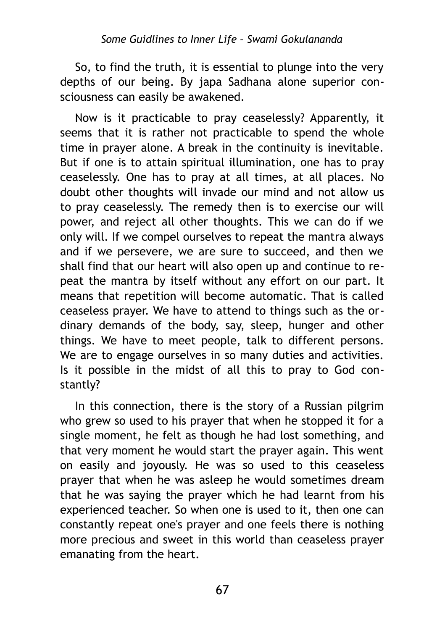#### *Some Guidlines to Inner Life – Swami Gokulananda*

So, to find the truth, it is essential to plunge into the very depths of our being. By japa Sadhana alone superior consciousness can easily be awakened.

Now is it practicable to pray ceaselessly? Apparently, it seems that it is rather not practicable to spend the whole time in prayer alone. A break in the continuity is inevitable. But if one is to attain spiritual illumination, one has to pray ceaselessly. One has to pray at all times, at all places. No doubt other thoughts will invade our mind and not allow us to pray ceaselessly. The remedy then is to exercise our will power, and reject all other thoughts. This we can do if we only will. If we compel ourselves to repeat the mantra always and if we persevere, we are sure to succeed, and then we shall find that our heart will also open up and continue to repeat the mantra by itself without any effort on our part. It means that repetition will become automatic. That is called ceaseless prayer. We have to attend to things such as the ordinary demands of the body, say, sleep, hunger and other things. We have to meet people, talk to different persons. We are to engage ourselves in so many duties and activities. Is it possible in the midst of all this to pray to God constantly?

In this connection, there is the story of a Russian pilgrim who grew so used to his prayer that when he stopped it for a single moment, he felt as though he had lost something, and that very moment he would start the prayer again. This went on easily and joyously. He was so used to this ceaseless prayer that when he was asleep he would sometimes dream that he was saying the prayer which he had learnt from his experienced teacher. So when one is used to it, then one can constantly repeat one's prayer and one feels there is nothing more precious and sweet in this world than ceaseless prayer emanating from the heart.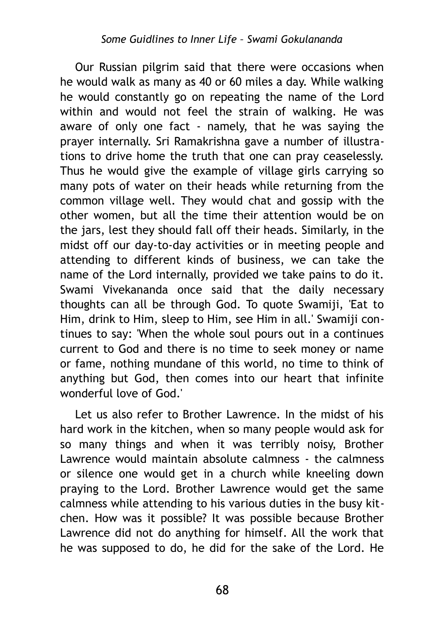Our Russian pilgrim said that there were occasions when he would walk as many as 40 or 60 miles a day. While walking he would constantly go on repeating the name of the Lord within and would not feel the strain of walking. He was aware of only one fact - namely, that he was saying the prayer internally. Sri Ramakrishna gave a number of illustrations to drive home the truth that one can pray ceaselessly. Thus he would give the example of village girls carrying so many pots of water on their heads while returning from the common village well. They would chat and gossip with the other women, but all the time their attention would be on the jars, lest they should fall off their heads. Similarly, in the midst off our day-to-day activities or in meeting people and attending to different kinds of business, we can take the name of the Lord internally, provided we take pains to do it. Swami Vivekananda once said that the daily necessary thoughts can all be through God. To quote Swamiji, 'Eat to Him, drink to Him, sleep to Him, see Him in all.' Swamiji continues to say: 'When the whole soul pours out in a continues current to God and there is no time to seek money or name or fame, nothing mundane of this world, no time to think of anything but God, then comes into our heart that infinite wonderful love of God.'

Let us also refer to Brother Lawrence. In the midst of his hard work in the kitchen, when so many people would ask for so many things and when it was terribly noisy, Brother Lawrence would maintain absolute calmness - the calmness or silence one would get in a church while kneeling down praying to the Lord. Brother Lawrence would get the same calmness while attending to his various duties in the busy kitchen. How was it possible? It was possible because Brother Lawrence did not do anything for himself. All the work that he was supposed to do, he did for the sake of the Lord. He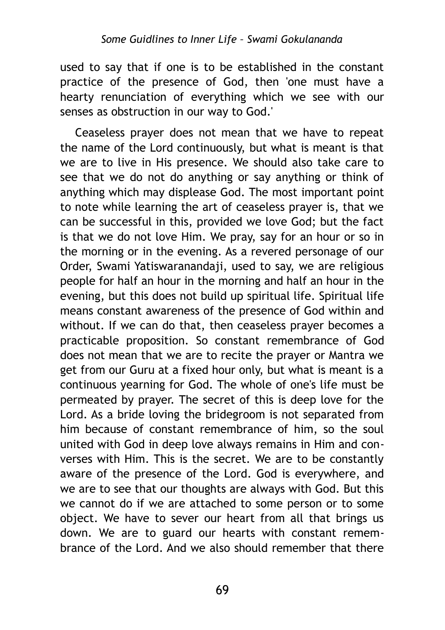used to say that if one is to be established in the constant practice of the presence of God, then 'one must have a hearty renunciation of everything which we see with our senses as obstruction in our way to God.'

Ceaseless prayer does not mean that we have to repeat the name of the Lord continuously, but what is meant is that we are to live in His presence. We should also take care to see that we do not do anything or say anything or think of anything which may displease God. The most important point to note while learning the art of ceaseless prayer is, that we can be successful in this, provided we love God; but the fact is that we do not love Him. We pray, say for an hour or so in the morning or in the evening. As a revered personage of our Order, Swami Yatiswaranandaji, used to say, we are religious people for half an hour in the morning and half an hour in the evening, but this does not build up spiritual life. Spiritual life means constant awareness of the presence of God within and without. If we can do that, then ceaseless prayer becomes a practicable proposition. So constant remembrance of God does not mean that we are to recite the prayer or Mantra we get from our Guru at a fixed hour only, but what is meant is a continuous yearning for God. The whole of one's life must be permeated by prayer. The secret of this is deep love for the Lord. As a bride loving the bridegroom is not separated from him because of constant remembrance of him, so the soul united with God in deep love always remains in Him and converses with Him. This is the secret. We are to be constantly aware of the presence of the Lord. God is everywhere, and we are to see that our thoughts are always with God. But this we cannot do if we are attached to some person or to some object. We have to sever our heart from all that brings us down. We are to guard our hearts with constant remembrance of the Lord. And we also should remember that there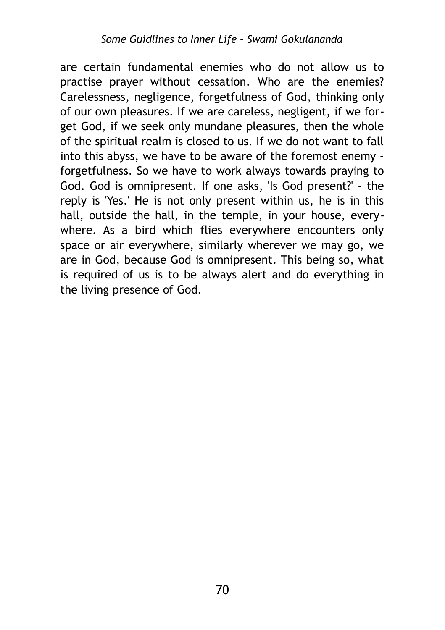are certain fundamental enemies who do not allow us to practise prayer without cessation. Who are the enemies? Carelessness, negligence, forgetfulness of God, thinking only of our own pleasures. If we are careless, negligent, if we forget God, if we seek only mundane pleasures, then the whole of the spiritual realm is closed to us. If we do not want to fall into this abyss, we have to be aware of the foremost enemy forgetfulness. So we have to work always towards praying to God. God is omnipresent. If one asks, 'Is God present?' - the reply is 'Yes.' He is not only present within us, he is in this hall, outside the hall, in the temple, in your house, everywhere. As a bird which flies everywhere encounters only space or air everywhere, similarly wherever we may go, we are in God, because God is omnipresent. This being so, what is required of us is to be always alert and do everything in the living presence of God.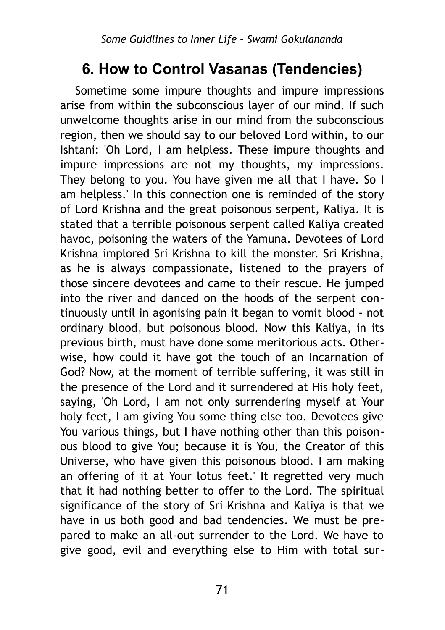# **6. How to Control Vasanas (Tendencies)**

Sometime some impure thoughts and impure impressions arise from within the subconscious layer of our mind. If such unwelcome thoughts arise in our mind from the subconscious region, then we should say to our beloved Lord within, to our Ishtani: 'Oh Lord, I am helpless. These impure thoughts and impure impressions are not my thoughts, my impressions. They belong to you. You have given me all that I have. So I am helpless.' In this connection one is reminded of the story of Lord Krishna and the great poisonous serpent, Kaliya. It is stated that a terrible poisonous serpent called Kaliya created havoc, poisoning the waters of the Yamuna. Devotees of Lord Krishna implored Sri Krishna to kill the monster. Sri Krishna, as he is always compassionate, listened to the prayers of those sincere devotees and came to their rescue. He jumped into the river and danced on the hoods of the serpent continuously until in agonising pain it began to vomit blood - not ordinary blood, but poisonous blood. Now this Kaliya, in its previous birth, must have done some meritorious acts. Otherwise, how could it have got the touch of an Incarnation of God? Now, at the moment of terrible suffering, it was still in the presence of the Lord and it surrendered at His holy feet, saying, 'Oh Lord, I am not only surrendering myself at Your holy feet, I am giving You some thing else too. Devotees give You various things, but I have nothing other than this poisonous blood to give You; because it is You, the Creator of this Universe, who have given this poisonous blood. I am making an offering of it at Your lotus feet.' It regretted very much that it had nothing better to offer to the Lord. The spiritual significance of the story of Sri Krishna and Kaliya is that we have in us both good and bad tendencies. We must be prepared to make an all-out surrender to the Lord. We have to give good, evil and everything else to Him with total sur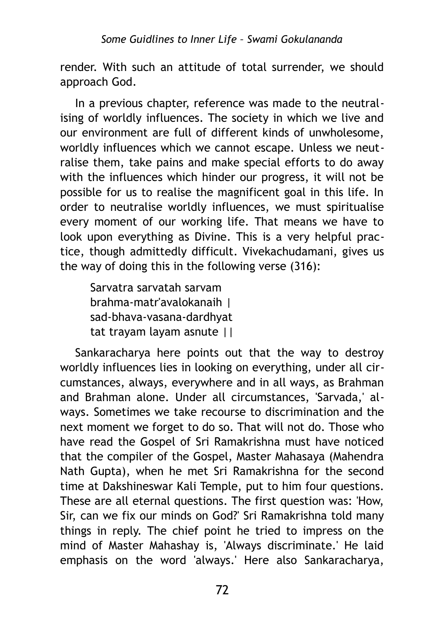render. With such an attitude of total surrender, we should approach God.

In a previous chapter, reference was made to the neutralising of worldly influences. The society in which we live and our environment are full of different kinds of unwholesome, worldly influences which we cannot escape. Unless we neutralise them, take pains and make special efforts to do away with the influences which hinder our progress, it will not be possible for us to realise the magnificent goal in this life. In order to neutralise worldly influences, we must spiritualise every moment of our working life. That means we have to look upon everything as Divine. This is a very helpful practice, though admittedly difficult. Vivekachudamani, gives us the way of doing this in the following verse (316):

Sarvatra sarvatah sarvam brahma-matr'avalokanaih | sad-bhava-vasana-dardhyat tat trayam layam asnute ||

Sankaracharya here points out that the way to destroy worldly influences lies in looking on everything, under all circumstances, always, everywhere and in all ways, as Brahman and Brahman alone. Under all circumstances, 'Sarvada,' always. Sometimes we take recourse to discrimination and the next moment we forget to do so. That will not do. Those who have read the Gospel of Sri Ramakrishna must have noticed that the compiler of the Gospel, Master Mahasaya (Mahendra Nath Gupta), when he met Sri Ramakrishna for the second time at Dakshineswar Kali Temple, put to him four questions. These are all eternal questions. The first question was: 'How, Sir, can we fix our minds on God?' Sri Ramakrishna told many things in reply. The chief point he tried to impress on the mind of Master Mahashay is, 'Always discriminate.' He laid emphasis on the word 'always.' Here also Sankaracharya,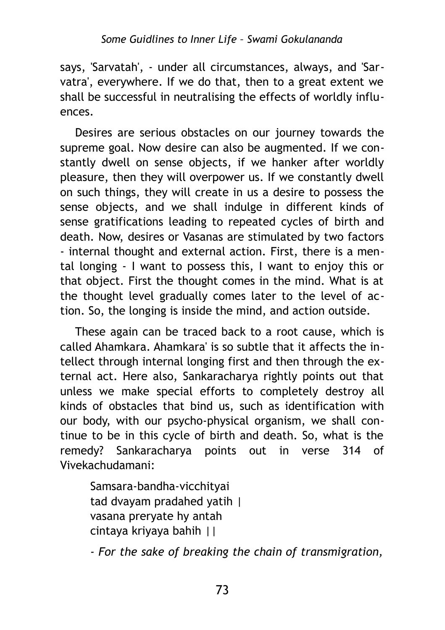says, 'Sarvatah', - under all circumstances, always, and 'Sarvatra', everywhere. If we do that, then to a great extent we shall be successful in neutralising the effects of worldly influences.

Desires are serious obstacles on our journey towards the supreme goal. Now desire can also be augmented. If we constantly dwell on sense objects, if we hanker after worldly pleasure, then they will overpower us. If we constantly dwell on such things, they will create in us a desire to possess the sense objects, and we shall indulge in different kinds of sense gratifications leading to repeated cycles of birth and death. Now, desires or Vasanas are stimulated by two factors - internal thought and external action. First, there is a mental longing - I want to possess this, I want to enjoy this or that object. First the thought comes in the mind. What is at the thought level gradually comes later to the level of action. So, the longing is inside the mind, and action outside.

These again can be traced back to a root cause, which is called Ahamkara. Ahamkara' is so subtle that it affects the intellect through internal longing first and then through the external act. Here also, Sankaracharya rightly points out that unless we make special efforts to completely destroy all kinds of obstacles that bind us, such as identification with our body, with our psycho-physical organism, we shall continue to be in this cycle of birth and death. So, what is the remedy? Sankaracharya points out in verse 314 of Vivekachudamani:

Samsara-bandha-vicchityai tad dvayam pradahed yatih | vasana preryate hy antah cintaya kriyaya bahih ||

*- For the sake of breaking the chain of transmigration,*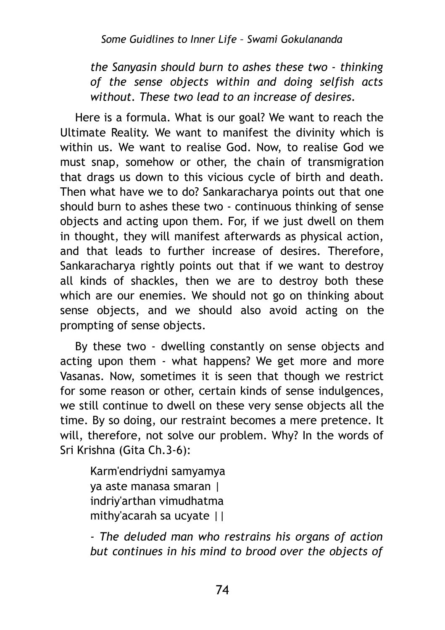*the Sanyasin should burn to ashes these two - thinking of the sense objects within and doing selfish acts without. These two lead to an increase of desires.*

Here is a formula. What is our goal? We want to reach the Ultimate Reality. We want to manifest the divinity which is within us. We want to realise God. Now, to realise God we must snap, somehow or other, the chain of transmigration that drags us down to this vicious cycle of birth and death. Then what have we to do? Sankaracharya points out that one should burn to ashes these two - continuous thinking of sense objects and acting upon them. For, if we just dwell on them in thought, they will manifest afterwards as physical action, and that leads to further increase of desires. Therefore, Sankaracharya rightly points out that if we want to destroy all kinds of shackles, then we are to destroy both these which are our enemies. We should not go on thinking about sense objects, and we should also avoid acting on the prompting of sense objects.

By these two - dwelling constantly on sense objects and acting upon them - what happens? We get more and more Vasanas. Now, sometimes it is seen that though we restrict for some reason or other, certain kinds of sense indulgences, we still continue to dwell on these very sense objects all the time. By so doing, our restraint becomes a mere pretence. It will, therefore, not solve our problem. Why? In the words of Sri Krishna (Gita Ch.3-6):

Karm'endriydni samyamya ya aste manasa smaran | indriy'arthan vimudhatma mithy'acarah sa ucyate ||

*- The deluded man who restrains his organs of action but continues in his mind to brood over the objects of*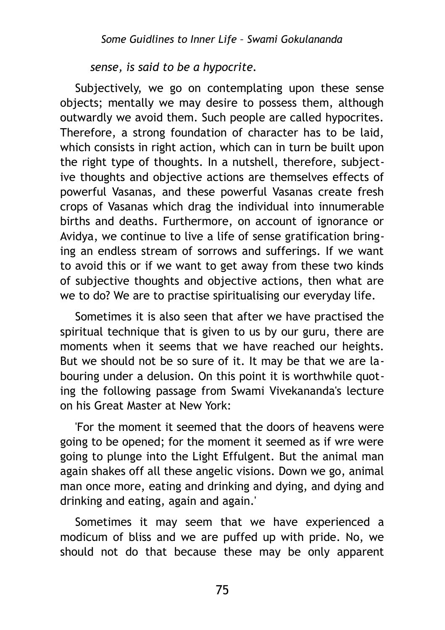*sense, is said to be a hypocrite.*

Subjectively, we go on contemplating upon these sense objects; mentally we may desire to possess them, although outwardly we avoid them. Such people are called hypocrites. Therefore, a strong foundation of character has to be laid, which consists in right action, which can in turn be built upon the right type of thoughts. In a nutshell, therefore, subjective thoughts and objective actions are themselves effects of powerful Vasanas, and these powerful Vasanas create fresh crops of Vasanas which drag the individual into innumerable births and deaths. Furthermore, on account of ignorance or Avidya, we continue to live a life of sense gratification bringing an endless stream of sorrows and sufferings. If we want to avoid this or if we want to get away from these two kinds of subjective thoughts and objective actions, then what are we to do? We are to practise spiritualising our everyday life.

Sometimes it is also seen that after we have practised the spiritual technique that is given to us by our guru, there are moments when it seems that we have reached our heights. But we should not be so sure of it. It may be that we are labouring under a delusion. On this point it is worthwhile quoting the following passage from Swami Vivekananda's lecture on his Great Master at New York:

'For the moment it seemed that the doors of heavens were going to be opened; for the moment it seemed as if wre were going to plunge into the Light Effulgent. But the animal man again shakes off all these angelic visions. Down we go, animal man once more, eating and drinking and dying, and dying and drinking and eating, again and again.'

Sometimes it may seem that we have experienced a modicum of bliss and we are puffed up with pride. No, we should not do that because these may be only apparent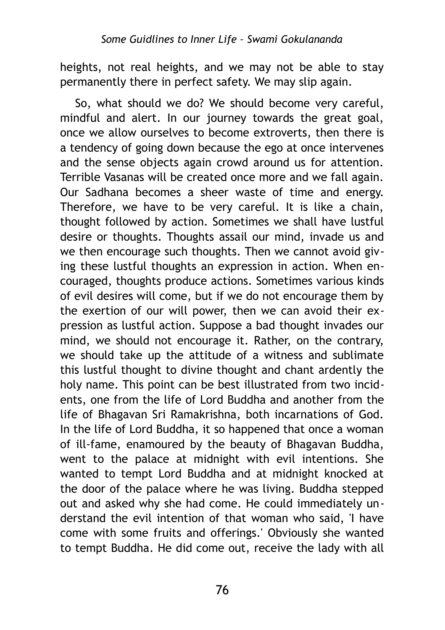heights, not real heights, and we may not be able to stay permanently there in perfect safety. We may slip again.

So, what should we do? We should become very careful, mindful and alert. In our journey towards the great goal, once we allow ourselves to become extroverts, then there is a tendency of going down because the ego at once intervenes and the sense objects again crowd around us for attention. Terrible Vasanas will be created once more and we fall again. Our Sadhana becomes a sheer waste of time and energy. Therefore, we have to be very careful. It is like a chain, thought followed by action. Sometimes we shall have lustful desire or thoughts. Thoughts assail our mind, invade us and we then encourage such thoughts. Then we cannot avoid giving these lustful thoughts an expression in action. When encouraged, thoughts produce actions. Sometimes various kinds of evil desires will come, but if we do not encourage them by the exertion of our will power, then we can avoid their expression as lustful action. Suppose a bad thought invades our mind, we should not encourage it. Rather, on the contrary, we should take up the attitude of a witness and sublimate this lustful thought to divine thought and chant ardently the holy name. This point can be best illustrated from two incidents, one from the life of Lord Buddha and another from the life of Bhagavan Sri Ramakrishna, both incarnations of God. In the life of Lord Buddha, it so happened that once a woman of ill-fame, enamoured by the beauty of Bhagavan Buddha, went to the palace at midnight with evil intentions. She wanted to tempt Lord Buddha and at midnight knocked at the door of the palace where he was living. Buddha stepped out and asked why she had come. He could immediately understand the evil intention of that woman who said, 'I have come with some fruits and offerings.' Obviously she wanted to tempt Buddha. He did come out, receive the lady with all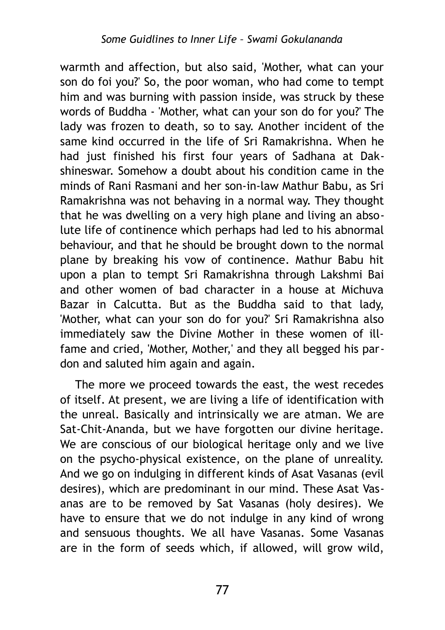warmth and affection, but also said, 'Mother, what can your son do foi you?' So, the poor woman, who had come to tempt him and was burning with passion inside, was struck by these words of Buddha - 'Mother, what can your son do for you?' The lady was frozen to death, so to say. Another incident of the same kind occurred in the life of Sri Ramakrishna. When he had just finished his first four years of Sadhana at Dakshineswar. Somehow a doubt about his condition came in the minds of Rani Rasmani and her son-in-law Mathur Babu, as Sri Ramakrishna was not behaving in a normal way. They thought that he was dwelling on a very high plane and living an absolute life of continence which perhaps had led to his abnormal behaviour, and that he should be brought down to the normal plane by breaking his vow of continence. Mathur Babu hit upon a plan to tempt Sri Ramakrishna through Lakshmi Bai and other women of bad character in a house at Michuva Bazar in Calcutta. But as the Buddha said to that lady, 'Mother, what can your son do for you?' Sri Ramakrishna also immediately saw the Divine Mother in these women of illfame and cried, 'Mother, Mother,' and they all begged his pardon and saluted him again and again.

The more we proceed towards the east, the west recedes of itself. At present, we are living a life of identification with the unreal. Basically and intrinsically we are atman. We are Sat-Chit-Ananda, but we have forgotten our divine heritage. We are conscious of our biological heritage only and we live on the psycho-physical existence, on the plane of unreality. And we go on indulging in different kinds of Asat Vasanas (evil desires), which are predominant in our mind. These Asat Vasanas are to be removed by Sat Vasanas (holy desires). We have to ensure that we do not indulge in any kind of wrong and sensuous thoughts. We all have Vasanas. Some Vasanas are in the form of seeds which, if allowed, will grow wild,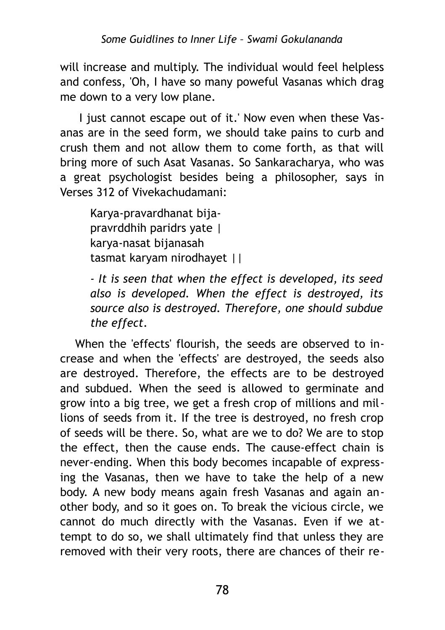will increase and multiply. The individual would feel helpless and confess, 'Oh, I have so many poweful Vasanas which drag me down to a very low plane.

 I just cannot escape out of it.' Now even when these Vasanas are in the seed form, we should take pains to curb and crush them and not allow them to come forth, as that will bring more of such Asat Vasanas. So Sankaracharya, who was a great psychologist besides being a philosopher, says in Verses 312 of Vivekachudamani:

Karya-pravardhanat bijapravrddhih paridrs yate | karya-nasat bijanasah tasmat karyam nirodhayet ||

*- It is seen that when the effect is developed, its seed also is developed. When the effect is destroyed, its source also is destroyed. Therefore, one should subdue the effect.*

When the 'effects' flourish, the seeds are observed to increase and when the 'effects' are destroyed, the seeds also are destroyed. Therefore, the effects are to be destroyed and subdued. When the seed is allowed to germinate and grow into a big tree, we get a fresh crop of millions and millions of seeds from it. If the tree is destroyed, no fresh crop of seeds will be there. So, what are we to do? We are to stop the effect, then the cause ends. The cause-effect chain is never-ending. When this body becomes incapable of expressing the Vasanas, then we have to take the help of a new body. A new body means again fresh Vasanas and again another body, and so it goes on. To break the vicious circle, we cannot do much directly with the Vasanas. Even if we attempt to do so, we shall ultimately find that unless they are removed with their very roots, there are chances of their re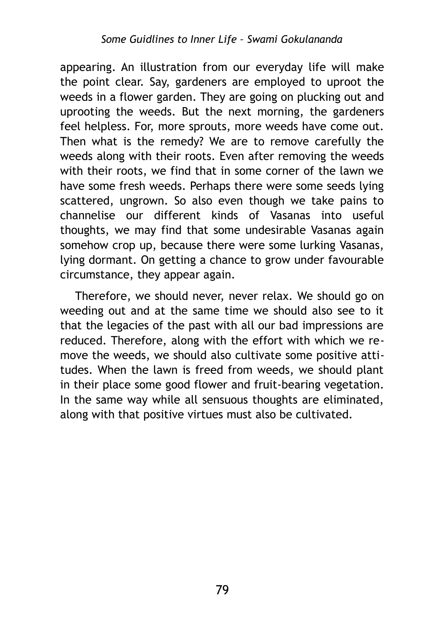appearing. An illustration from our everyday life will make the point clear. Say, gardeners are employed to uproot the weeds in a flower garden. They are going on plucking out and uprooting the weeds. But the next morning, the gardeners feel helpless. For, more sprouts, more weeds have come out. Then what is the remedy? We are to remove carefully the weeds along with their roots. Even after removing the weeds with their roots, we find that in some corner of the lawn we have some fresh weeds. Perhaps there were some seeds lying scattered, ungrown. So also even though we take pains to channelise our different kinds of Vasanas into useful thoughts, we may find that some undesirable Vasanas again somehow crop up, because there were some lurking Vasanas, lying dormant. On getting a chance to grow under favourable circumstance, they appear again.

Therefore, we should never, never relax. We should go on weeding out and at the same time we should also see to it that the legacies of the past with all our bad impressions are reduced. Therefore, along with the effort with which we remove the weeds, we should also cultivate some positive attitudes. When the lawn is freed from weeds, we should plant in their place some good flower and fruit-bearing vegetation. In the same way while all sensuous thoughts are eliminated, along with that positive virtues must also be cultivated.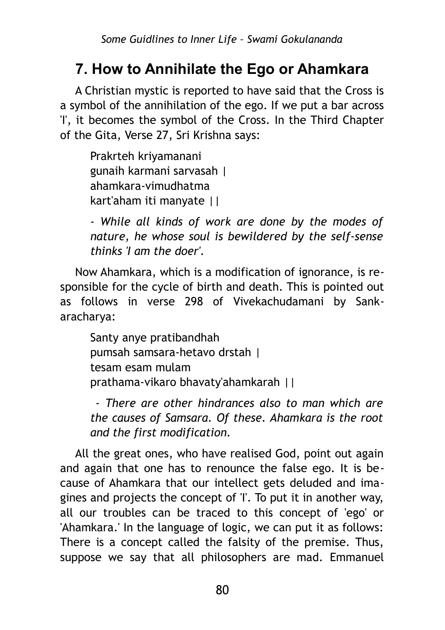# **7. How to Annihilate the Ego or Ahamkara**

A Christian mystic is reported to have said that the Cross is a symbol of the annihilation of the ego. If we put a bar across 'I', it becomes the symbol of the Cross. In the Third Chapter of the Gita, Verse 27, Sri Krishna says:

Prakrteh kriyamanani gunaih karmani sarvasah | ahamkara-vimudhatma kart'aham iti manyate ||

*- While all kinds of work are done by the modes of nature, he whose soul is bewildered by the self-sense thinks 'I am the doer'.*

Now Ahamkara, which is a modification of ignorance, is responsible for the cycle of birth and death. This is pointed out as follows in verse 298 of Vivekachudamani by Sankaracharya:

Santy anye pratibandhah pumsah samsara-hetavo drstah | tesam esam mulam prathama-vikaro bhavaty'ahamkarah ||

 *- There are other hindrances also to man which are the causes of Samsara. Of these. Ahamkara is the root and the first modification.*

All the great ones, who have realised God, point out again and again that one has to renounce the false ego. It is because of Ahamkara that our intellect gets deluded and imagines and projects the concept of 'I'. To put it in another way, all our troubles can be traced to this concept of 'ego' or 'Ahamkara.' In the language of logic, we can put it as follows: There is a concept called the falsity of the premise. Thus, suppose we say that all philosophers are mad. Emmanuel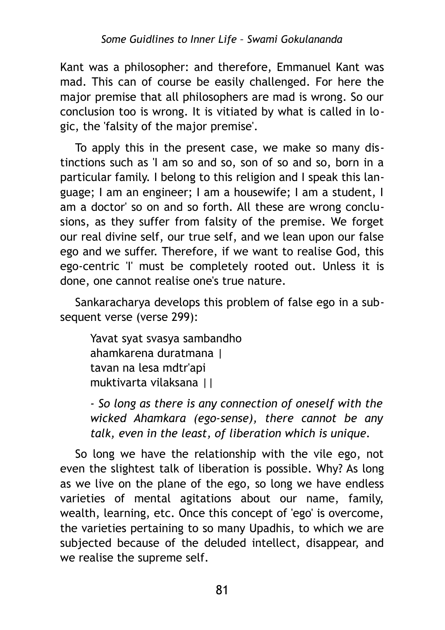Kant was a philosopher: and therefore, Emmanuel Kant was mad. This can of course be easily challenged. For here the major premise that all philosophers are mad is wrong. So our conclusion too is wrong. It is vitiated by what is called in logic, the 'falsity of the major premise'.

To apply this in the present case, we make so many distinctions such as 'I am so and so, son of so and so, born in a particular family. I belong to this religion and I speak this language; I am an engineer; I am a housewife; I am a student, I am a doctor' so on and so forth. All these are wrong conclusions, as they suffer from falsity of the premise. We forget our real divine self, our true self, and we lean upon our false ego and we suffer. Therefore, if we want to realise God, this ego-centric 'I' must be completely rooted out. Unless it is done, one cannot realise one's true nature.

Sankaracharya develops this problem of false ego in a subsequent verse (verse 299):

Yavat syat svasya sambandho ahamkarena duratmana | tavan na lesa mdtr'api muktivarta vilaksana ||

*- So long as there is any connection of oneself with the wicked Ahamkara (ego-sense), there cannot be any talk, even in the least, of liberation which is unique.*

So long we have the relationship with the vile ego, not even the slightest talk of liberation is possible. Why? As long as we live on the plane of the ego, so long we have endless varieties of mental agitations about our name, family, wealth, learning, etc. Once this concept of 'ego' is overcome, the varieties pertaining to so many Upadhis, to which we are subjected because of the deluded intellect, disappear, and we realise the supreme self.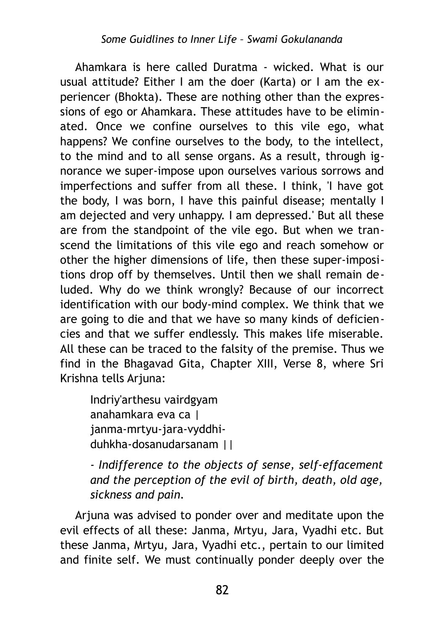Ahamkara is here called Duratma - wicked. What is our usual attitude? Either I am the doer (Karta) or I am the experiencer (Bhokta). These are nothing other than the expressions of ego or Ahamkara. These attitudes have to be eliminated. Once we confine ourselves to this vile ego, what happens? We confine ourselves to the body, to the intellect, to the mind and to all sense organs. As a result, through ignorance we super-impose upon ourselves various sorrows and imperfections and suffer from all these. I think, 'I have got the body, I was born, I have this painful disease; mentally I am dejected and very unhappy. I am depressed.' But all these are from the standpoint of the vile ego. But when we transcend the limitations of this vile ego and reach somehow or other the higher dimensions of life, then these super-impositions drop off by themselves. Until then we shall remain deluded. Why do we think wrongly? Because of our incorrect identification with our body-mind complex. We think that we are going to die and that we have so many kinds of deficiencies and that we suffer endlessly. This makes life miserable. All these can be traced to the falsity of the premise. Thus we find in the Bhagavad Gita, Chapter XIII, Verse 8, where Sri Krishna tells Arjuna:

Indriy'arthesu vairdgyam anahamkara eva ca | janma-mrtyu-jara-vyddhiduhkha-dosanudarsanam ||

*- Indifference to the objects of sense, self-effacement and the perception of the evil of birth, death, old age, sickness and pain.*

Arjuna was advised to ponder over and meditate upon the evil effects of all these: Janma, Mrtyu, Jara, Vyadhi etc. But these Janma, Mrtyu, Jara, Vyadhi etc., pertain to our limited and finite self. We must continually ponder deeply over the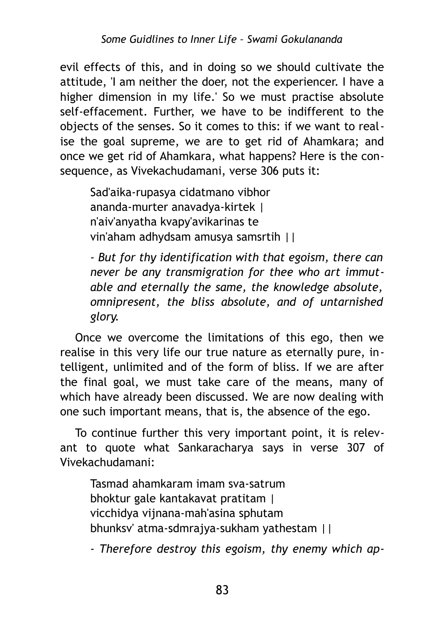evil effects of this, and in doing so we should cultivate the attitude, 'I am neither the doer, not the experiencer. I have a higher dimension in my life.' So we must practise absolute self-effacement. Further, we have to be indifferent to the objects of the senses. So it comes to this: if we want to realise the goal supreme, we are to get rid of Ahamkara; and once we get rid of Ahamkara, what happens? Here is the consequence, as Vivekachudamani, verse 306 puts it:

Sad'aika-rupasya cidatmano vibhor ananda-murter anavadya-kirtek | n'aiv'anyatha kvapy'avikarinas te vin'aham adhydsam amusya samsrtih ||

*- But for thy identification with that egoism, there can never be any transmigration for thee who art immutable and eternally the same, the knowledge absolute, omnipresent, the bliss absolute, and of untarnished glory.*

Once we overcome the limitations of this ego, then we realise in this very life our true nature as eternally pure, intelligent, unlimited and of the form of bliss. If we are after the final goal, we must take care of the means, many of which have already been discussed. We are now dealing with one such important means, that is, the absence of the ego.

To continue further this very important point, it is relevant to quote what Sankaracharya says in verse 307 of Vivekachudamani:

Tasmad ahamkaram imam sva-satrum bhoktur gale kantakavat pratitam | vicchidya vijnana-mah'asina sphutam bhunksv' atma-sdmrajya-sukham yathestam ||

*- Therefore destroy this egoism, thy enemy which ap-*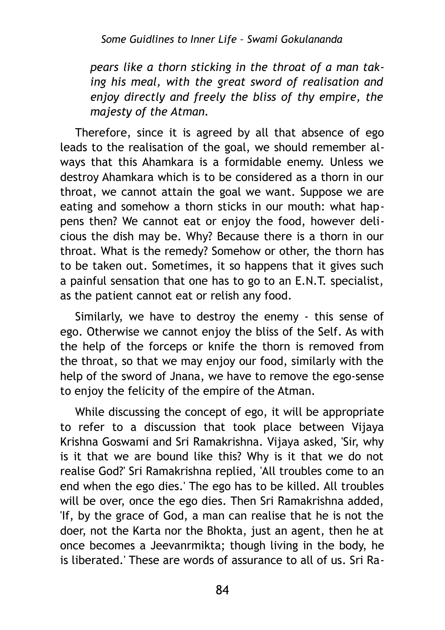*pears like a thorn sticking in the throat of a man taking his meal, with the great sword of realisation and enjoy directly and freely the bliss of thy empire, the majesty of the Atman.*

Therefore, since it is agreed by all that absence of ego leads to the realisation of the goal, we should remember always that this Ahamkara is a formidable enemy. Unless we destroy Ahamkara which is to be considered as a thorn in our throat, we cannot attain the goal we want. Suppose we are eating and somehow a thorn sticks in our mouth: what happens then? We cannot eat or enjoy the food, however delicious the dish may be. Why? Because there is a thorn in our throat. What is the remedy? Somehow or other, the thorn has to be taken out. Sometimes, it so happens that it gives such a painful sensation that one has to go to an E.N.T. specialist, as the patient cannot eat or relish any food.

Similarly, we have to destroy the enemy - this sense of ego. Otherwise we cannot enjoy the bliss of the Self. As with the help of the forceps or knife the thorn is removed from the throat, so that we may enjoy our food, similarly with the help of the sword of Jnana, we have to remove the ego-sense to enjoy the felicity of the empire of the Atman.

While discussing the concept of ego, it will be appropriate to refer to a discussion that took place between Vijaya Krishna Goswami and Sri Ramakrishna. Vijaya asked, 'Sir, why is it that we are bound like this? Why is it that we do not realise God?' Sri Ramakrishna replied, 'All troubles come to an end when the ego dies.' The ego has to be killed. All troubles will be over, once the ego dies. Then Sri Ramakrishna added, 'If, by the grace of God, a man can realise that he is not the doer, not the Karta nor the Bhokta, just an agent, then he at once becomes a Jeevanrmikta; though living in the body, he is liberated.' These are words of assurance to all of us. Sri Ra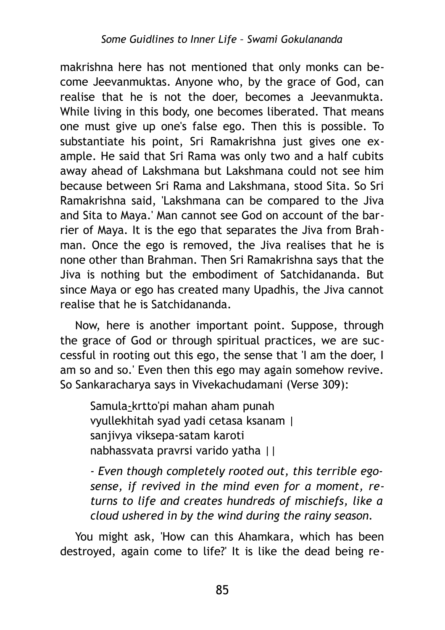makrishna here has not mentioned that only monks can become Jeevanmuktas. Anyone who, by the grace of God, can realise that he is not the doer, becomes a Jeevanmukta. While living in this body, one becomes liberated. That means one must give up one's false ego. Then this is possible. To substantiate his point, Sri Ramakrishna just gives one example. He said that Sri Rama was only two and a half cubits away ahead of Lakshmana but Lakshmana could not see him because between Sri Rama and Lakshmana, stood Sita. So Sri Ramakrishna said, 'Lakshmana can be compared to the Jiva and Sita to Maya.' Man cannot see God on account of the barrier of Maya. It is the ego that separates the Jiva from Brahman. Once the ego is removed, the Jiva realises that he is none other than Brahman. Then Sri Ramakrishna says that the Jiva is nothing but the embodiment of Satchidananda. But since Maya or ego has created many Upadhis, the Jiva cannot realise that he is Satchidananda.

Now, here is another important point. Suppose, through the grace of God or through spiritual practices, we are successful in rooting out this ego, the sense that 'I am the doer, I am so and so.' Even then this ego may again somehow revive. So Sankaracharya says in Vivekachudamani (Verse 309):

Samula-krtto'pi mahan aham punah vyullekhitah syad yadi cetasa ksanam | sanjivya viksepa-satam karoti nabhassvata pravrsi varido yatha ||

*- Even though completely rooted out, this terrible egosense, if revived in the mind even for a moment, returns to life and creates hundreds of mischiefs, like a cloud ushered in by the wind during the rainy season.*

You might ask, 'How can this Ahamkara, which has been destroyed, again come to life?' It is like the dead being re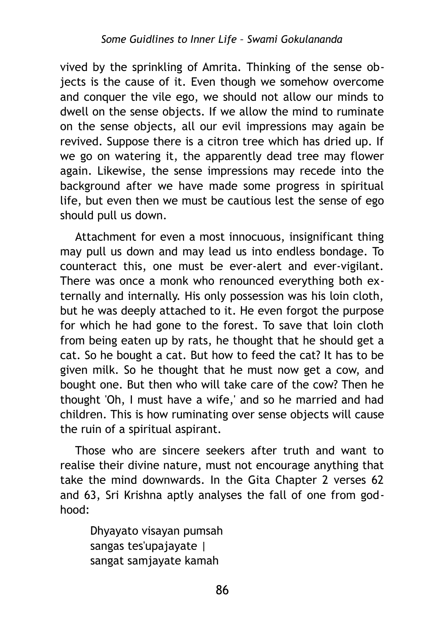vived by the sprinkling of Amrita. Thinking of the sense objects is the cause of it. Even though we somehow overcome and conquer the vile ego, we should not allow our minds to dwell on the sense objects. If we allow the mind to ruminate on the sense objects, all our evil impressions may again be revived. Suppose there is a citron tree which has dried up. If we go on watering it, the apparently dead tree may flower again. Likewise, the sense impressions may recede into the background after we have made some progress in spiritual life, but even then we must be cautious lest the sense of ego should pull us down.

Attachment for even a most innocuous, insignificant thing may pull us down and may lead us into endless bondage. To counteract this, one must be ever-alert and ever-vigilant. There was once a monk who renounced everything both externally and internally. His only possession was his loin cloth, but he was deeply attached to it. He even forgot the purpose for which he had gone to the forest. To save that loin cloth from being eaten up by rats, he thought that he should get a cat. So he bought a cat. But how to feed the cat? It has to be given milk. So he thought that he must now get a cow, and bought one. But then who will take care of the cow? Then he thought 'Oh, I must have a wife,' and so he married and had children. This is how ruminating over sense objects will cause the ruin of a spiritual aspirant.

Those who are sincere seekers after truth and want to realise their divine nature, must not encourage anything that take the mind downwards. In the Gita Chapter 2 verses 62 and 63, Sri Krishna aptly analyses the fall of one from godhood:

Dhyayato visayan pumsah sangas tes'upajayate | sangat samjayate kamah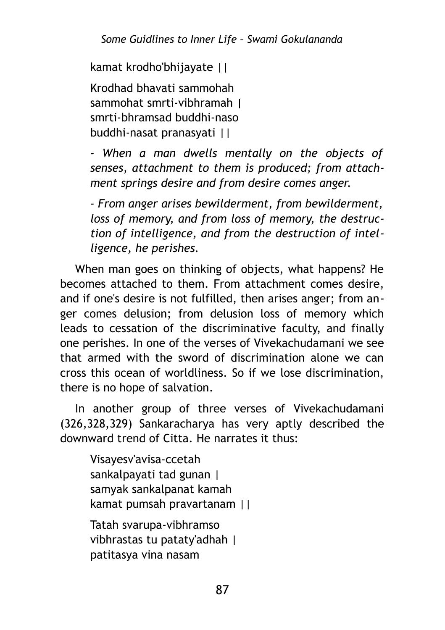kamat krodho'bhijayate ||

Krodhad bhavati sammohah sammohat smrti-vibhramah | smrti-bhramsad buddhi-naso buddhi-nasat pranasyati ||

*- When a man dwells mentally on the objects of senses, attachment to them is produced; from attachment springs desire and from desire comes anger.*

*- From anger arises bewilderment, from bewilderment, loss of memory, and from loss of memory, the destruction of intelligence, and from the destruction of intelligence, he perishes.*

When man goes on thinking of objects, what happens? He becomes attached to them. From attachment comes desire, and if one's desire is not fulfilled, then arises anger; from anger comes delusion; from delusion loss of memory which leads to cessation of the discriminative faculty, and finally one perishes. In one of the verses of Vivekachudamani we see that armed with the sword of discrimination alone we can cross this ocean of worldliness. So if we lose discrimination, there is no hope of salvation.

In another group of three verses of Vivekachudamani (326,328,329) Sankaracharya has very aptly described the downward trend of Citta. He narrates it thus:

Visayesv'avisa-ccetah sankalpayati tad gunan | samyak sankalpanat kamah kamat pumsah pravartanam ||

Tatah svarupa-vibhramso vibhrastas tu pataty'adhah | patitasya vina nasam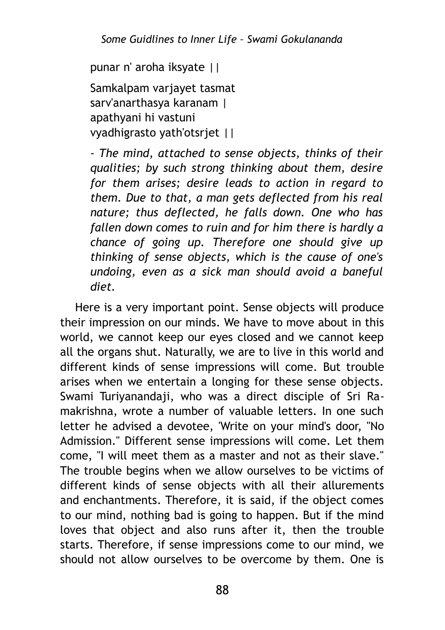punar n' aroha iksyate ||

Samkalpam varjayet tasmat sarv'anarthasya karanam | apathyani hi vastuni vyadhigrasto yath'otsrjet ||

*- The mind, attached to sense objects, thinks of their qualities; by such strong thinking about them, desire for them arises; desire leads to action in regard to them. Due to that, a man gets deflected from his real nature; thus deflected, he falls down. One who has fallen down comes to ruin and for him there is hardly a chance of going up. Therefore one should give up thinking of sense objects, which is the cause of one's undoing, even as a sick man should avoid a baneful diet.*

Here is a very important point. Sense objects will produce their impression on our minds. We have to move about in this world, we cannot keep our eyes closed and we cannot keep all the organs shut. Naturally, we are to live in this world and different kinds of sense impressions will come. But trouble arises when we entertain a longing for these sense objects. Swami Turiyanandaji, who was a direct disciple of Sri Ramakrishna, wrote a number of valuable letters. In one such letter he advised a devotee, 'Write on your mind's door, "No Admission." Different sense impressions will come. Let them come, "I will meet them as a master and not as their slave." The trouble begins when we allow ourselves to be victims of different kinds of sense objects with all their allurements and enchantments. Therefore, it is said, if the object comes to our mind, nothing bad is going to happen. But if the mind loves that object and also runs after it, then the trouble starts. Therefore, if sense impressions come to our mind, we should not allow ourselves to be overcome by them. One is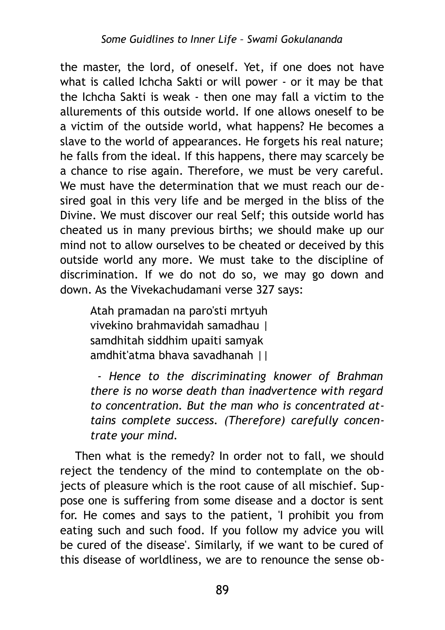the master, the lord, of oneself. Yet, if one does not have what is called Ichcha Sakti or will power - or it may be that the Ichcha Sakti is weak - then one may fall a victim to the allurements of this outside world. If one allows oneself to be a victim of the outside world, what happens? He becomes a slave to the world of appearances. He forgets his real nature; he falls from the ideal. If this happens, there may scarcely be a chance to rise again. Therefore, we must be very careful. We must have the determination that we must reach our desired goal in this very life and be merged in the bliss of the Divine. We must discover our real Self; this outside world has cheated us in many previous births; we should make up our mind not to allow ourselves to be cheated or deceived by this outside world any more. We must take to the discipline of discrimination. If we do not do so, we may go down and down. As the Vivekachudamani verse 327 says:

Atah pramadan na paro'sti mrtyuh vivekino brahmavidah samadhau | samdhitah siddhim upaiti samyak amdhit'atma bhava savadhanah ||

 *- Hence to the discriminating knower of Brahman there is no worse death than inadvertence with regard to concentration. But the man who is concentrated attains complete success. (Therefore) carefully concentrate your mind.*

Then what is the remedy? In order not to fall, we should reject the tendency of the mind to contemplate on the objects of pleasure which is the root cause of all mischief. Suppose one is suffering from some disease and a doctor is sent for. He comes and says to the patient, 'I prohibit you from eating such and such food. If you follow my advice you will be cured of the disease'. Similarly, if we want to be cured of this disease of worldliness, we are to renounce the sense ob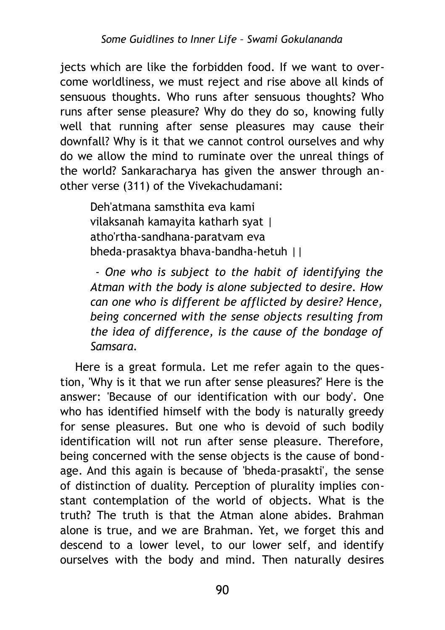jects which are like the forbidden food. If we want to overcome worldliness, we must reject and rise above all kinds of sensuous thoughts. Who runs after sensuous thoughts? Who runs after sense pleasure? Why do they do so, knowing fully well that running after sense pleasures may cause their downfall? Why is it that we cannot control ourselves and why do we allow the mind to ruminate over the unreal things of the world? Sankaracharya has given the answer through another verse (311) of the Vivekachudamani:

Deh'atmana samsthita eva kami vilaksanah kamayita katharh syat | atho'rtha-sandhana-paratvam eva bheda-prasaktya bhava-bandha-hetuh ||

 *- One who is subject to the habit of identifying the Atman with the body is alone subjected to desire. How can one who is different be afflicted by desire? Hence, being concerned with the sense objects resulting from the idea of difference, is the cause of the bondage of Samsara.*

Here is a great formula. Let me refer again to the question, 'Why is it that we run after sense pleasures?' Here is the answer: 'Because of our identification with our body'. One who has identified himself with the body is naturally greedy for sense pleasures. But one who is devoid of such bodily identification will not run after sense pleasure. Therefore, being concerned with the sense objects is the cause of bondage. And this again is because of 'bheda-prasakti', the sense of distinction of duality. Perception of plurality implies constant contemplation of the world of objects. What is the truth? The truth is that the Atman alone abides. Brahman alone is true, and we are Brahman. Yet, we forget this and descend to a lower level, to our lower self, and identify ourselves with the body and mind. Then naturally desires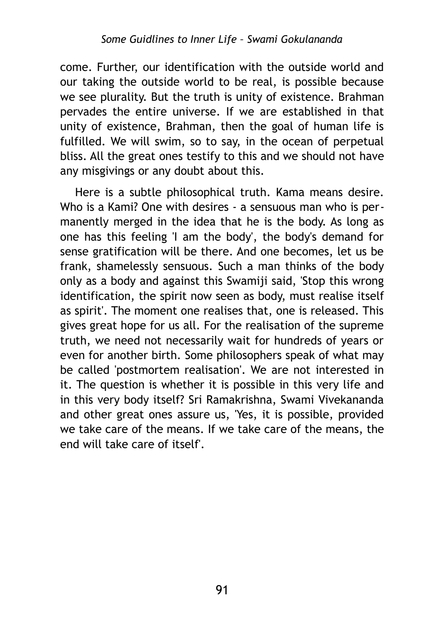come. Further, our identification with the outside world and our taking the outside world to be real, is possible because we see plurality. But the truth is unity of existence. Brahman pervades the entire universe. If we are established in that unity of existence, Brahman, then the goal of human life is fulfilled. We will swim, so to say, in the ocean of perpetual bliss. All the great ones testify to this and we should not have any misgivings or any doubt about this.

Here is a subtle philosophical truth. Kama means desire. Who is a Kami? One with desires - a sensuous man who is permanently merged in the idea that he is the body. As long as one has this feeling 'I am the body', the body's demand for sense gratification will be there. And one becomes, let us be frank, shamelessly sensuous. Such a man thinks of the body only as a body and against this Swamiji said, 'Stop this wrong identification, the spirit now seen as body, must realise itself as spirit'. The moment one realises that, one is released. This gives great hope for us all. For the realisation of the supreme truth, we need not necessarily wait for hundreds of years or even for another birth. Some philosophers speak of what may be called 'postmortem realisation'. We are not interested in it. The question is whether it is possible in this very life and in this very body itself? Sri Ramakrishna, Swami Vivekananda and other great ones assure us, 'Yes, it is possible, provided we take care of the means. If we take care of the means, the end will take care of itself'.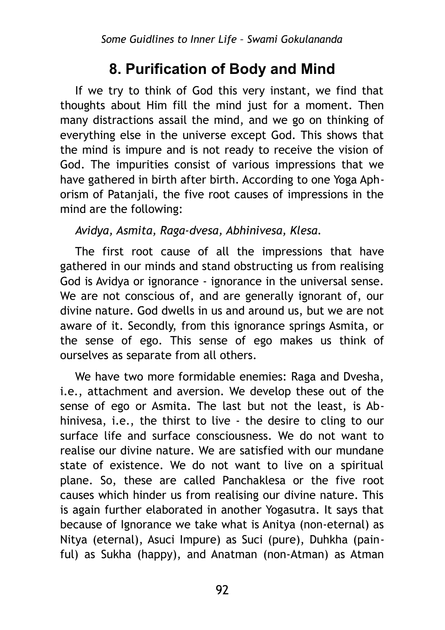### **8. Purification of Body and Mind**

If we try to think of God this very instant, we find that thoughts about Him fill the mind just for a moment. Then many distractions assail the mind, and we go on thinking of everything else in the universe except God. This shows that the mind is impure and is not ready to receive the vision of God. The impurities consist of various impressions that we have gathered in birth after birth. According to one Yoga Aphorism of Patanjali, the five root causes of impressions in the mind are the following:

#### *Avidya, Asmita, Raga-dvesa, Abhinivesa, Klesa.*

The first root cause of all the impressions that have gathered in our minds and stand obstructing us from realising God is Avidya or ignorance - ignorance in the universal sense. We are not conscious of, and are generally ignorant of, our divine nature. God dwells in us and around us, but we are not aware of it. Secondly, from this ignorance springs Asmita, or the sense of ego. This sense of ego makes us think of ourselves as separate from all others.

We have two more formidable enemies: Raga and Dvesha, i.e., attachment and aversion. We develop these out of the sense of ego or Asmita. The last but not the least, is Abhinivesa, i.e., the thirst to live - the desire to cling to our surface life and surface consciousness. We do not want to realise our divine nature. We are satisfied with our mundane state of existence. We do not want to live on a spiritual plane. So, these are called Panchaklesa or the five root causes which hinder us from realising our divine nature. This is again further elaborated in another Yogasutra. It says that because of Ignorance we take what is Anitya (non-eternal) as Nitya (eternal), Asuci Impure) as Suci (pure), Duhkha (painful) as Sukha (happy), and Anatman (non-Atman) as Atman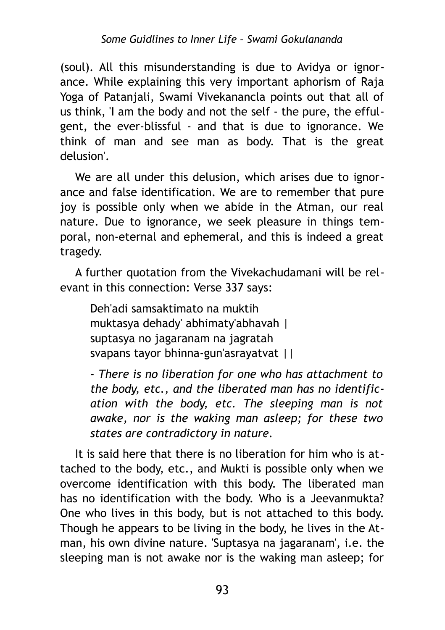(soul). All this misunderstanding is due to Avidya or ignorance. While explaining this very important aphorism of Raja Yoga of Patanjali, Swami Vivekanancla points out that all of us think, 'I am the body and not the self - the pure, the effulgent, the ever-blissful - and that is due to ignorance. We think of man and see man as body. That is the great delusion'.

We are all under this delusion, which arises due to ignorance and false identification. We are to remember that pure joy is possible only when we abide in the Atman, our real nature. Due to ignorance, we seek pleasure in things temporal, non-eternal and ephemeral, and this is indeed a great tragedy.

A further quotation from the Vivekachudamani will be relevant in this connection: Verse 337 says:

Deh'adi samsaktimato na muktih muktasya dehady' abhimaty'abhavah | suptasya no jagaranam na jagratah svapans tayor bhinna-gun'asrayatvat ||

*- There is no liberation for one who has attachment to the body, etc., and the liberated man has no identification with the body, etc. The sleeping man is not awake, nor is the waking man asleep; for these two states are contradictory in nature.*

It is said here that there is no liberation for him who is attached to the body, etc., and Mukti is possible only when we overcome identification with this body. The liberated man has no identification with the body. Who is a Jeevanmukta? One who lives in this body, but is not attached to this body. Though he appears to be living in the body, he lives in the Atman, his own divine nature. 'Suptasya na jagaranam', i.e. the sleeping man is not awake nor is the waking man asleep; for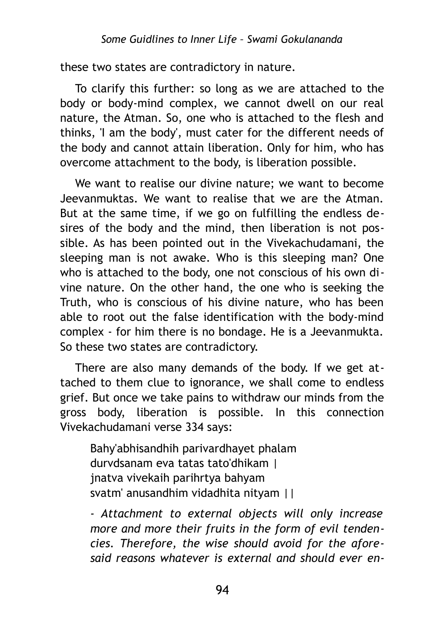these two states are contradictory in nature.

To clarify this further: so long as we are attached to the body or body-mind complex, we cannot dwell on our real nature, the Atman. So, one who is attached to the flesh and thinks, 'I am the body', must cater for the different needs of the body and cannot attain liberation. Only for him, who has overcome attachment to the body, is liberation possible.

We want to realise our divine nature; we want to become Jeevanmuktas. We want to realise that we are the Atman. But at the same time, if we go on fulfilling the endless desires of the body and the mind, then liberation is not possible. As has been pointed out in the Vivekachudamani, the sleeping man is not awake. Who is this sleeping man? One who is attached to the body, one not conscious of his own divine nature. On the other hand, the one who is seeking the Truth, who is conscious of his divine nature, who has been able to root out the false identification with the body-mind complex - for him there is no bondage. He is a Jeevanmukta. So these two states are contradictory.

There are also many demands of the body. If we get attached to them clue to ignorance, we shall come to endless grief. But once we take pains to withdraw our minds from the gross body, liberation is possible. In this connection Vivekachudamani verse 334 says:

Bahy'abhisandhih parivardhayet phalam durvdsanam eva tatas tato'dhikam | jnatva vivekaih parihrtya bahyam svatm' anusandhim vidadhita nityam ||

*- Attachment to external objects will only increase more and more their fruits in the form of evil tendencies. Therefore, the wise should avoid for the aforesaid reasons whatever is external and should ever en-*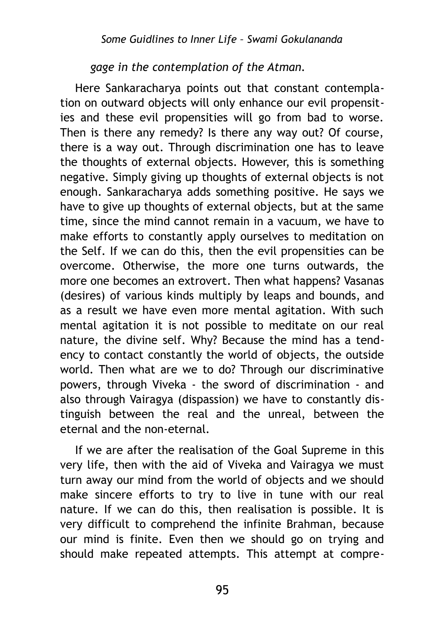### *gage in the contemplation of the Atman.*

Here Sankaracharya points out that constant contemplation on outward objects will only enhance our evil propensities and these evil propensities will go from bad to worse. Then is there any remedy? Is there any way out? Of course, there is a way out. Through discrimination one has to leave the thoughts of external objects. However, this is something negative. Simply giving up thoughts of external objects is not enough. Sankaracharya adds something positive. He says we have to give up thoughts of external objects, but at the same time, since the mind cannot remain in a vacuum, we have to make efforts to constantly apply ourselves to meditation on the Self. If we can do this, then the evil propensities can be overcome. Otherwise, the more one turns outwards, the more one becomes an extrovert. Then what happens? Vasanas (desires) of various kinds multiply by leaps and bounds, and as a result we have even more mental agitation. With such mental agitation it is not possible to meditate on our real nature, the divine self. Why? Because the mind has a tendency to contact constantly the world of objects, the outside world. Then what are we to do? Through our discriminative powers, through Viveka - the sword of discrimination - and also through Vairagya (dispassion) we have to constantly distinguish between the real and the unreal, between the eternal and the non-eternal.

If we are after the realisation of the Goal Supreme in this very life, then with the aid of Viveka and Vairagya we must turn away our mind from the world of objects and we should make sincere efforts to try to live in tune with our real nature. If we can do this, then realisation is possible. It is very difficult to comprehend the infinite Brahman, because our mind is finite. Even then we should go on trying and should make repeated attempts. This attempt at compre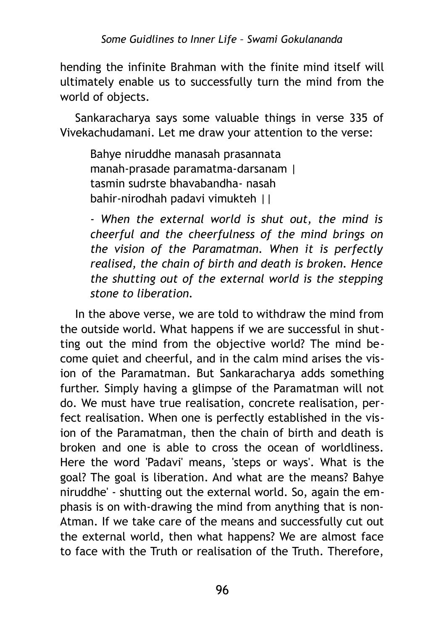hending the infinite Brahman with the finite mind itself will ultimately enable us to successfully turn the mind from the world of objects.

Sankaracharya says some valuable things in verse 335 of Vivekachudamani. Let me draw your attention to the verse:

Bahye niruddhe manasah prasannata manah-prasade paramatma-darsanam | tasmin sudrste bhavabandha- nasah bahir-nirodhah padavi vimukteh ||

*- When the external world is shut out, the mind is cheerful and the cheerfulness of the mind brings on the vision of the Paramatman. When it is perfectly realised, the chain of birth and death is broken. Hence the shutting out of the external world is the stepping stone to liberation.*

In the above verse, we are told to withdraw the mind from the outside world. What happens if we are successful in shutting out the mind from the objective world? The mind become quiet and cheerful, and in the calm mind arises the vision of the Paramatman. But Sankaracharya adds something further. Simply having a glimpse of the Paramatman will not do. We must have true realisation, concrete realisation, perfect realisation. When one is perfectly established in the vision of the Paramatman, then the chain of birth and death is broken and one is able to cross the ocean of worldliness. Here the word 'Padavi' means, 'steps or ways'. What is the goal? The goal is liberation. And what are the means? Bahye niruddhe' - shutting out the external world. So, again the emphasis is on with-drawing the mind from anything that is non-Atman. If we take care of the means and successfully cut out the external world, then what happens? We are almost face to face with the Truth or realisation of the Truth. Therefore,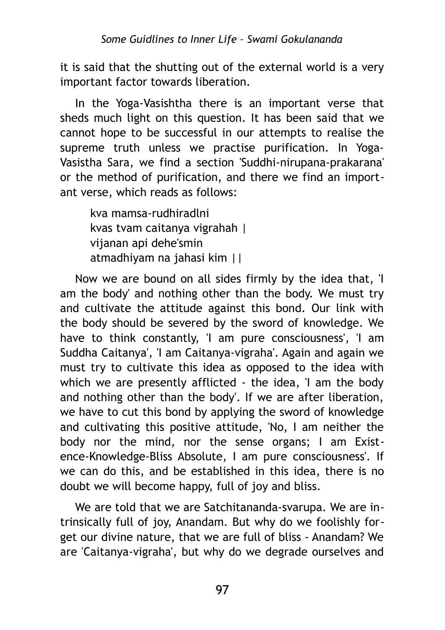it is said that the shutting out of the external world is a very important factor towards liberation.

In the Yoga-Vasishtha there is an important verse that sheds much light on this question. It has been said that we cannot hope to be successful in our attempts to realise the supreme truth unless we practise purification. In Yoga-Vasistha Sara, we find a section 'Suddhi-nirupana-prakarana' or the method of purification, and there we find an important verse, which reads as follows:

kva mamsa-rudhiradlni kvas tvam caitanya vigrahah | vijanan api dehe'smin atmadhiyam na jahasi kim ||

Now we are bound on all sides firmly by the idea that, 'I am the body' and nothing other than the body. We must try and cultivate the attitude against this bond. Our link with the body should be severed by the sword of knowledge. We have to think constantly, 'I am pure consciousness', 'I am Suddha Caitanya', 'I am Caitanya-vigraha'. Again and again we must try to cultivate this idea as opposed to the idea with which we are presently afflicted - the idea, 'I am the body and nothing other than the body'. If we are after liberation, we have to cut this bond by applying the sword of knowledge and cultivating this positive attitude, 'No, I am neither the body nor the mind, nor the sense organs; I am Existence-Knowledge-Bliss Absolute, I am pure consciousness'. If we can do this, and be established in this idea, there is no doubt we will become happy, full of joy and bliss.

We are told that we are Satchitananda-svarupa. We are intrinsically full of joy, Anandam. But why do we foolishly forget our divine nature, that we are full of bliss - Anandam? We are 'Caitanya-vigraha', but why do we degrade ourselves and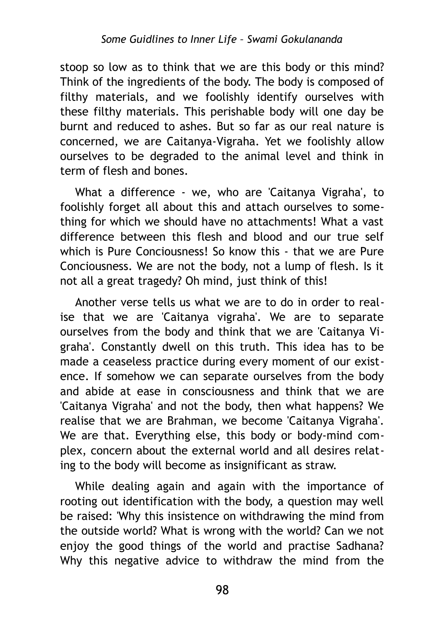stoop so low as to think that we are this body or this mind? Think of the ingredients of the body. The body is composed of filthy materials, and we foolishly identify ourselves with these filthy materials. This perishable body will one day be burnt and reduced to ashes. But so far as our real nature is concerned, we are Caitanya-Vigraha. Yet we foolishly allow ourselves to be degraded to the animal level and think in term of flesh and bones.

What a difference - we, who are 'Caitanya Vigraha', to foolishly forget all about this and attach ourselves to something for which we should have no attachments! What a vast difference between this flesh and blood and our true self which is Pure Conciousness! So know this - that we are Pure Conciousness. We are not the body, not a lump of flesh. Is it not all a great tragedy? Oh mind, just think of this!

Another verse tells us what we are to do in order to realise that we are 'Caitanya vigraha'. We are to separate ourselves from the body and think that we are 'Caitanya Vigraha'. Constantly dwell on this truth. This idea has to be made a ceaseless practice during every moment of our existence. If somehow we can separate ourselves from the body and abide at ease in consciousness and think that we are 'Caitanya Vigraha' and not the body, then what happens? We realise that we are Brahman, we become 'Caitanya Vigraha'. We are that. Everything else, this body or body-mind complex, concern about the external world and all desires relating to the body will become as insignificant as straw.

While dealing again and again with the importance of rooting out identification with the body, a question may well be raised: 'Why this insistence on withdrawing the mind from the outside world? What is wrong with the world? Can we not enjoy the good things of the world and practise Sadhana? Why this negative advice to withdraw the mind from the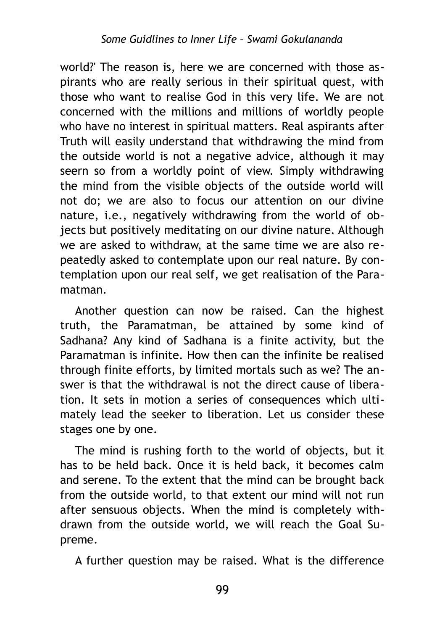world?' The reason is, here we are concerned with those aspirants who are really serious in their spiritual quest, with those who want to realise God in this very life. We are not concerned with the millions and millions of worldly people who have no interest in spiritual matters. Real aspirants after Truth will easily understand that withdrawing the mind from the outside world is not a negative advice, although it may seern so from a worldly point of view. Simply withdrawing the mind from the visible objects of the outside world will not do; we are also to focus our attention on our divine nature, i.e., negatively withdrawing from the world of objects but positively meditating on our divine nature. Although we are asked to withdraw, at the same time we are also repeatedly asked to contemplate upon our real nature. By contemplation upon our real self, we get realisation of the Paramatman.

Another question can now be raised. Can the highest truth, the Paramatman, be attained by some kind of Sadhana? Any kind of Sadhana is a finite activity, but the Paramatman is infinite. How then can the infinite be realised through finite efforts, by limited mortals such as we? The answer is that the withdrawal is not the direct cause of liberation. It sets in motion a series of consequences which ultimately lead the seeker to liberation. Let us consider these stages one by one.

The mind is rushing forth to the world of objects, but it has to be held back. Once it is held back, it becomes calm and serene. To the extent that the mind can be brought back from the outside world, to that extent our mind will not run after sensuous objects. When the mind is completely withdrawn from the outside world, we will reach the Goal Supreme.

A further question may be raised. What is the difference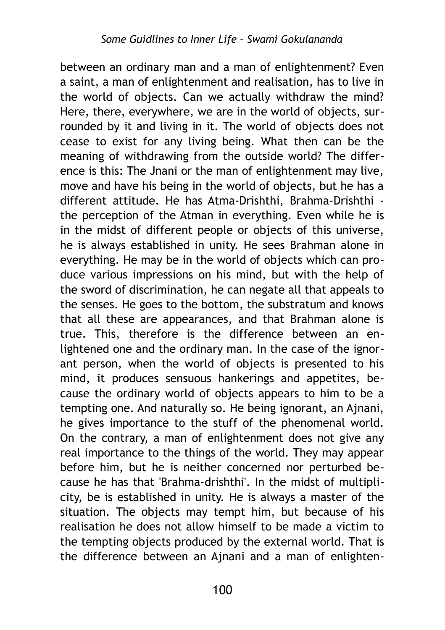between an ordinary man and a man of enlightenment? Even a saint, a man of enlightenment and realisation, has to live in the world of objects. Can we actually withdraw the mind? Here, there, everywhere, we are in the world of objects, surrounded by it and living in it. The world of objects does not cease to exist for any living being. What then can be the meaning of withdrawing from the outside world? The difference is this: The Jnani or the man of enlightenment may live, move and have his being in the world of objects, but he has a different attitude. He has Atma-Drishthi, Brahma-Drishthi the perception of the Atman in everything. Even while he is in the midst of different people or objects of this universe, he is always established in unity. He sees Brahman alone in everything. He may be in the world of objects which can produce various impressions on his mind, but with the help of the sword of discrimination, he can negate all that appeals to the senses. He goes to the bottom, the substratum and knows that all these are appearances, and that Brahman alone is true. This, therefore is the difference between an enlightened one and the ordinary man. In the case of the ignorant person, when the world of objects is presented to his mind, it produces sensuous hankerings and appetites, because the ordinary world of objects appears to him to be a tempting one. And naturally so. He being ignorant, an Ajnani, he gives importance to the stuff of the phenomenal world. On the contrary, a man of enlightenment does not give any real importance to the things of the world. They may appear before him, but he is neither concerned nor perturbed because he has that 'Brahma-drishthi'. In the midst of multiplicity, be is established in unity. He is always a master of the situation. The objects may tempt him, but because of his realisation he does not allow himself to be made a victim to the tempting objects produced by the external world. That is the difference between an Ajnani and a man of enlighten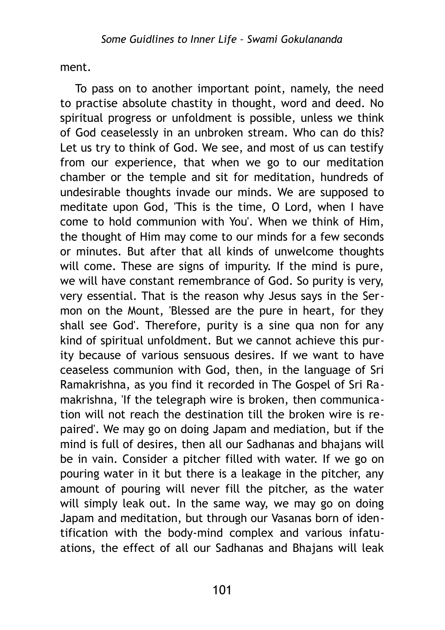ment.

To pass on to another important point, namely, the need to practise absolute chastity in thought, word and deed. No spiritual progress or unfoldment is possible, unless we think of God ceaselessly in an unbroken stream. Who can do this? Let us try to think of God. We see, and most of us can testify from our experience, that when we go to our meditation chamber or the temple and sit for meditation, hundreds of undesirable thoughts invade our minds. We are supposed to meditate upon God, 'This is the time, О Lord, when I have come to hold communion with You'. When we think of Him, the thought of Him may come to our minds for a few seconds or minutes. But after that all kinds of unwelcome thoughts will come. These are signs of impurity. If the mind is pure, we will have constant remembrance of God. So purity is very, very essential. That is the reason why Jesus says in the Sermon on the Mount, 'Blessed are the pure in heart, for they shall see God'. Therefore, purity is a sine qua non for any kind of spiritual unfoldment. But we cannot achieve this purity because of various sensuous desires. If we want to have ceaseless communion with God, then, in the language of Sri Ramakrishna, as you find it recorded in The Gospel of Sri Ramakrishna, 'If the telegraph wire is broken, then communication will not reach the destination till the broken wire is repaired'. We may go on doing Japam and mediation, but if the mind is full of desires, then all our Sadhanas and bhajans will be in vain. Consider a pitcher filled with water. If we go on pouring water in it but there is a leakage in the pitcher, any amount of pouring will never fill the pitcher, as the water will simply leak out. In the same way, we may go on doing Japam and meditation, but through our Vasanas born of identification with the body-mind complex and various infatuations, the effect of all our Sadhanas and Bhajans will leak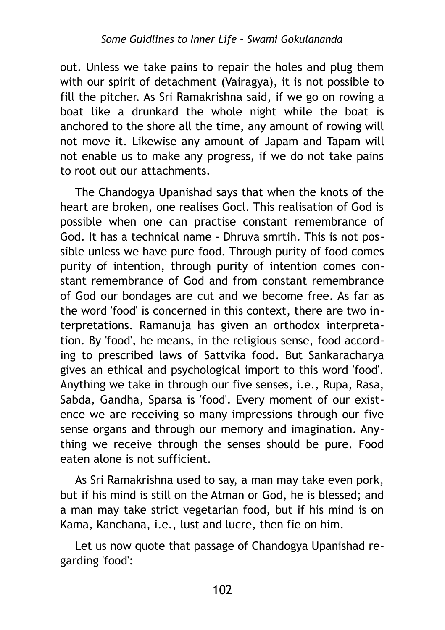out. Unless we take pains to repair the holes and plug them with our spirit of detachment (Vairagya), it is not possible to fill the pitcher. As Sri Ramakrishna said, if we go on rowing a boat like a drunkard the whole night while the boat is anchored to the shore all the time, any amount of rowing will not move it. Likewise any amount of Japam and Tapam will not enable us to make any progress, if we do not take pains to root out our attachments.

The Chandogya Upanishad says that when the knots of the heart are broken, one realises Gocl. This realisation of God is possible when one can practise constant remembrance of God. It has a technical name - Dhruva smrtih. This is not possible unless we have pure food. Through purity of food comes purity of intention, through purity of intention comes constant remembrance of God and from constant remembrance of God our bondages are cut and we become free. As far as the word 'food' is concerned in this context, there are two interpretations. Ramanuja has given an orthodox interpretation. By 'food', he means, in the religious sense, food according to prescribed laws of Sattvika food. But Sankaracharya gives an ethical and psychological import to this word 'food'. Anything we take in through our five senses, i.e., Rupa, Rasa, Sabda, Gandha, Sparsa is 'food'. Every moment of our existence we are receiving so many impressions through our five sense organs and through our memory and imagination. Anything we receive through the senses should be pure. Food eaten alone is not sufficient.

As Sri Ramakrishna used to say, a man may take even pork, but if his mind is still on the Atman or God, he is blessed; and a man may take strict vegetarian food, but if his mind is on Kama, Kanchana, i.e., lust and lucre, then fie on him.

Let us now quote that passage of Chandogya Upanishad regarding 'food':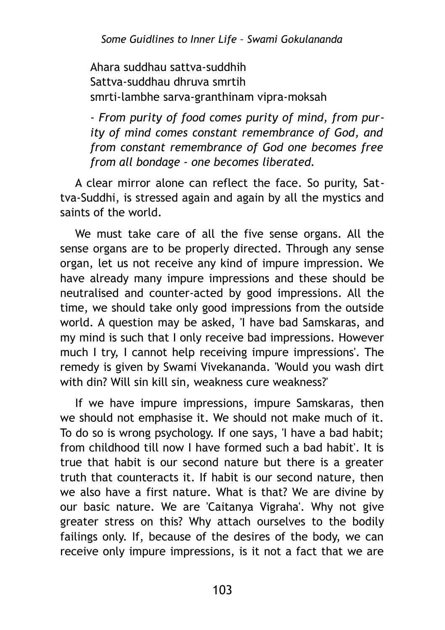Ahara suddhau sattva-suddhih Sattva-suddhau dhruva smrtih smrti-lambhe sarva-granthinam vipra-moksah

*- From purity of food comes purity of mind, from purity of mind comes constant remembrance of God, and from constant remembrance of God one becomes free from all bondage - one becomes liberated.* 

A clear mirror alone can reflect the face. So purity, Sattva-Suddhi, is stressed again and again by all the mystics and saints of the world.

We must take care of all the five sense organs. All the sense organs are to be properly directed. Through any sense organ, let us not receive any kind of impure impression. We have already many impure impressions and these should be neutralised and counter-acted by good impressions. All the time, we should take only good impressions from the outside world. A question may be asked, 'I have bad Samskaras, and my mind is such that I only receive bad impressions. However much I try, I cannot help receiving impure impressions'. The remedy is given by Swami Vivekananda. 'Would you wash dirt with din? Will sin kill sin, weakness cure weakness?'

If we have impure impressions, impure Samskaras, then we should not emphasise it. We should not make much of it. To do so is wrong psychology. If one says, 'I have a bad habit; from childhood till now I have formed such a bad habit'. It is true that habit is our second nature but there is a greater truth that counteracts it. If habit is our second nature, then we also have a first nature. What is that? We are divine by our basic nature. We are 'Caitanya Vigraha'. Why not give greater stress on this? Why attach ourselves to the bodily failings only. If, because of the desires of the body, we can receive only impure impressions, is it not a fact that we are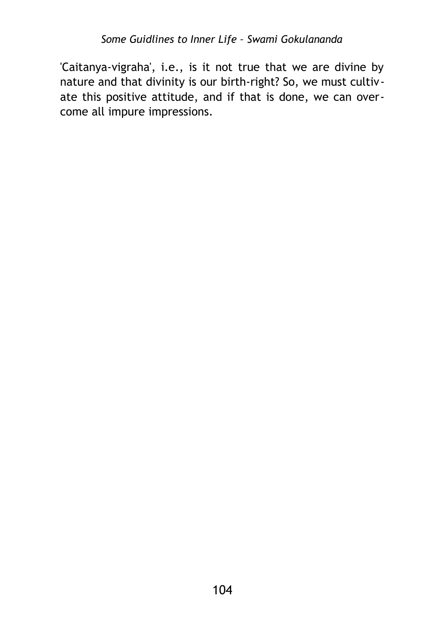'Caitanya-vigraha', i.e., is it not true that we are divine by nature and that divinity is our birth-right? So, we must cultivate this positive attitude, and if that is done, we can overcome all impure impressions.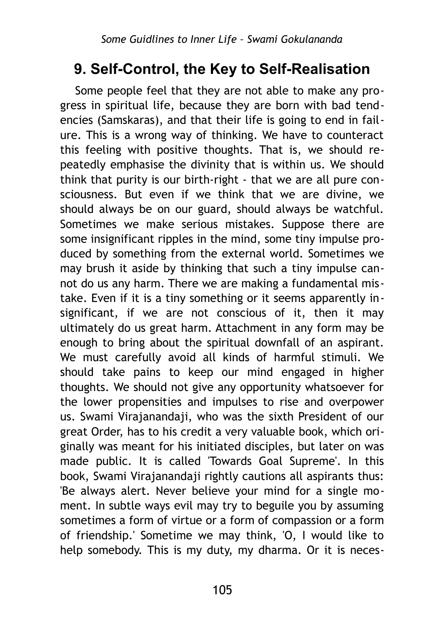## **9. Self-Control, the Key to Self-Realisation**

Some people feel that they are not able to make any progress in spiritual life, because they are born with bad tendencies (Samskaras), and that their life is going to end in failure. This is a wrong way of thinking. We have to counteract this feeling with positive thoughts. That is, we should repeatedly emphasise the divinity that is within us. We should think that purity is our birth-right - that we are all pure consciousness. But even if we think that we are divine, we should always be on our guard, should always be watchful. Sometimes we make serious mistakes. Suppose there are some insignificant ripples in the mind, some tiny impulse produced by something from the external world. Sometimes we may brush it aside by thinking that such a tiny impulse cannot do us any harm. There we are making a fundamental mistake. Even if it is a tiny something or it seems apparently insignificant, if we are not conscious of it, then it may ultimately do us great harm. Attachment in any form may be enough to bring about the spiritual downfall of an aspirant. We must carefully avoid all kinds of harmful stimuli. We should take pains to keep our mind engaged in higher thoughts. We should not give any opportunity whatsoever for the lower propensities and impulses to rise and overpower us. Swami Virajanandaji, who was the sixth President of our great Order, has to his credit a very valuable book, which originally was meant for his initiated disciples, but later on was made public. It is called 'Towards Goal Supreme'. In this book, Swami Virajanandaji rightly cautions all aspirants thus: 'Be always alert. Never believe your mind for a single moment. In subtle ways evil may try to beguile you by assuming sometimes a form of virtue or a form of compassion or a form of friendship.' Sometime we may think, 'O, I would like to help somebody. This is my duty, my dharma. Or it is neces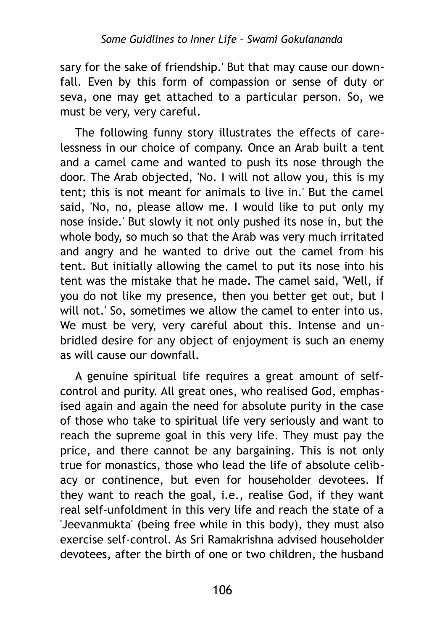sary for the sake of friendship.' But that may cause our downfall. Even by this form of compassion or sense of duty or seva, one may get attached to a particular person. So, we must be very, very careful.

The following funny story illustrates the effects of carelessness in our choice of company. Once an Arab built a tent and a camel came and wanted to push its nose through the door. The Arab objected, 'No. I will not allow you, this is my tent; this is not meant for animals to live in.' But the camel said, 'No, no, please allow me. I would like to put only my nose inside.' But slowly it not only pushed its nose in, but the whole body, so much so that the Arab was very much irritated and angry and he wanted to drive out the camel from his tent. But initially allowing the camel to put its nose into his tent was the mistake that he made. The camel said, 'Well, if you do not like my presence, then you better get out, but I will not.' So, sometimes we allow the camel to enter into us. We must be very, very careful about this. Intense and unbridled desire for any object of enjoyment is such an enemy as will cause our downfall.

A genuine spiritual life requires a great amount of selfcontrol and purity. All great ones, who realised God, emphasised again and again the need for absolute purity in the case of those who take to spiritual life very seriously and want to reach the supreme goal in this very life. They must pay the price, and there cannot be any bargaining. This is not only true for monastics, those who lead the life of absolute celibacy or continence, but even for householder devotees. If they want to reach the goal, i.e., realise God, if they want real self-unfoldment in this very life and reach the state of a 'Jeevanmukta' (being free while in this body), they must also exercise self-control. As Sri Ramakrishna advised householder devotees, after the birth of one or two children, the husband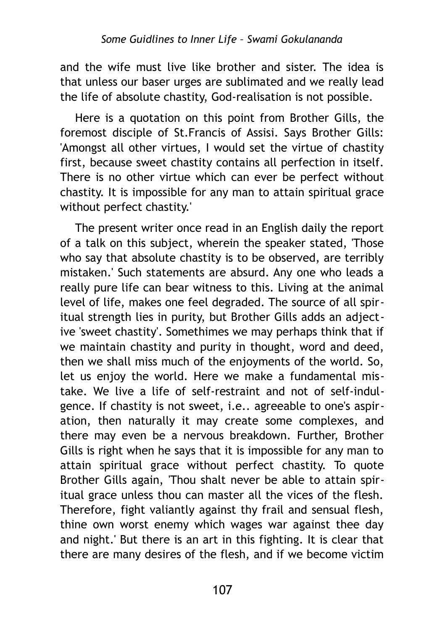and the wife must live like brother and sister. The idea is that unless our baser urges are sublimated and we really lead the life of absolute chastity, God-realisation is not possible.

Here is a quotation on this point from Brother Gills, the foremost disciple of St.Francis of Assisi. Says Brother Gills: 'Amongst all other virtues, I would set the virtue of chastity first, because sweet chastity contains all perfection in itself. There is no other virtue which can ever be perfect without chastity. It is impossible for any man to attain spiritual grace without perfect chastity.'

The present writer once read in an English daily the report of a talk on this subject, wherein the speaker stated, 'Those who say that absolute chastity is to be observed, are terribly mistaken.' Such statements are absurd. Any one who leads a really pure life can bear witness to this. Living at the animal level of life, makes one feel degraded. The source of all spiritual strength lies in purity, but Brother Gills adds an adjective 'sweet chastity'. Somethimes we may perhaps think that if we maintain chastity and purity in thought, word and deed, then we shall miss much of the enjoyments of the world. So, let us enjoy the world. Here we make a fundamental mistake. We live a life of self-restraint and not of self-indulgence. If chastity is not sweet, i.e.. agreeable to one's aspiration, then naturally it may create some complexes, and there may even be a nervous breakdown. Further, Brother Gills is right when he says that it is impossible for any man to attain spiritual grace without perfect chastity. To quote Brother Gills again, 'Thou shalt never be able to attain spiritual grace unless thou can master all the vices of the flesh. Therefore, fight valiantly against thy frail and sensual flesh, thine own worst enemy which wages war against thee day and night.' But there is an art in this fighting. It is clear that there are many desires of the flesh, and if we become victim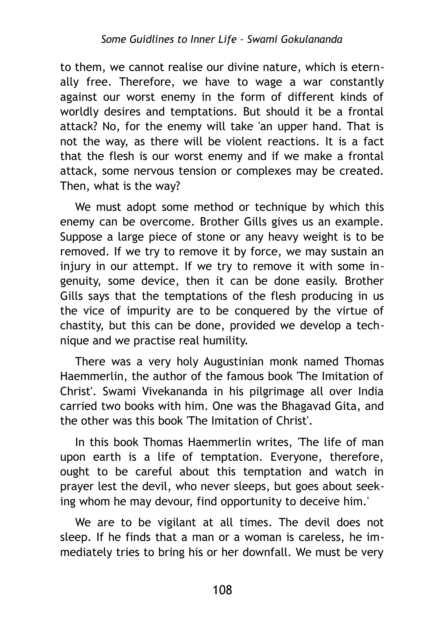to them, we cannot realise our divine nature, which is eternally free. Therefore, we have to wage a war constantly against our worst enemy in the form of different kinds of worldly desires and temptations. But should it be a frontal attack? No, for the enemy will take 'an upper hand. That is not the way, as there will be violent reactions. It is a fact that the flesh is our worst enemy and if we make a frontal attack, some nervous tension or complexes may be created. Then, what is the way?

We must adopt some method or technique by which this enemy can be overcome. Brother Gills gives us an example. Suppose a large piece of stone or any heavy weight is to be removed. If we try to remove it by force, we may sustain an injury in our attempt. If we try to remove it with some ingenuity, some device, then it can be done easily. Brother Gills says that the temptations of the flesh producing in us the vice of impurity are to be conquered by the virtue of chastity, but this can be done, provided we develop a technique and we practise real humility.

There was a very holy Augustinian monk named Thomas Haemmerlin, the author of the famous book 'The Imitation of Christ'. Swami Vivekananda in his pilgrimage all over India carried two books with him. One was the Bhagavad Gita, and the other was this book 'The Imitation of Christ'.

In this book Thomas Haemmerlin writes, 'The life of man upon earth is a life of temptation. Everyone, therefore, ought to be careful about this temptation and watch in prayer lest the devil, who never sleeps, but goes about seeking whom he may devour, find opportunity to deceive him.'

We are to be vigilant at all times. The devil does not sleep. If he finds that a man or a woman is careless, he immediately tries to bring his or her downfall. We must be very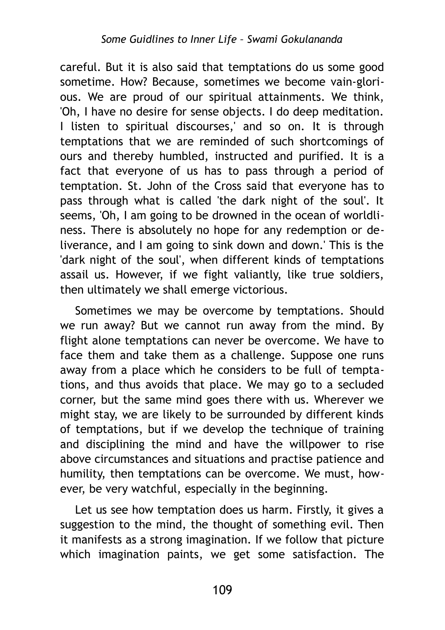careful. But it is also said that temptations do us some good sometime. How? Because, sometimes we become vain-glorious. We are proud of our spiritual attainments. We think, 'Oh, I have no desire for sense objects. I do deep meditation. I listen to spiritual discourses,' and so on. It is through temptations that we are reminded of such shortcomings of ours and thereby humbled, instructed and purified. It is a fact that everyone of us has to pass through a period of temptation. St. John of the Cross said that everyone has to pass through what is called 'the dark night of the soul'. It seems, 'Oh, I am going to be drowned in the ocean of worldliness. There is absolutely no hope for any redemption or deliverance, and I am going to sink down and down.' This is the 'dark night of the soul', when different kinds of temptations assail us. However, if we fight valiantly, like true soldiers, then ultimately we shall emerge victorious.

Sometimes we may be overcome by temptations. Should we run away? But we cannot run away from the mind. By flight alone temptations can never be overcome. We have to face them and take them as a challenge. Suppose one runs away from a place which he considers to be full of temptations, and thus avoids that place. We may go to a secluded corner, but the same mind goes there with us. Wherever we might stay, we are likely to be surrounded by different kinds of temptations, but if we develop the technique of training and disciplining the mind and have the willpower to rise above circumstances and situations and practise patience and humility, then temptations can be overcome. We must, however, be very watchful, especially in the beginning.

Let us see how temptation does us harm. Firstly, it gives a suggestion to the mind, the thought of something evil. Then it manifests as a strong imagination. If we follow that picture which imagination paints, we get some satisfaction. The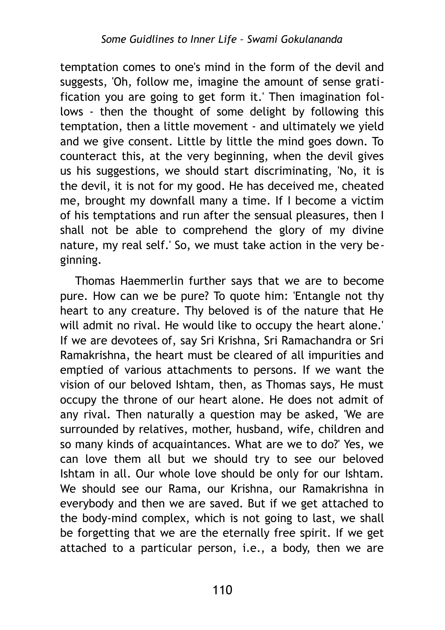temptation comes to one's mind in the form of the devil and suggests, 'Oh, follow me, imagine the amount of sense gratification you are going to get form it.' Then imagination follows - then the thought of some delight by following this temptation, then a little movement - and ultimately we yield and we give consent. Little by little the mind goes down. To counteract this, at the very beginning, when the devil gives us his suggestions, we should start discriminating, 'No, it is the devil, it is not for my good. He has deceived me, cheated me, brought my downfall many a time. If I become a victim of his temptations and run after the sensual pleasures, then I shall not be able to comprehend the glory of my divine nature, my real self.' So, we must take action in the very beginning.

Thomas Haemmerlin further says that we are to become pure. How can we be pure? To quote him: 'Entangle not thy heart to any creature. Thy beloved is of the nature that He will admit no rival. He would like to occupy the heart alone.' If we are devotees of, say Sri Krishna, Sri Ramachandra or Sri Ramakrishna, the heart must be cleared of all impurities and emptied of various attachments to persons. If we want the vision of our beloved Ishtam, then, as Thomas says, He must occupy the throne of our heart alone. He does not admit of any rival. Then naturally a question may be asked, 'We are surrounded by relatives, mother, husband, wife, children and so many kinds of acquaintances. What are we to do?' Yes, we can love them all but we should try to see our beloved Ishtam in all. Our whole love should be only for our Ishtam. We should see our Rama, our Krishna, our Ramakrishna in everybody and then we are saved. But if we get attached to the body-mind complex, which is not going to last, we shall be forgetting that we are the eternally free spirit. If we get attached to a particular person, i.e., a body, then we are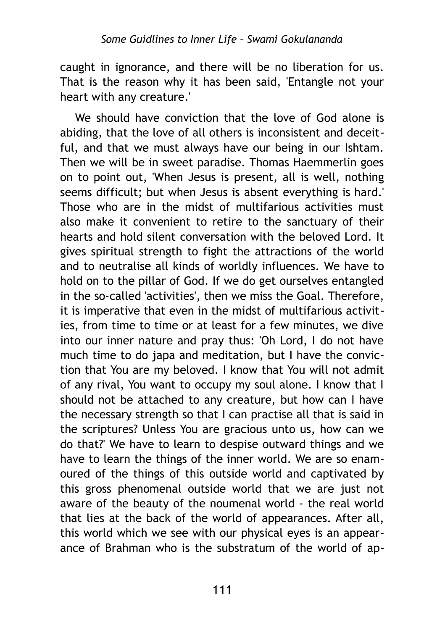caught in ignorance, and there will be no liberation for us. That is the reason why it has been said, 'Entangle not your heart with any creature.'

We should have conviction that the love of God alone is abiding, that the love of all others is inconsistent and deceitful, and that we must always have our being in our Ishtam. Then we will be in sweet paradise. Thomas Haemmerlin goes on to point out, 'When Jesus is present, all is well, nothing seems difficult; but when Jesus is absent everything is hard.' Those who are in the midst of multifarious activities must also make it convenient to retire to the sanctuary of their hearts and hold silent conversation with the beloved Lord. It gives spiritual strength to fight the attractions of the world and to neutralise all kinds of worldly influences. We have to hold on to the pillar of God. If we do get ourselves entangled in the so-called 'activities', then we miss the Goal. Therefore, it is imperative that even in the midst of multifarious activities, from time to time or at least for a few minutes, we dive into our inner nature and pray thus: 'Oh Lord, I do not have much time to do japa and meditation, but I have the conviction that You are my beloved. I know that You will not admit of any rival, You want to occupy my soul alone. I know that I should not be attached to any creature, but how can I have the necessary strength so that I can practise all that is said in the scriptures? Unless You are gracious unto us, how can we do that?' We have to learn to despise outward things and we have to learn the things of the inner world. We are so enamoured of the things of this outside world and captivated by this gross phenomenal outside world that we are just not aware of the beauty of the noumenal world - the real world that lies at the back of the world of appearances. After all, this world which we see with our physical eyes is an appearance of Brahman who is the substratum of the world of ap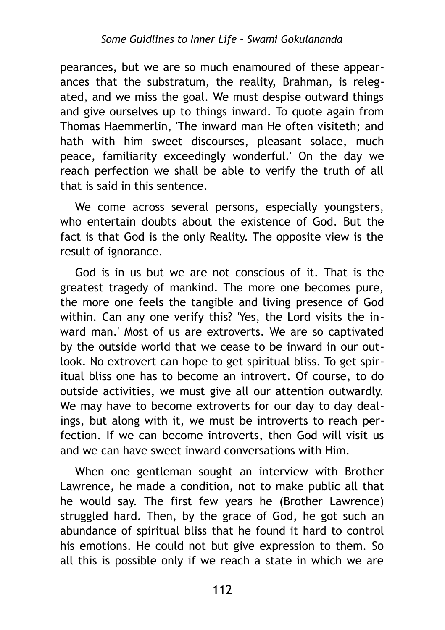pearances, but we are so much enamoured of these appearances that the substratum, the reality, Brahman, is relegated, and we miss the goal. We must despise outward things and give ourselves up to things inward. To quote again from Thomas Haemmerlin, 'The inward man He often visiteth; and hath with him sweet discourses, pleasant solace, much peace, familiarity exceedingly wonderful.' On the day we reach perfection we shall be able to verify the truth of all that is said in this sentence.

We come across several persons, especially youngsters, who entertain doubts about the existence of God. But the fact is that God is the only Reality. The opposite view is the result of ignorance.

God is in us but we are not conscious of it. That is the greatest tragedy of mankind. The more one becomes pure, the more one feels the tangible and living presence of God within. Can any one verify this? 'Yes, the Lord visits the inward man.' Most of us are extroverts. We are so captivated by the outside world that we cease to be inward in our outlook. No extrovert can hope to get spiritual bliss. To get spiritual bliss one has to become an introvert. Of course, to do outside activities, we must give all our attention outwardly. We may have to become extroverts for our day to day dealings, but along with it, we must be introverts to reach perfection. If we can become introverts, then God will visit us and we can have sweet inward conversations with Him.

When one gentleman sought an interview with Brother Lawrence, he made a condition, not to make public all that he would say. The first few years he (Brother Lawrence) struggled hard. Then, by the grace of God, he got such an abundance of spiritual bliss that he found it hard to control his emotions. He could not but give expression to them. So all this is possible only if we reach a state in which we are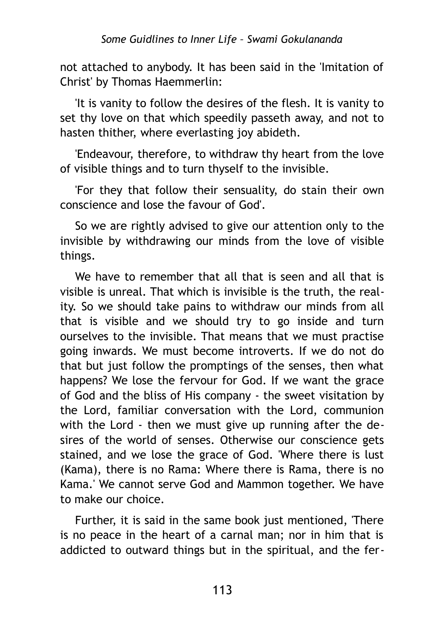not attached to anybody. It has been said in the 'Imitation of Christ' by Thomas Haemmerlin:

'It is vanity to follow the desires of the flesh. It is vanity to set thy love on that which speedily passeth away, and not to hasten thither, where everlasting joy abideth.

'Endeavour, therefore, to withdraw thy heart from the love of visible things and to turn thyself to the invisible.

'For they that follow their sensuality, do stain their own conscience and lose the favour of God'.

So we are rightly advised to give our attention only to the invisible by withdrawing our minds from the love of visible things.

We have to remember that all that is seen and all that is visible is unreal. That which is invisible is the truth, the reality. So we should take pains to withdraw our minds from all that is visible and we should try to go inside and turn ourselves to the invisible. That means that we must practise going inwards. We must become introverts. If we do not do that but just follow the promptings of the senses, then what happens? We lose the fervour for God. If we want the grace of God and the bliss of His company - the sweet visitation by the Lord, familiar conversation with the Lord, communion with the Lord - then we must give up running after the desires of the world of senses. Otherwise our conscience gets stained, and we lose the grace of God. 'Where there is lust (Kama), there is no Rama: Where there is Rama, there is no Kama.' We cannot serve God and Mammon together. We have to make our choice.

Further, it is said in the same book just mentioned, 'There is no peace in the heart of a carnal man; nor in him that is addicted to outward things but in the spiritual, and the fer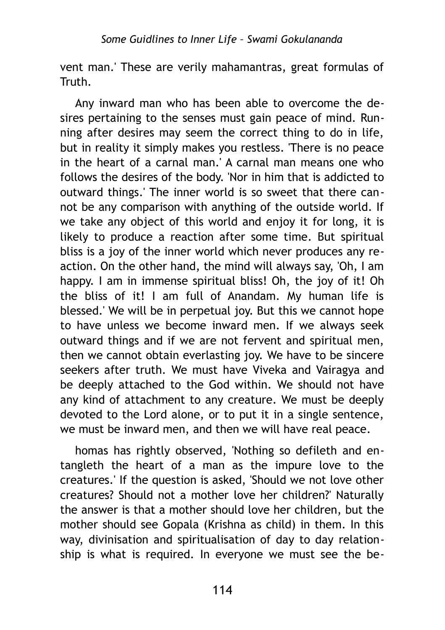vent man.' These are verily mahamantras, great formulas of Truth.

Any inward man who has been able to overcome the desires pertaining to the senses must gain peace of mind. Running after desires may seem the correct thing to do in life, but in reality it simply makes you restless. 'There is no peace in the heart of a carnal man.' A carnal man means one who follows the desires of the body. 'Nor in him that is addicted to outward things.' The inner world is so sweet that there cannot be any comparison with anything of the outside world. If we take any object of this world and enjoy it for long, it is likely to produce a reaction after some time. But spiritual bliss is a joy of the inner world which never produces any reaction. On the other hand, the mind will always say, 'Oh, I am happy. I am in immense spiritual bliss! Oh, the joy of it! Oh the bliss of it! I am full of Anandam. My human life is blessed.' We will be in perpetual joy. But this we cannot hope to have unless we become inward men. If we always seek outward things and if we are not fervent and spiritual men, then we cannot obtain everlasting joy. We have to be sincere seekers after truth. We must have Viveka and Vairagya and be deeply attached to the God within. We should not have any kind of attachment to any creature. We must be deeply devoted to the Lord alone, or to put it in a single sentence, we must be inward men, and then we will have real peace.

homas has rightly observed, 'Nothing so defileth and entangleth the heart of a man as the impure love to the creatures.' If the question is asked, 'Should we not love other creatures? Should not a mother love her children?' Naturally the answer is that a mother should love her children, but the mother should see Gopala (Krishna as child) in them. In this way, divinisation and spiritualisation of day to day relationship is what is required. In everyone we must see the be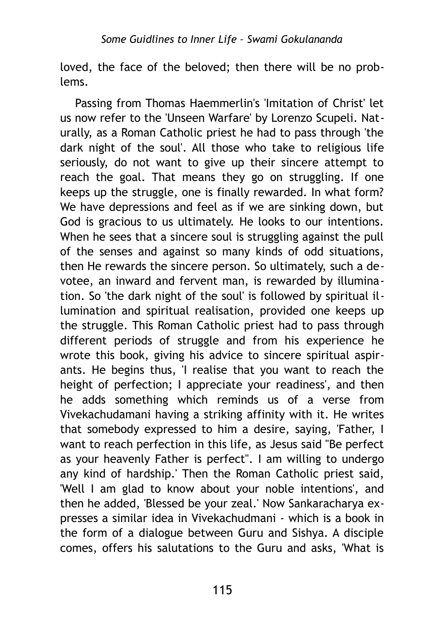loved, the face of the beloved; then there will be no problems.

Passing from Thomas Haemmerlin's 'Imitation of Christ' let us now refer to the 'Unseen Warfare' by Lorenzo Scupeli. Naturally, as a Roman Catholic priest he had to pass through 'the dark night of the soul'. All those who take to religious life seriously, do not want to give up their sincere attempt to reach the goal. That means they go on struggling. If one keeps up the struggle, one is finally rewarded. In what form? We have depressions and feel as if we are sinking down, but God is gracious to us ultimately. He looks to our intentions. When he sees that a sincere soul is struggling against the pull of the senses and against so many kinds of odd situations, then He rewards the sincere person. So ultimately, such a devotee, an inward and fervent man, is rewarded by illumination. So 'the dark night of the soul' is followed by spiritual illumination and spiritual realisation, provided one keeps up the struggle. This Roman Catholic priest had to pass through different periods of struggle and from his experience he wrote this book, giving his advice to sincere spiritual aspirants. He begins thus, 'I realise that you want to reach the height of perfection; I appreciate your readiness', and then he adds something which reminds us of a verse from Vivekachudamani having a striking affinity with it. He writes that somebody expressed to him a desire, saying, 'Father, I want to reach perfection in this life, as Jesus said "Be perfect as your heavenly Father is perfect". I am willing to undergo any kind of hardship.' Then the Roman Catholic priest said, 'Well I am glad to know about your noble intentions', and then he added, 'Blessed be your zeal.' Now Sankaracharya expresses a similar idea in Vivekachudmani - which is a book in the form of a dialogue between Guru and Sishya. A disciple comes, offers his salutations to the Guru and asks, 'What is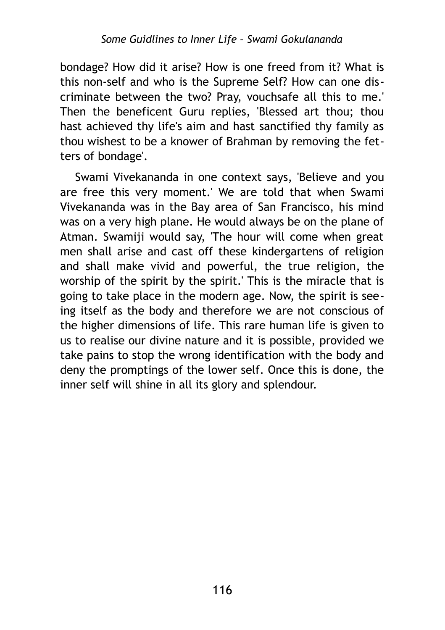bondage? How did it arise? How is one freed from it? What is this non-self and who is the Supreme Self? How can one discriminate between the two? Pray, vouchsafe all this to me.' Then the beneficent Guru replies, 'Blessed art thou; thou hast achieved thy life's aim and hast sanctified thy family as thou wishest to be a knower of Brahman by removing the fetters of bondage'.

Swami Vivekananda in one context says, 'Believe and you are free this very moment.' We are told that when Swami Vivekananda was in the Bay area of San Francisco, his mind was on a very high plane. He would always be on the plane of Atman. Swamiji would say, 'The hour will come when great men shall arise and cast off these kindergartens of religion and shall make vivid and powerful, the true religion, the worship of the spirit by the spirit.' This is the miracle that is going to take place in the modern age. Now, the spirit is seeing itself as the body and therefore we are not conscious of the higher dimensions of life. This rare human life is given to us to realise our divine nature and it is possible, provided we take pains to stop the wrong identification with the body and deny the promptings of the lower self. Once this is done, the inner self will shine in all its glory and splendour.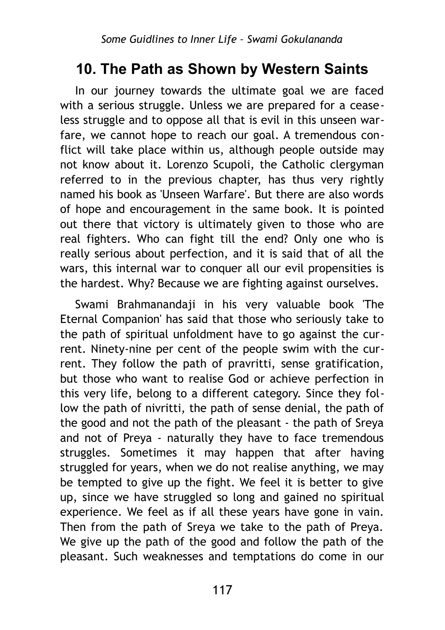## **10. The Path as Shown by Western Saints**

In our journey towards the ultimate goal we are faced with a serious struggle. Unless we are prepared for a ceaseless struggle and to oppose all that is evil in this unseen warfare, we cannot hope to reach our goal. A tremendous conflict will take place within us, although people outside may not know about it. Lorenzo Scupoli, the Catholic clergyman referred to in the previous chapter, has thus very rightly named his book as 'Unseen Warfare'. But there are also words of hope and encouragement in the same book. It is pointed out there that victory is ultimately given to those who are real fighters. Who can fight till the end? Only one who is really serious about perfection, and it is said that of all the wars, this internal war to conquer all our evil propensities is the hardest. Why? Because we are fighting against ourselves.

Swami Brahmanandaji in his very valuable book 'The Eternal Companion' has said that those who seriously take to the path of spiritual unfoldment have to go against the current. Ninety-nine per cent of the people swim with the current. They follow the path of pravritti, sense gratification, but those who want to realise God or achieve perfection in this very life, belong to a different category. Since they follow the path of nivritti, the path of sense denial, the path of the good and not the path of the pleasant - the path of Sreya and not of Preya - naturally they have to face tremendous struggles. Sometimes it may happen that after having struggled for years, when we do not realise anything, we may be tempted to give up the fight. We feel it is better to give up, since we have struggled so long and gained no spiritual experience. We feel as if all these years have gone in vain. Then from the path of Sreya we take to the path of Preya. We give up the path of the good and follow the path of the pleasant. Such weaknesses and temptations do come in our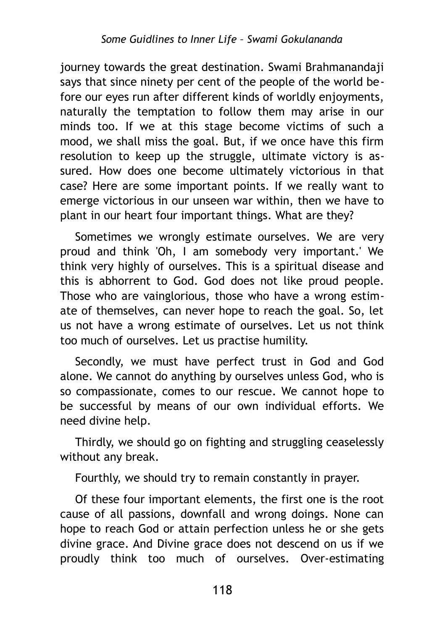journey towards the great destination. Swami Brahmanandaji says that since ninety per cent of the people of the world before our eyes run after different kinds of worldly enjoyments, naturally the temptation to follow them may arise in our minds too. If we at this stage become victims of such a mood, we shall miss the goal. But, if we once have this firm resolution to keep up the struggle, ultimate victory is assured. How does one become ultimately victorious in that case? Here are some important points. If we really want to emerge victorious in our unseen war within, then we have to plant in our heart four important things. What are they?

Sometimes we wrongly estimate ourselves. We are very proud and think 'Oh, I am somebody very important.' We think very highly of ourselves. This is a spiritual disease and this is abhorrent to God. God does not like proud people. Those who are vainglorious, those who have a wrong estimate of themselves, can never hope to reach the goal. So, let us not have a wrong estimate of ourselves. Let us not think too much of ourselves. Let us practise humility.

Secondly, we must have perfect trust in God and God alone. We cannot do anything by ourselves unless God, who is so compassionate, comes to our rescue. We cannot hope to be successful by means of our own individual efforts. We need divine help.

Thirdly, we should go on fighting and struggling ceaselessly without any break.

Fourthly, we should try to remain constantly in prayer.

Of these four important elements, the first one is the root cause of all passions, downfall and wrong doings. None can hope to reach God or attain perfection unless he or she gets divine grace. And Divine grace does not descend on us if we proudly think too much of ourselves. Over-estimating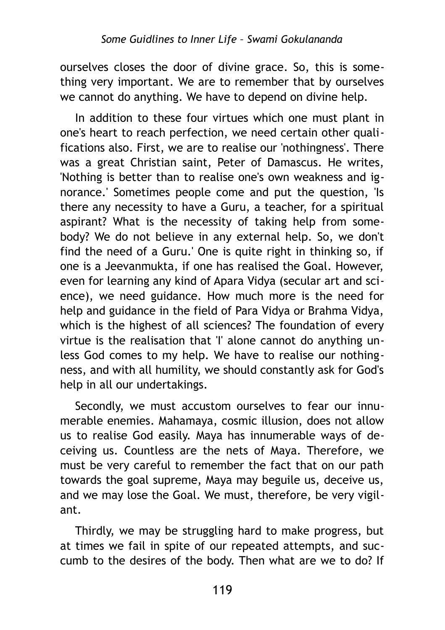ourselves closes the door of divine grace. So, this is something very important. We are to remember that by ourselves we cannot do anything. We have to depend on divine help.

In addition to these four virtues which one must plant in one's heart to reach perfection, we need certain other qualifications also. First, we are to realise our 'nothingness'. There was a great Christian saint, Peter of Damascus. He writes, 'Nothing is better than to realise one's own weakness and ignorance.' Sometimes people come and put the question, 'Is there any necessity to have a Guru, a teacher, for a spiritual aspirant? What is the necessity of taking help from somebody? We do not believe in any external help. So, we don't find the need of a Guru.' One is quite right in thinking so, if one is a Jeevanmukta, if one has realised the Goal. However, even for learning any kind of Apara Vidya (secular art and science), we need guidance. How much more is the need for help and guidance in the field of Para Vidya or Brahma Vidya, which is the highest of all sciences? The foundation of every virtue is the realisation that 'I' alone cannot do anything unless God comes to my help. We have to realise our nothingness, and with all humility, we should constantly ask for God's help in all our undertakings.

Secondly, we must accustom ourselves to fear our innumerable enemies. Mahamaya, cosmic illusion, does not allow us to realise God easily. Maya has innumerable ways of deceiving us. Countless are the nets of Maya. Therefore, we must be very careful to remember the fact that on our path towards the goal supreme, Maya may beguile us, deceive us, and we may lose the Goal. We must, therefore, be very vigilant.

Thirdly, we may be struggling hard to make progress, but at times we fail in spite of our repeated attempts, and succumb to the desires of the body. Then what are we to do? If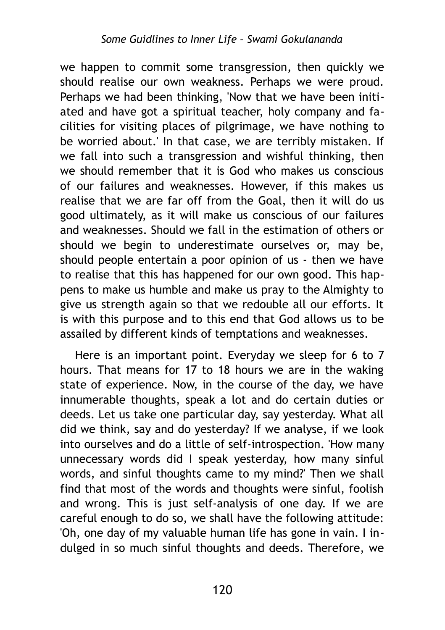we happen to commit some transgression, then quickly we should realise our own weakness. Perhaps we were proud. Perhaps we had been thinking, 'Now that we have been initiated and have got a spiritual teacher, holy company and facilities for visiting places of pilgrimage, we have nothing to be worried about.' In that case, we are terribly mistaken. If we fall into such a transgression and wishful thinking, then we should remember that it is God who makes us conscious of our failures and weaknesses. However, if this makes us realise that we are far off from the Goal, then it will do us good ultimately, as it will make us conscious of our failures and weaknesses. Should we fall in the estimation of others or should we begin to underestimate ourselves or, may be, should people entertain a poor opinion of us - then we have to realise that this has happened for our own good. This happens to make us humble and make us pray to the Almighty to give us strength again so that we redouble all our efforts. It is with this purpose and to this end that God allows us to be assailed by different kinds of temptations and weaknesses.

Here is an important point. Everyday we sleep for 6 to 7 hours. That means for 17 to 18 hours we are in the waking state of experience. Now, in the course of the day, we have innumerable thoughts, speak a lot and do certain duties or deeds. Let us take one particular day, say yesterday. What all did we think, say and do yesterday? If we analyse, if we look into ourselves and do a little of self-introspection. 'How many unnecessary words did I speak yesterday, how many sinful words, and sinful thoughts came to my mind?' Then we shall find that most of the words and thoughts were sinful, foolish and wrong. This is just self-analysis of one day. If we are careful enough to do so, we shall have the following attitude: 'Oh, one day of my valuable human life has gone in vain. I indulged in so much sinful thoughts and deeds. Therefore, we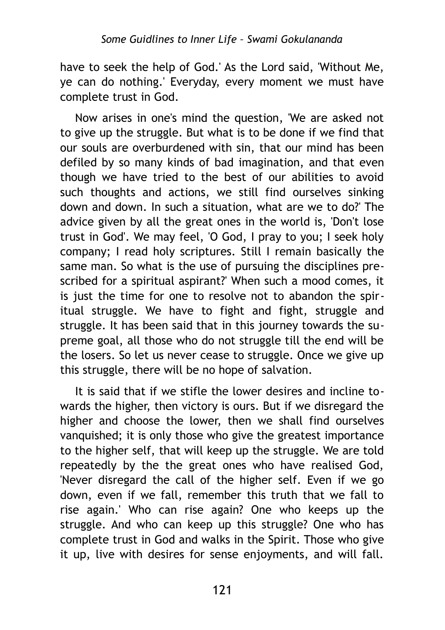have to seek the help of God.' As the Lord said, 'Without Me, ye can do nothing.' Everyday, every moment we must have complete trust in God.

Now arises in one's mind the question, 'We are asked not to give up the struggle. But what is to be done if we find that our souls are overburdened with sin, that our mind has been defiled by so many kinds of bad imagination, and that even though we have tried to the best of our abilities to avoid such thoughts and actions, we still find ourselves sinking down and down. In such a situation, what are we to do?' The advice given by all the great ones in the world is, 'Don't lose trust in God'. We may feel, 'O God, I pray to you; I seek holy company; I read holy scriptures. Still I remain basically the same man. So what is the use of pursuing the disciplines prescribed for a spiritual aspirant?' When such a mood comes, it is just the time for one to resolve not to abandon the spiritual struggle. We have to fight and fight, struggle and struggle. It has been said that in this journey towards the supreme goal, all those who do not struggle till the end will be the losers. So let us never cease to struggle. Once we give up this struggle, there will be no hope of salvation.

It is said that if we stifle the lower desires and incline towards the higher, then victory is ours. But if we disregard the higher and choose the lower, then we shall find ourselves vanquished; it is only those who give the greatest importance to the higher self, that will keep up the struggle. We are told repeatedly by the the great ones who have realised God, 'Never disregard the call of the higher self. Even if we go down, even if we fall, remember this truth that we fall to rise again.' Who can rise again? One who keeps up the struggle. And who can keep up this struggle? One who has complete trust in God and walks in the Spirit. Those who give it up, live with desires for sense enjoyments, and will fall.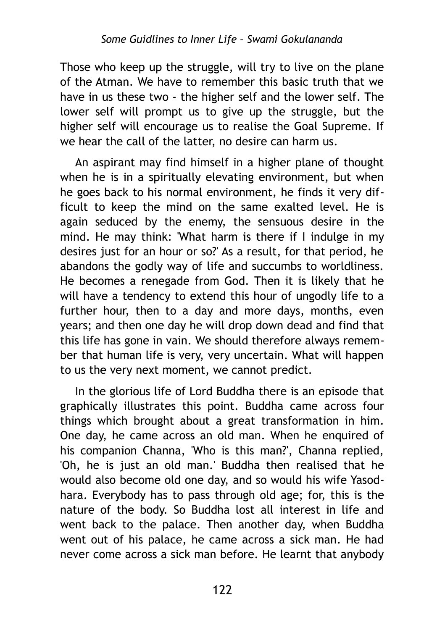Those who keep up the struggle, will try to live on the plane of the Atman. We have to remember this basic truth that we have in us these two - the higher self and the lower self. The lower self will prompt us to give up the struggle, but the higher self will encourage us to realise the Goal Supreme. If we hear the call of the latter, no desire can harm us.

An aspirant may find himself in a higher plane of thought when he is in a spiritually elevating environment, but when he goes back to his normal environment, he finds it very difficult to keep the mind on the same exalted level. He is again seduced by the enemy, the sensuous desire in the mind. He may think: 'What harm is there if I indulge in my desires just for an hour or so?' As a result, for that period, he abandons the godly way of life and succumbs to worldliness. He becomes a renegade from God. Then it is likely that he will have a tendency to extend this hour of ungodly life to a further hour, then to a day and more days, months, even years; and then one day he will drop down dead and find that this life has gone in vain. We should therefore always remember that human life is very, very uncertain. What will happen to us the very next moment, we cannot predict.

In the glorious life of Lord Buddha there is an episode that graphically illustrates this point. Buddha came across four things which brought about a great transformation in him. One day, he came across an old man. When he enquired of his companion Channa, 'Who is this man?', Channa replied, 'Oh, he is just an old man.' Buddha then realised that he would also become old one day, and so would his wife Yasodhara. Everybody has to pass through old age; for, this is the nature of the body. So Buddha lost all interest in life and went back to the palace. Then another day, when Buddha went out of his palace, he came across a sick man. He had never come across a sick man before. He learnt that anybody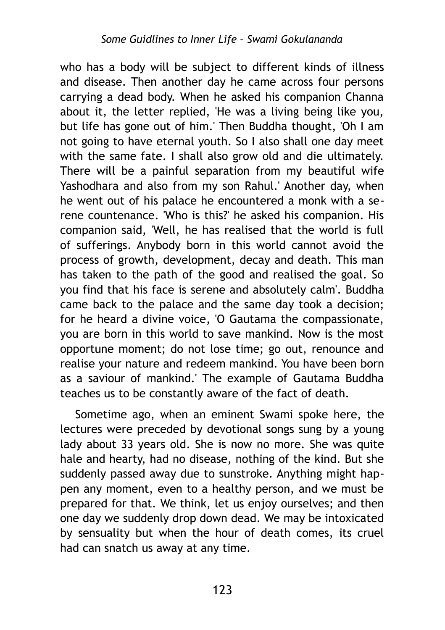who has a body will be subject to different kinds of illness and disease. Then another day he came across four persons carrying a dead body. When he asked his companion Channa about it, the letter replied, 'He was a living being like you, but life has gone out of him.' Then Buddha thought, 'Oh I am not going to have eternal youth. So I also shall one day meet with the same fate. I shall also grow old and die ultimately. There will be a painful separation from my beautiful wife Yashodhara and also from my son Rahul.' Another day, when he went out of his palace he encountered a monk with a serene countenance. 'Who is this?' he asked his companion. His companion said, 'Well, he has realised that the world is full of sufferings. Anybody born in this world cannot avoid the process of growth, development, decay and death. This man has taken to the path of the good and realised the goal. So you find that his face is serene and absolutely calm'. Buddha came back to the palace and the same day took a decision; for he heard a divine voice, 'O Gautama the compassionate, you are born in this world to save mankind. Now is the most opportune moment; do not lose time; go out, renounce and realise your nature and redeem mankind. You have been born as a saviour of mankind.' The example of Gautama Buddha teaches us to be constantly aware of the fact of death.

Sometime ago, when an eminent Swami spoke here, the lectures were preceded by devotional songs sung by a young lady about 33 years old. She is now no more. She was quite hale and hearty, had no disease, nothing of the kind. But she suddenly passed away due to sunstroke. Anything might happen any moment, even to a healthy person, and we must be prepared for that. We think, let us enjoy ourselves; and then one day we suddenly drop down dead. We may be intoxicated by sensuality but when the hour of death comes, its cruel had can snatch us away at any time.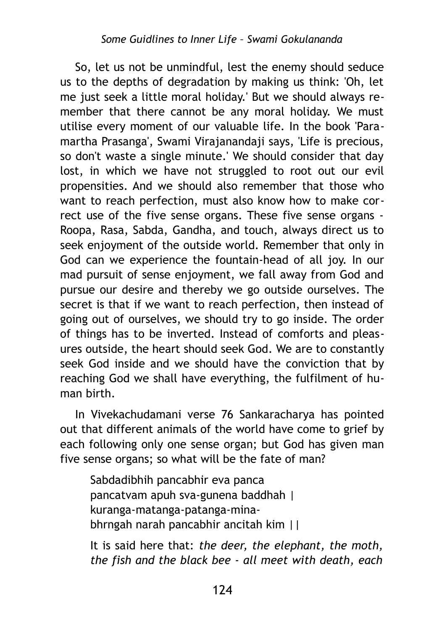So, let us not be unmindful, lest the enemy should seduce us to the depths of degradation by making us think: 'Oh, let me just seek a little moral holiday.' But we should always remember that there cannot be any moral holiday. We must utilise every moment of our valuable life. In the book 'Paramartha Prasanga', Swami Virajanandaji says, 'Life is precious, so don't waste a single minute.' We should consider that day lost, in which we have not struggled to root out our evil propensities. And we should also remember that those who want to reach perfection, must also know how to make correct use of the five sense organs. These five sense organs - Roopa, Rasa, Sabda, Gandha, and touch, always direct us to seek enjoyment of the outside world. Remember that only in God can we experience the fountain-head of all joy. In our mad pursuit of sense enjoyment, we fall away from God and pursue our desire and thereby we go outside ourselves. The secret is that if we want to reach perfection, then instead of going out of ourselves, we should try to go inside. The order of things has to be inverted. Instead of comforts and pleasures outside, the heart should seek God. We are to constantly seek God inside and we should have the conviction that by reaching God we shall have everything, the fulfilment of human birth.

In Vivekachudamani verse 76 Sankaracharya has pointed out that different animals of the world have come to grief by each following only one sense organ; but God has given man five sense organs; so what will be the fate of man?

Sabdadibhih pancabhir eva panca pancatvam apuh sva-gunena baddhah | kuranga-matanga-patanga-minabhrngah narah pancabhir ancitah kim ||

It is said here that: *the deer, the elephant, the moth, the fish and the black bee - all meet with death, each*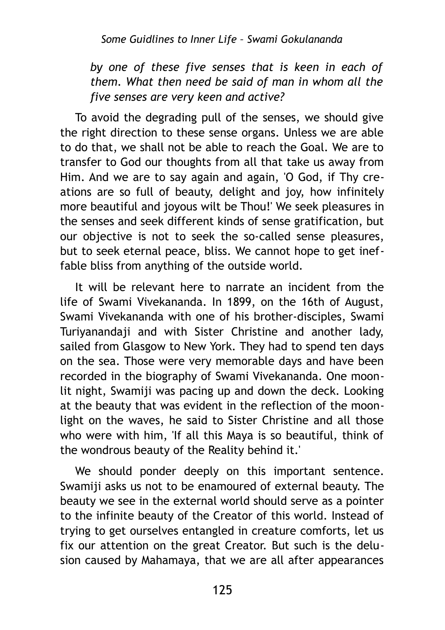*by one of these five senses that is keen in each of them. What then need be said of man in whom all the five senses are very keen and active?*

To avoid the degrading pull of the senses, we should give the right direction to these sense organs. Unless we are able to do that, we shall not be able to reach the Goal. We are to transfer to God our thoughts from all that take us away from Him. And we are to say again and again, 'O God, if Thy creations are so full of beauty, delight and joy, how infinitely more beautiful and joyous wilt be Thou!' We seek pleasures in the senses and seek different kinds of sense gratification, but our objective is not to seek the so-called sense pleasures, but to seek eternal peace, bliss. We cannot hope to get ineffable bliss from anything of the outside world.

It will be relevant here to narrate an incident from the life of Swami Vivekananda. In 1899, on the 16th of August, Swami Vivekananda with one of his brother-disciples, Swami Turiyanandaji and with Sister Christine and another lady, sailed from Glasgow to New York. They had to spend ten days on the sea. Those were very memorable days and have been recorded in the biography of Swami Vivekananda. One moonlit night, Swamiji was pacing up and down the deck. Looking at the beauty that was evident in the reflection of the moonlight on the waves, he said to Sister Christine and all those who were with him, 'If all this Maya is so beautiful, think of the wondrous beauty of the Reality behind it.'

We should ponder deeply on this important sentence. Swamiji asks us not to be enamoured of external beauty. The beauty we see in the external world should serve as a pointer to the infinite beauty of the Creator of this world. Instead of trying to get ourselves entangled in creature comforts, let us fix our attention on the great Creator. But such is the delusion caused by Mahamaya, that we are all after appearances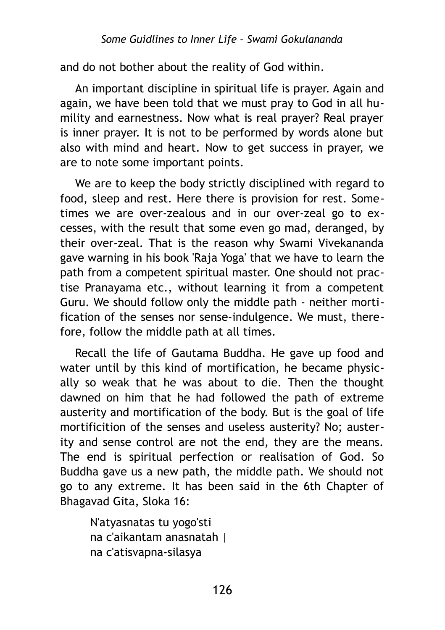and do not bother about the reality of God within.

An important discipline in spiritual life is prayer. Again and again, we have been told that we must pray to God in all humility and earnestness. Now what is real prayer? Real prayer is inner prayer. It is not to be performed by words alone but also with mind and heart. Now to get success in prayer, we are to note some important points.

We are to keep the body strictly disciplined with regard to food, sleep and rest. Here there is provision for rest. Sometimes we are over-zealous and in our over-zeal go to excesses, with the result that some even go mad, deranged, by their over-zeal. That is the reason why Swami Vivekananda gave warning in his book 'Raja Yoga' that we have to learn the path from a competent spiritual master. One should not practise Pranayama etc., without learning it from a competent Guru. We should follow only the middle path - neither mortification of the senses nor sense-indulgence. We must, therefore, follow the middle path at all times.

Recall the life of Gautama Buddha. He gave up food and water until by this kind of mortification, he became physically so weak that he was about to die. Then the thought dawned on him that he had followed the path of extreme austerity and mortification of the body. But is the goal of life mortificition of the senses and useless austerity? No; austerity and sense control are not the end, they are the means. The end is spiritual perfection or realisation of God. So Buddha gave us a new path, the middle path. We should not go to any extreme. It has been said in the 6th Chapter of Bhagavad Gita, Sloka 16:

N'atyasnatas tu yogo'sti na c'aikantam anasnatah | na c'atisvapna-silasya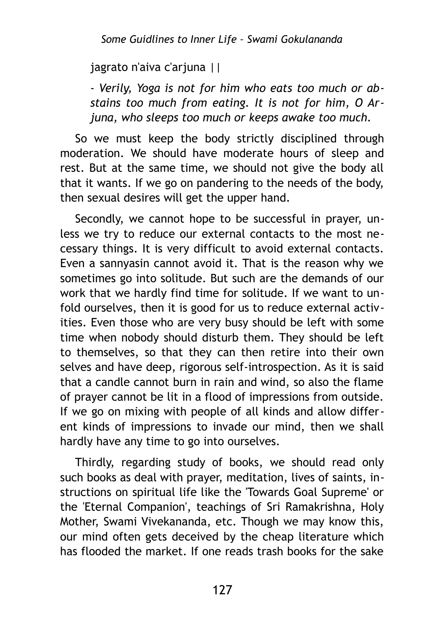jagrato n'aiva c'arjuna ||

*- Verily, Yoga is not for him who eats too much or abstains too much from eating. It is not for him, О Arjuna, who sleeps too much or keeps awake too much.*

So we must keep the body strictly disciplined through moderation. We should have moderate hours of sleep and rest. But at the same time, we should not give the body all that it wants. If we go on pandering to the needs of the body, then sexual desires will get the upper hand.

Secondly, we cannot hope to be successful in prayer, unless we try to reduce our external contacts to the most necessary things. It is very difficult to avoid external contacts. Even a sannyasin cannot avoid it. That is the reason why we sometimes go into solitude. But such are the demands of our work that we hardly find time for solitude. If we want to unfold ourselves, then it is good for us to reduce external activities. Even those who are very busy should be left with some time when nobody should disturb them. They should be left to themselves, so that they can then retire into their own selves and have deep, rigorous self-introspection. As it is said that a candle cannot burn in rain and wind, so also the flame of prayer cannot be lit in a flood of impressions from outside. If we go on mixing with people of all kinds and allow different kinds of impressions to invade our mind, then we shall hardly have any time to go into ourselves.

Thirdly, regarding study of books, we should read only such books as deal with prayer, meditation, lives of saints, instructions on spiritual life like the 'Towards Goal Supreme' or the 'Eternal Companion', teachings of Sri Ramakrishna, Holy Mother, Swami Vivekananda, etc. Though we may know this, our mind often gets deceived by the cheap literature which has flooded the market. If one reads trash books for the sake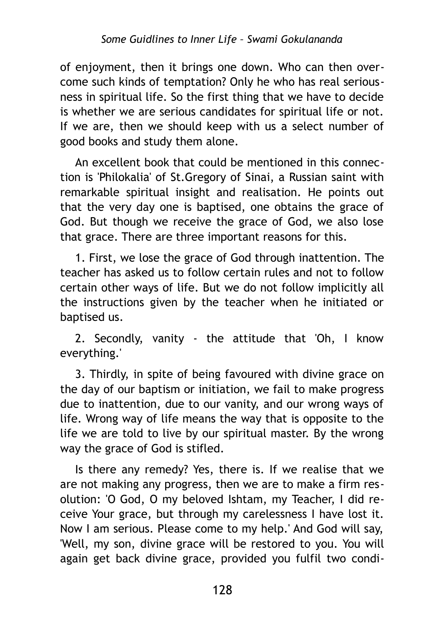of enjoyment, then it brings one down. Who can then overcome such kinds of temptation? Only he who has real seriousness in spiritual life. So the first thing that we have to decide is whether we are serious candidates for spiritual life or not. If we are, then we should keep with us a select number of good books and study them alone.

An excellent book that could be mentioned in this connection is 'Philokalia' of St.Gregory of Sinai, a Russian saint with remarkable spiritual insight and realisation. He points out that the very day one is baptised, one obtains the grace of God. But though we receive the grace of God, we also lose that grace. There are three important reasons for this.

1. First, we lose the grace of God through inattention. The teacher has asked us to follow certain rules and not to follow certain other ways of life. But we do not follow implicitly all the instructions given by the teacher when he initiated or baptised us.

2. Secondly, vanity - the attitude that 'Oh, I know everything.'

3. Thirdly, in spite of being favoured with divine grace on the day of our baptism or initiation, we fail to make progress due to inattention, due to our vanity, and our wrong ways of life. Wrong way of life means the way that is opposite to the life we are told to live by our spiritual master. By the wrong way the grace of God is stifled.

Is there any remedy? Yes, there is. If we realise that we are not making any progress, then we are to make a firm resolution: 'O God, О my beloved Ishtam, my Teacher, I did receive Your grace, but through my carelessness I have lost it. Now I am serious. Please come to my help.' And God will say, 'Well, my son, divine grace will be restored to you. You will again get back divine grace, provided you fulfil two condi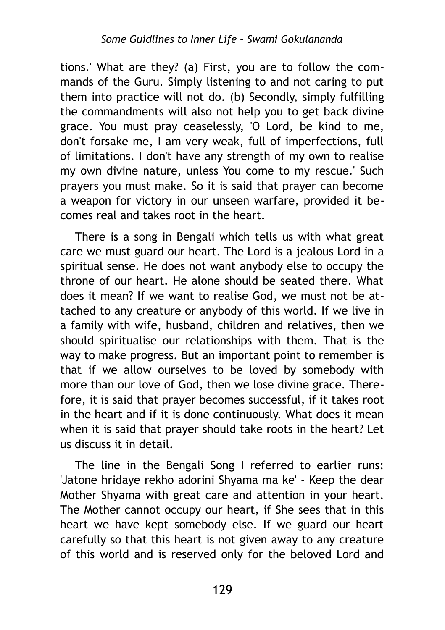tions.' What are they? (a) First, you are to follow the commands of the Guru. Simply listening to and not caring to put them into practice will not do. (b) Secondly, simply fulfilling the commandments will also not help you to get back divine grace. You must pray ceaselessly, 'O Lord, be kind to me, don't forsake me, I am very weak, full of imperfections, full of limitations. I don't have any strength of my own to realise my own divine nature, unless You come to my rescue.' Such prayers you must make. So it is said that prayer can become a weapon for victory in our unseen warfare, provided it becomes real and takes root in the heart.

There is a song in Bengali which tells us with what great care we must guard our heart. The Lord is a jealous Lord in a spiritual sense. He does not want anybody else to occupy the throne of our heart. He alone should be seated there. What does it mean? If we want to realise God, we must not be attached to any creature or anybody of this world. If we live in a family with wife, husband, children and relatives, then we should spiritualise our relationships with them. That is the way to make progress. But an important point to remember is that if we allow ourselves to be loved by somebody with more than our love of God, then we lose divine grace. Therefore, it is said that prayer becomes successful, if it takes root in the heart and if it is done continuously. What does it mean when it is said that prayer should take roots in the heart? Let us discuss it in detail.

The line in the Bengali Song I referred to earlier runs: 'Jatone hridaye rekho adorini Shyama ma ke' - Keep the dear Mother Shyama with great care and attention in your heart. The Mother cannot occupy our heart, if She sees that in this heart we have kept somebody else. If we guard our heart carefully so that this heart is not given away to any creature of this world and is reserved only for the beloved Lord and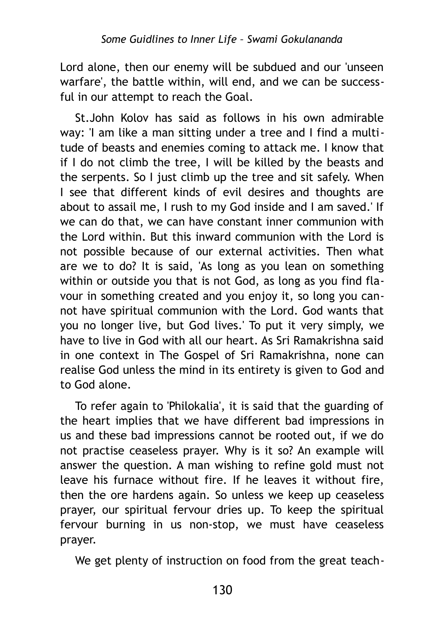Lord alone, then our enemy will be subdued and our 'unseen warfare', the battle within, will end, and we can be successful in our attempt to reach the Goal.

St.John Kolov has said as follows in his own admirable way: 'I am like a man sitting under a tree and I find a multitude of beasts and enemies coming to attack me. I know that if I do not climb the tree, I will be killed by the beasts and the serpents. So I just climb up the tree and sit safely. When I see that different kinds of evil desires and thoughts are about to assail me, I rush to my God inside and I am saved.' If we can do that, we can have constant inner communion with the Lord within. But this inward communion with the Lord is not possible because of our external activities. Then what are we to do? It is said, 'As long as you lean on something within or outside you that is not God, as long as you find flavour in something created and you enjoy it, so long you cannot have spiritual communion with the Lord. God wants that you no longer live, but God lives.' To put it very simply, we have to live in God with all our heart. As Sri Ramakrishna said in one context in The Gospel of Sri Ramakrishna, none can realise God unless the mind in its entirety is given to God and to God alone.

To refer again to 'Philokalia', it is said that the guarding of the heart implies that we have different bad impressions in us and these bad impressions cannot be rooted out, if we do not practise ceaseless prayer. Why is it so? An example will answer the question. A man wishing to refine gold must not leave his furnace without fire. If he leaves it without fire, then the ore hardens again. So unless we keep up ceaseless prayer, our spiritual fervour dries up. To keep the spiritual fervour burning in us non-stop, we must have ceaseless prayer.

We get plenty of instruction on food from the great teach-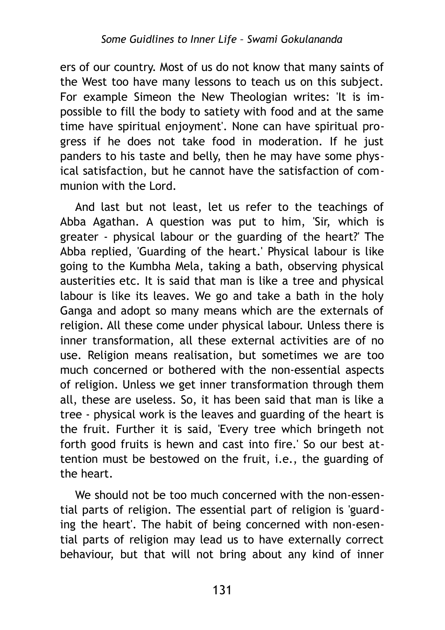ers of our country. Most of us do not know that many saints of the West too have many lessons to teach us on this subject. For example Simeon the New Theologian writes: 'It is impossible to fill the body to satiety with food and at the same time have spiritual enjoyment'. None can have spiritual progress if he does not take food in moderation. If he just panders to his taste and belly, then he may have some physical satisfaction, but he cannot have the satisfaction of communion with the Lord.

And last but not least, let us refer to the teachings of Abba Agathan. A question was put to him, 'Sir, which is greater - physical labour or the guarding of the heart?' The Abba replied, 'Guarding of the heart.' Physical labour is like going to the Kumbha Mela, taking a bath, observing physical austerities etc. It is said that man is like a tree and physical labour is like its leaves. We go and take a bath in the holy Ganga and adopt so many means which are the externals of religion. All these come under physical labour. Unless there is inner transformation, all these external activities are of no use. Religion means realisation, but sometimes we are too much concerned or bothered with the non-essential aspects of religion. Unless we get inner transformation through them all, these are useless. So, it has been said that man is like a tree - physical work is the leaves and guarding of the heart is the fruit. Further it is said, 'Every tree which bringeth not forth good fruits is hewn and cast into fire.' So our best attention must be bestowed on the fruit, i.e., the guarding of the heart.

We should not be too much concerned with the non-essential parts of religion. The essential part of religion is 'guarding the heart'. The habit of being concerned with non-esential parts of religion may lead us to have externally correct behaviour, but that will not bring about any kind of inner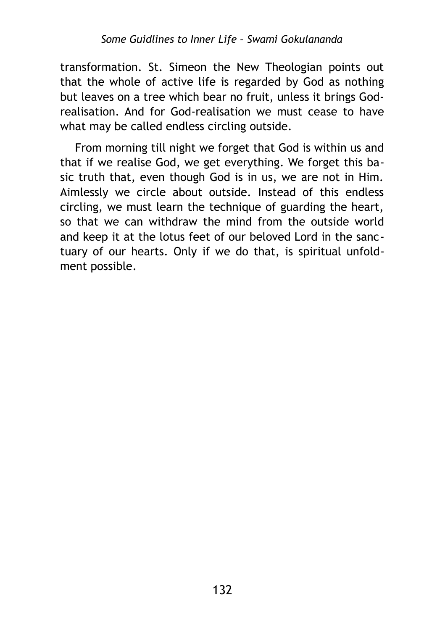transformation. St. Simeon the New Theologian points out that the whole of active life is regarded by God as nothing but leaves on a tree which bear no fruit, unless it brings Godrealisation. And for God-realisation we must cease to have what may be called endless circling outside.

From morning till night we forget that God is within us and that if we realise God, we get everything. We forget this basic truth that, even though God is in us, we are not in Him. Aimlessly we circle about outside. Instead of this endless circling, we must learn the technique of guarding the heart, so that we can withdraw the mind from the outside world and keep it at the lotus feet of our beloved Lord in the sanctuary of our hearts. Only if we do that, is spiritual unfoldment possible.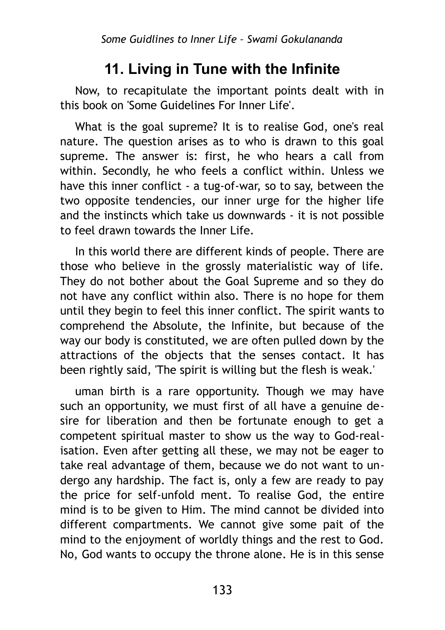## **11. Living in Tune with the Infinite**

Now, to recapitulate the important points dealt with in this book on 'Some Guidelines For Inner Life'.

What is the goal supreme? It is to realise God, one's real nature. The question arises as to who is drawn to this goal supreme. The answer is: first, he who hears a call from within. Secondly, he who feels a conflict within. Unless we have this inner conflict - a tug-of-war, so to say, between the two opposite tendencies, our inner urge for the higher life and the instincts which take us downwards - it is not possible to feel drawn towards the Inner Life.

In this world there are different kinds of people. There are those who believe in the grossly materialistic way of life. They do not bother about the Goal Supreme and so they do not have any conflict within also. There is no hope for them until they begin to feel this inner conflict. The spirit wants to comprehend the Absolute, the Infinite, but because of the way our body is constituted, we are often pulled down by the attractions of the objects that the senses contact. It has been rightly said, 'The spirit is willing but the flesh is weak.'

uman birth is a rare opportunity. Though we may have such an opportunity, we must first of all have a genuine desire for liberation and then be fortunate enough to get a competent spiritual master to show us the way to God-realisation. Even after getting all these, we may not be eager to take real advantage of them, because we do not want to undergo any hardship. The fact is, only a few are ready to pay the price for self-unfold ment. To realise God, the entire mind is to be given to Him. The mind cannot be divided into different compartments. We cannot give some pait of the mind to the enjoyment of worldly things and the rest to God. No, God wants to occupy the throne alone. He is in this sense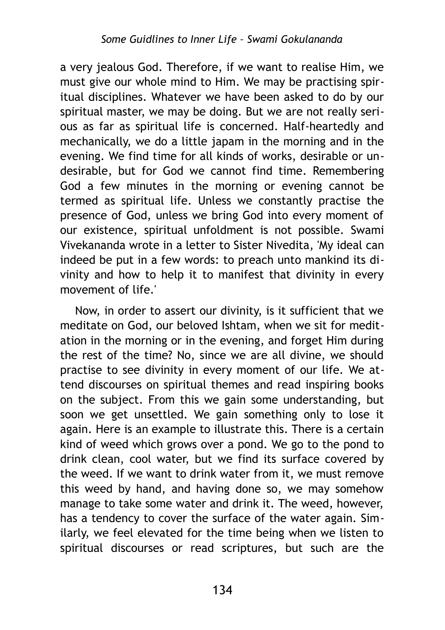a very jealous God. Therefore, if we want to realise Him, we must give our whole mind to Him. We may be practising spiritual disciplines. Whatever we have been asked to do by our spiritual master, we may be doing. But we are not really serious as far as spiritual life is concerned. Half-heartedly and mechanically, we do a little japam in the morning and in the evening. We find time for all kinds of works, desirable or undesirable, but for God we cannot find time. Remembering God a few minutes in the morning or evening cannot be termed as spiritual life. Unless we constantly practise the presence of God, unless we bring God into every moment of our existence, spiritual unfoldment is not possible. Swami Vivekananda wrote in a letter to Sister Nivedita, 'My ideal can indeed be put in a few words: to preach unto mankind its divinity and how to help it to manifest that divinity in every movement of life.'

Now, in order to assert our divinity, is it sufficient that we meditate on God, our beloved Ishtam, when we sit for meditation in the morning or in the evening, and forget Him during the rest of the time? No, since we are all divine, we should practise to see divinity in every moment of our life. We attend discourses on spiritual themes and read inspiring books on the subject. From this we gain some understanding, but soon we get unsettled. We gain something only to lose it again. Here is an example to illustrate this. There is a certain kind of weed which grows over a pond. We go to the pond to drink clean, cool water, but we find its surface covered by the weed. If we want to drink water from it, we must remove this weed by hand, and having done so, we may somehow manage to take some water and drink it. The weed, however, has a tendency to cover the surface of the water again. Similarly, we feel elevated for the time being when we listen to spiritual discourses or read scriptures, but such are the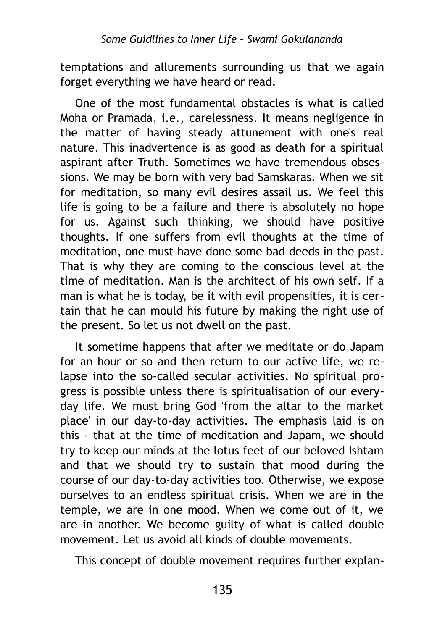temptations and allurements surrounding us that we again forget everything we have heard or read.

One of the most fundamental obstacles is what is called Moha or Pramada, i.e., carelessness. It means negligence in the matter of having steady attunement with one's real nature. This inadvertence is as good as death for a spiritual aspirant after Truth. Sometimes we have tremendous obsessions. We may be born with very bad Samskaras. When we sit for meditation, so many evil desires assail us. We feel this life is going to be a failure and there is absolutely no hope for us. Against such thinking, we should have positive thoughts. If one suffers from evil thoughts at the time of meditation, one must have done some bad deeds in the past. That is why they are coming to the conscious level at the time of meditation. Man is the architect of his own self. If a man is what he is today, be it with evil propensities, it is certain that he can mould his future by making the right use of the present. So let us not dwell on the past.

It sometime happens that after we meditate or do Japam for an hour or so and then return to our active life, we relapse into the so-called secular activities. No spiritual progress is possible unless there is spiritualisation of our everyday life. We must bring God 'from the altar to the market place' in our day-to-day activities. The emphasis laid is on this - that at the time of meditation and Japam, we should try to keep our minds at the lotus feet of our beloved Ishtam and that we should try to sustain that mood during the course of our day-to-day activities too. Otherwise, we expose ourselves to an endless spiritual crisis. When we are in the temple, we are in one mood. When we come out of it, we are in another. We become guilty of what is called double movement. Let us avoid all kinds of double movements.

This concept of double movement requires further explan-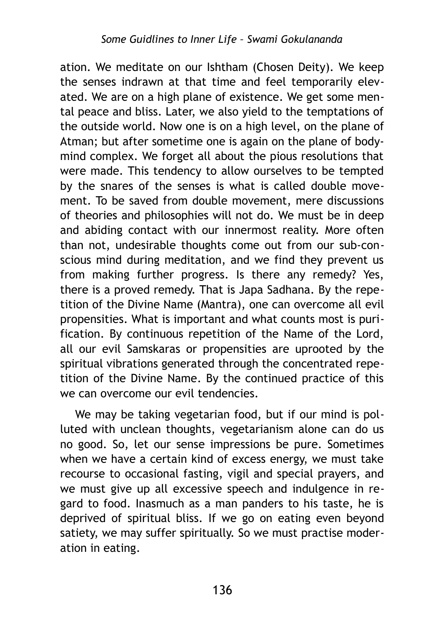ation. We meditate on our Ishtham (Chosen Deity). We keep the senses indrawn at that time and feel temporarily elevated. We are on a high plane of existence. We get some mental peace and bliss. Later, we also yield to the temptations of the outside world. Now one is on a high level, on the plane of Atman; but after sometime one is again on the plane of bodymind complex. We forget all about the pious resolutions that were made. This tendency to allow ourselves to be tempted by the snares of the senses is what is called double movement. To be saved from double movement, mere discussions of theories and philosophies will not do. We must be in deep and abiding contact with our innermost reality. More often than not, undesirable thoughts come out from our sub-conscious mind during meditation, and we find they prevent us from making further progress. Is there any remedy? Yes, there is a proved remedy. That is Japa Sadhana. By the repetition of the Divine Name (Mantra), one can overcome all evil propensities. What is important and what counts most is purification. By continuous repetition of the Name of the Lord, all our evil Samskaras or propensities are uprooted by the spiritual vibrations generated through the concentrated repetition of the Divine Name. By the continued practice of this we can overcome our evil tendencies.

We may be taking vegetarian food, but if our mind is polluted with unclean thoughts, vegetarianism alone can do us no good. So, let our sense impressions be pure. Sometimes when we have a certain kind of excess energy, we must take recourse to occasional fasting, vigil and special prayers, and we must give up all excessive speech and indulgence in regard to food. Inasmuch as a man panders to his taste, he is deprived of spiritual bliss. If we go on eating even beyond satiety, we may suffer spiritually. So we must practise moderation in eating.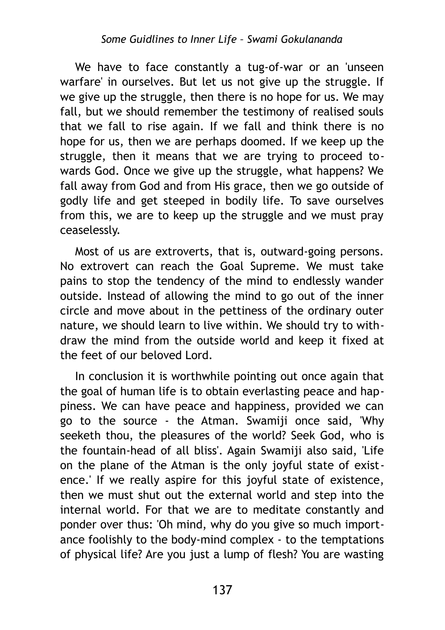We have to face constantly a tug-of-war or an 'unseen warfare' in ourselves. But let us not give up the struggle. If we give up the struggle, then there is no hope for us. We may fall, but we should remember the testimony of realised souls that we fall to rise again. If we fall and think there is no hope for us, then we are perhaps doomed. If we keep up the struggle, then it means that we are trying to proceed towards God. Once we give up the struggle, what happens? We fall away from God and from His grace, then we go outside of godly life and get steeped in bodily life. To save ourselves from this, we are to keep up the struggle and we must pray ceaselessly.

Most of us are extroverts, that is, outward-going persons. No extrovert can reach the Goal Supreme. We must take pains to stop the tendency of the mind to endlessly wander outside. Instead of allowing the mind to go out of the inner circle and move about in the pettiness of the ordinary outer nature, we should learn to live within. We should try to withdraw the mind from the outside world and keep it fixed at the feet of our beloved Lord.

In conclusion it is worthwhile pointing out once again that the goal of human life is to obtain everlasting peace and happiness. We can have peace and happiness, provided we can go to the source - the Atman. Swamiji once said, 'Why seeketh thou, the pleasures of the world? Seek God, who is the fountain-head of all bliss'. Again Swamiji also said, 'Life on the plane of the Atman is the only joyful state of existence.' If we really aspire for this joyful state of existence, then we must shut out the external world and step into the internal world. For that we are to meditate constantly and ponder over thus: 'Oh mind, why do you give so much importance foolishly to the body-mind complex - to the temptations of physical life? Are you just a lump of flesh? You are wasting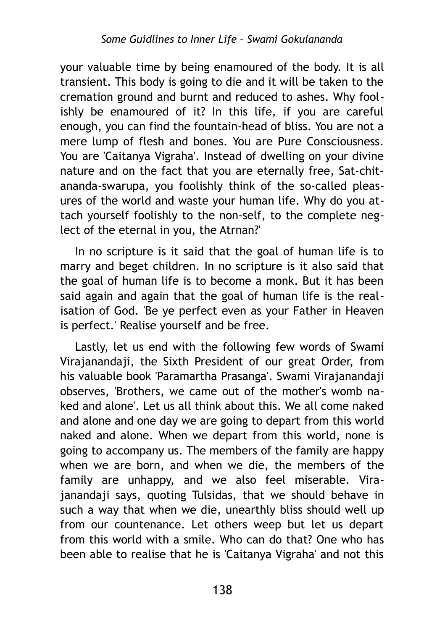your valuable time by being enamoured of the body. It is all transient. This body is going to die and it will be taken to the cremation ground and burnt and reduced to ashes. Why foolishly be enamoured of it? In this life, if you are careful enough, you can find the fountain-head of bliss. You are not a mere lump of flesh and bones. You are Pure Consciousness. You are 'Caitanya Vigraha'. Instead of dwelling on your divine nature and on the fact that you are eternally free, Sat-chitananda-swarupa, you foolishly think of the so-called pleasures of the world and waste your human life. Why do you attach yourself foolishly to the non-self, to the complete neglect of the eternal in you, the Atrnan?'

In no scripture is it said that the goal of human life is to marry and beget children. In no scripture is it also said that the goal of human life is to become a monk. But it has been said again and again that the goal of human life is the realisation of God. 'Be ye perfect even as your Father in Heaven is perfect.' Realise yourself and be free.

Lastly, let us end with the following few words of Swami Virajanandaji, the Sixth President of our great Order, from his valuable book 'Paramartha Prasanga'. Swami Virajanandaji observes, 'Brothers, we came out of the mother's womb naked and alone'. Let us all think about this. We all come naked and alone and one day we are going to depart from this world naked and alone. When we depart from this world, none is going to accompany us. The members of the family are happy when we are born, and when we die, the members of the family are unhappy, and we also feel miserable. Virajanandaji says, quoting Tulsidas, that we should behave in such a way that when we die, unearthly bliss should well up from our countenance. Let others weep but let us depart from this world with a smile. Who can do that? One who has been able to realise that he is 'Caitanya Vigraha' and not this